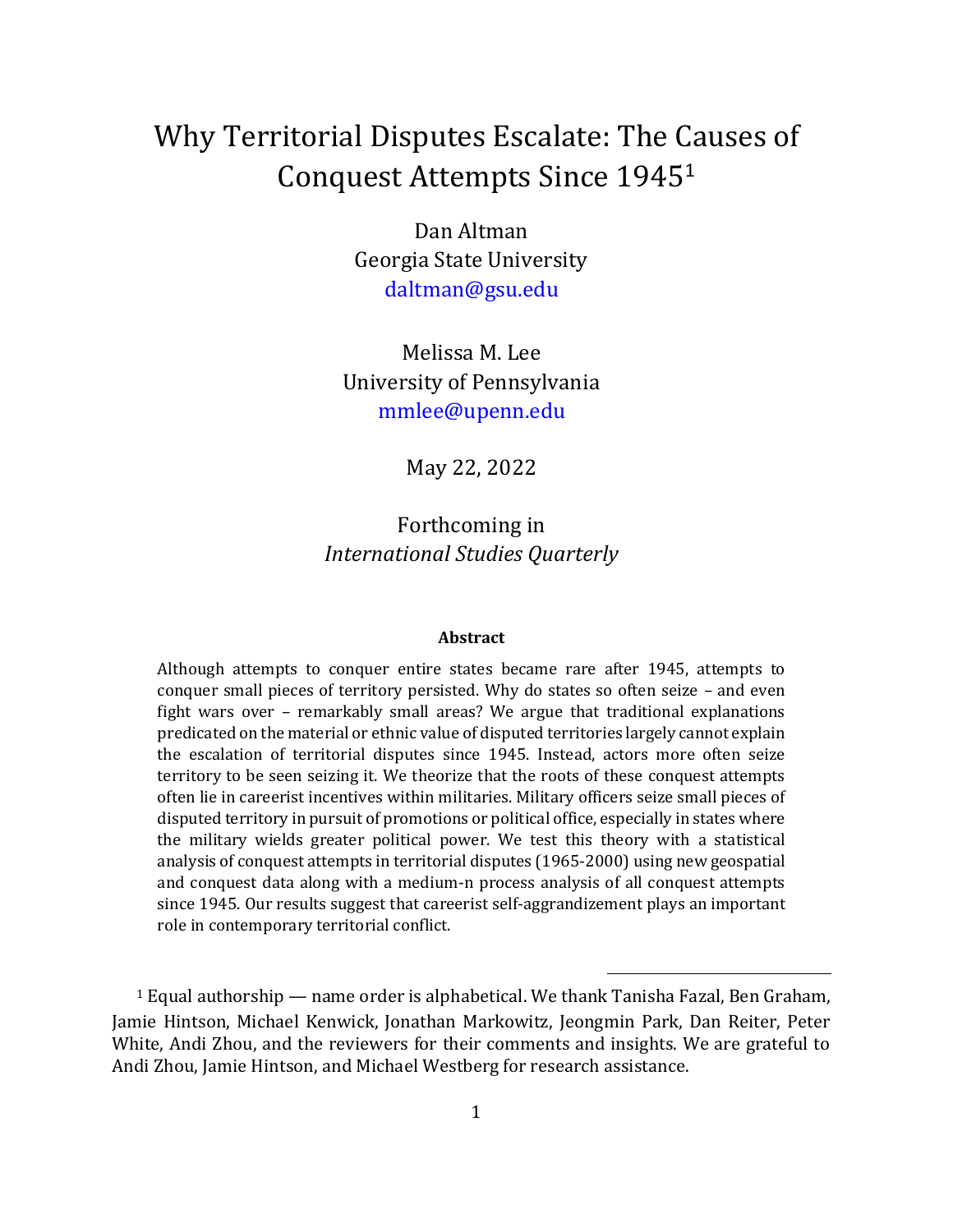# Why Territorial Disputes Escalate: The Causes of Conquest Attempts Since 1945<sup>1</sup>

Dan Altman Georgia State University daltman@gsu.edu

Melissa M. Lee University of Pennsylvania mmlee@upenn.edu

May 22, 2022

Forthcoming in *International Studies Quarterly*

#### **Abstract**

Although attempts to conquer entire states became rare after 1945, attempts to conquer small pieces of territory persisted. Why do states so often seize – and even fight wars over – remarkably small areas? We argue that traditional explanations predicated on the material or ethnic value of disputed territories largely cannot explain the escalation of territorial disputes since 1945. Instead, actors more often seize territory to be seen seizing it. We theorize that the roots of these conquest attempts often lie in careerist incentives within militaries. Military officers seize small pieces of disputed territory in pursuit of promotions or political office, especially in states where the military wields greater political power. We test this theory with a statistical analysis of conquest attempts in territorial disputes (1965-2000) using new geospatial and conquest data along with a medium-n process analysis of all conquest attempts since 1945. Our results suggest that careerist self-aggrandizement plays an important role in contemporary territorial conflict.

<sup>1</sup> Equal authorship — name order is alphabetical. We thank Tanisha Fazal, Ben Graham, Jamie Hintson, Michael Kenwick, Jonathan Markowitz, Jeongmin Park, Dan Reiter, Peter White, Andi Zhou, and the reviewers for their comments and insights. We are grateful to Andi Zhou, Jamie Hintson, and Michael Westberg for research assistance.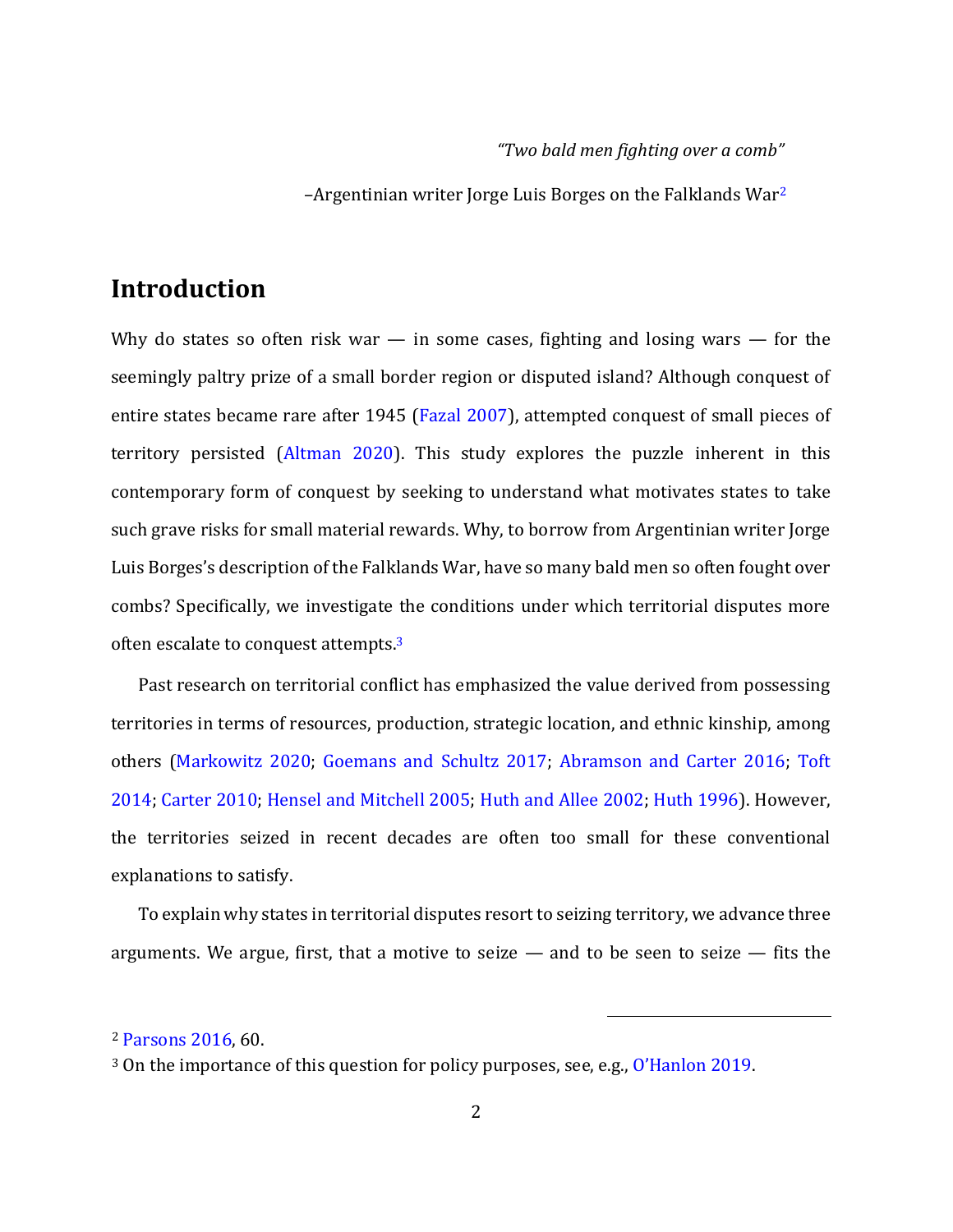#### *"Two bald men fighting over a comb"*

 $-A$ rgentinian writer Jorge Luis Borges on the Falklands War<sup>2</sup>

# **Introduction**

Why do states so often risk war  $-$  in some cases, fighting and losing wars  $-$  for the seemingly paltry prize of a small border region or disputed island? Although conquest of entire states became rare after 1945 (Fazal 2007), attempted conquest of small pieces of territory persisted (Altman 2020). This study explores the puzzle inherent in this contemporary form of conquest by seeking to understand what motivates states to take such grave risks for small material rewards. Why, to borrow from Argentinian writer Jorge Luis Borges's description of the Falklands War, have so many bald men so often fought over combs? Specifically, we investigate the conditions under which territorial disputes more often escalate to conquest attempts.<sup>3</sup>

Past research on territorial conflict has emphasized the value derived from possessing territories in terms of resources, production, strategic location, and ethnic kinship, among others (Markowitz 2020; Goemans and Schultz 2017; Abramson and Carter 2016; Toft 2014; Carter 2010; Hensel and Mitchell 2005; Huth and Allee 2002; Huth 1996). However, the territories seized in recent decades are often too small for these conventional explanations to satisfy.

To explain why states in territorial disputes resort to seizing territory, we advance three arguments. We argue, first, that a motive to seize  $-$  and to be seen to seize  $-$  fits the

<sup>2</sup> Parsons 2016, 60.

<sup>3</sup> On the importance of this question for policy purposes, see, e.g., O'Hanlon 2019.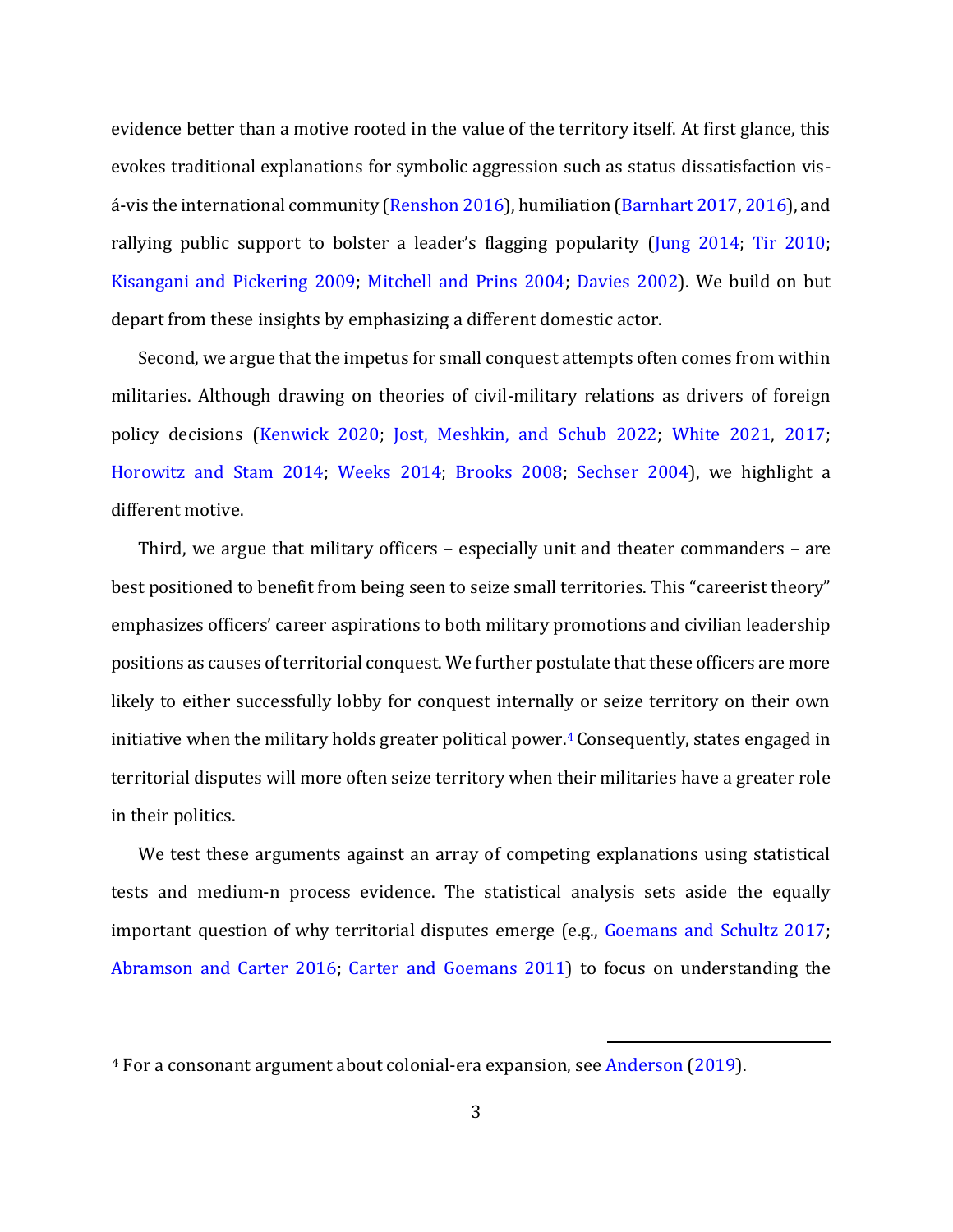evidence better than a motive rooted in the value of the territory itself. At first glance, this evokes traditional explanations for symbolic aggression such as status dissatisfaction visá-vis the international community (Renshon 2016), humiliation (Barnhart 2017, 2016), and rallying public support to bolster a leader's flagging popularity (Jung 2014; Tir 2010; Kisangani and Pickering 2009; Mitchell and Prins 2004; Davies 2002). We build on but depart from these insights by emphasizing a different domestic actor.

Second, we argue that the impetus for small conquest attempts often comes from within militaries. Although drawing on theories of civil-military relations as drivers of foreign policy decisions (Kenwick 2020; Jost, Meshkin, and Schub 2022; White 2021, 2017; Horowitz and Stam 2014; Weeks 2014; Brooks 2008; Sechser 2004), we highlight a different motive.

Third, we argue that military officers – especially unit and theater commanders – are best positioned to benefit from being seen to seize small territories. This "careerist theory" emphasizes officers' career aspirations to both military promotions and civilian leadership positions as causes of territorial conquest. We further postulate that these officers are more likely to either successfully lobby for conquest internally or seize territory on their own initiative when the military holds greater political power.<sup>4</sup> Consequently, states engaged in territorial disputes will more often seize territory when their militaries have a greater role in their politics.

We test these arguments against an array of competing explanations using statistical tests and medium-n process evidence. The statistical analysis sets aside the equally important question of why territorial disputes emerge (e.g., Goemans and Schultz 2017; Abramson and Carter 2016; Carter and Goemans 2011) to focus on understanding the

<sup>4</sup> For a consonant argument about colonial-era expansion, see Anderson (2019).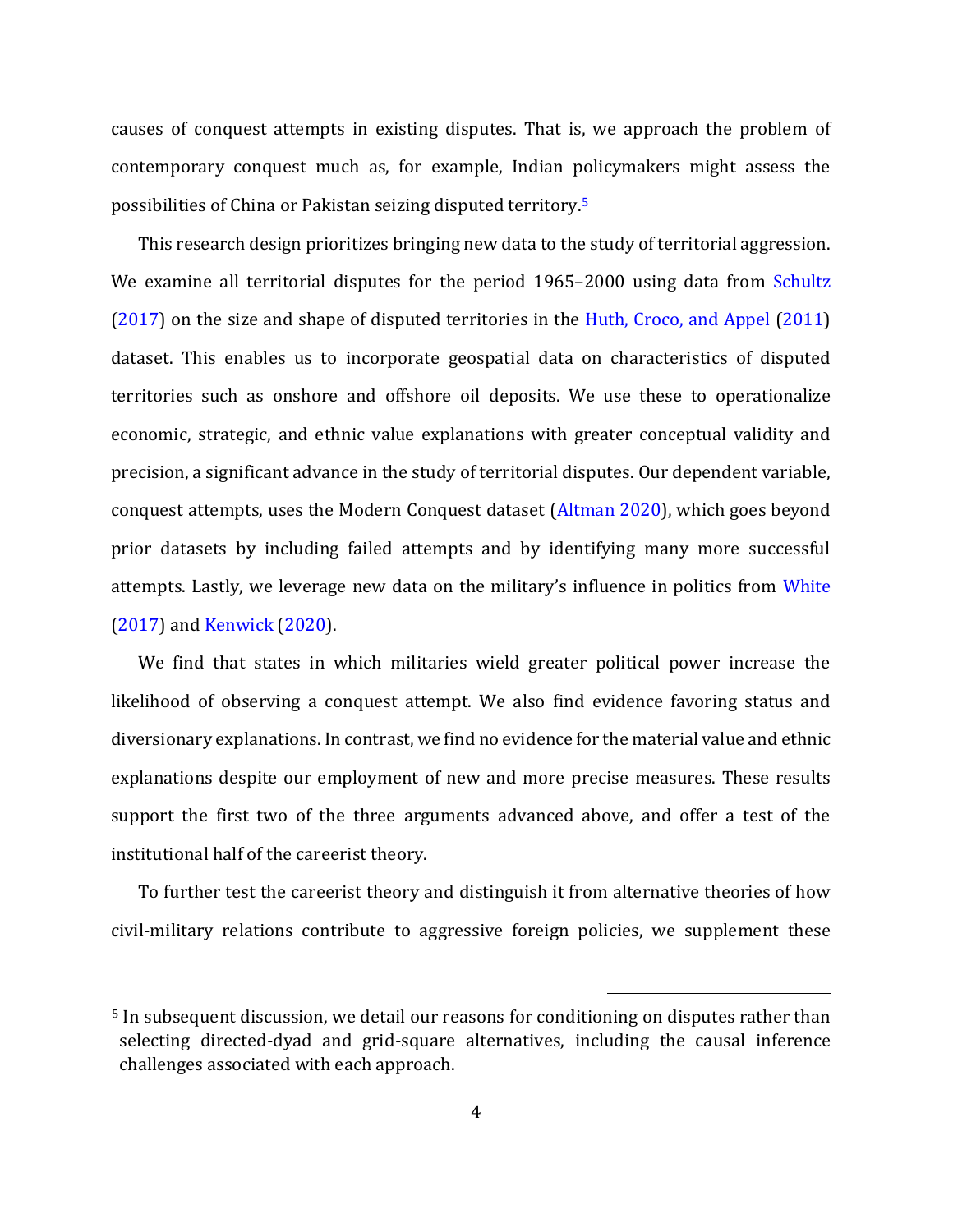causes of conquest attempts in existing disputes. That is, we approach the problem of contemporary conquest much as, for example, Indian policymakers might assess the possibilities of China or Pakistan seizing disputed territory.<sup>5</sup>

This research design prioritizes bringing new data to the study of territorial aggression. We examine all territorial disputes for the period 1965–2000 using data from Schultz (2017) on the size and shape of disputed territories in the Huth, Croco, and Appel (2011) dataset. This enables us to incorporate geospatial data on characteristics of disputed territories such as onshore and offshore oil deposits. We use these to operationalize economic, strategic, and ethnic value explanations with greater conceptual validity and precision, a significant advance in the study of territorial disputes. Our dependent variable, conquest attempts, uses the Modern Conquest dataset (Altman 2020), which goes beyond prior datasets by including failed attempts and by identifying many more successful attempts. Lastly, we leverage new data on the military's influence in politics from White (2017) and Kenwick (2020).

We find that states in which militaries wield greater political power increase the likelihood of observing a conquest attempt. We also find evidence favoring status and diversionary explanations. In contrast, we find no evidence for the material value and ethnic explanations despite our employment of new and more precise measures. These results support the first two of the three arguments advanced above, and offer a test of the institutional half of the careerist theory.

To further test the careerist theory and distinguish it from alternative theories of how civil-military relations contribute to aggressive foreign policies, we supplement these

<sup>5</sup> In subsequent discussion, we detail our reasons for conditioning on disputes rather than selecting directed-dyad and grid-square alternatives, including the causal inference challenges associated with each approach.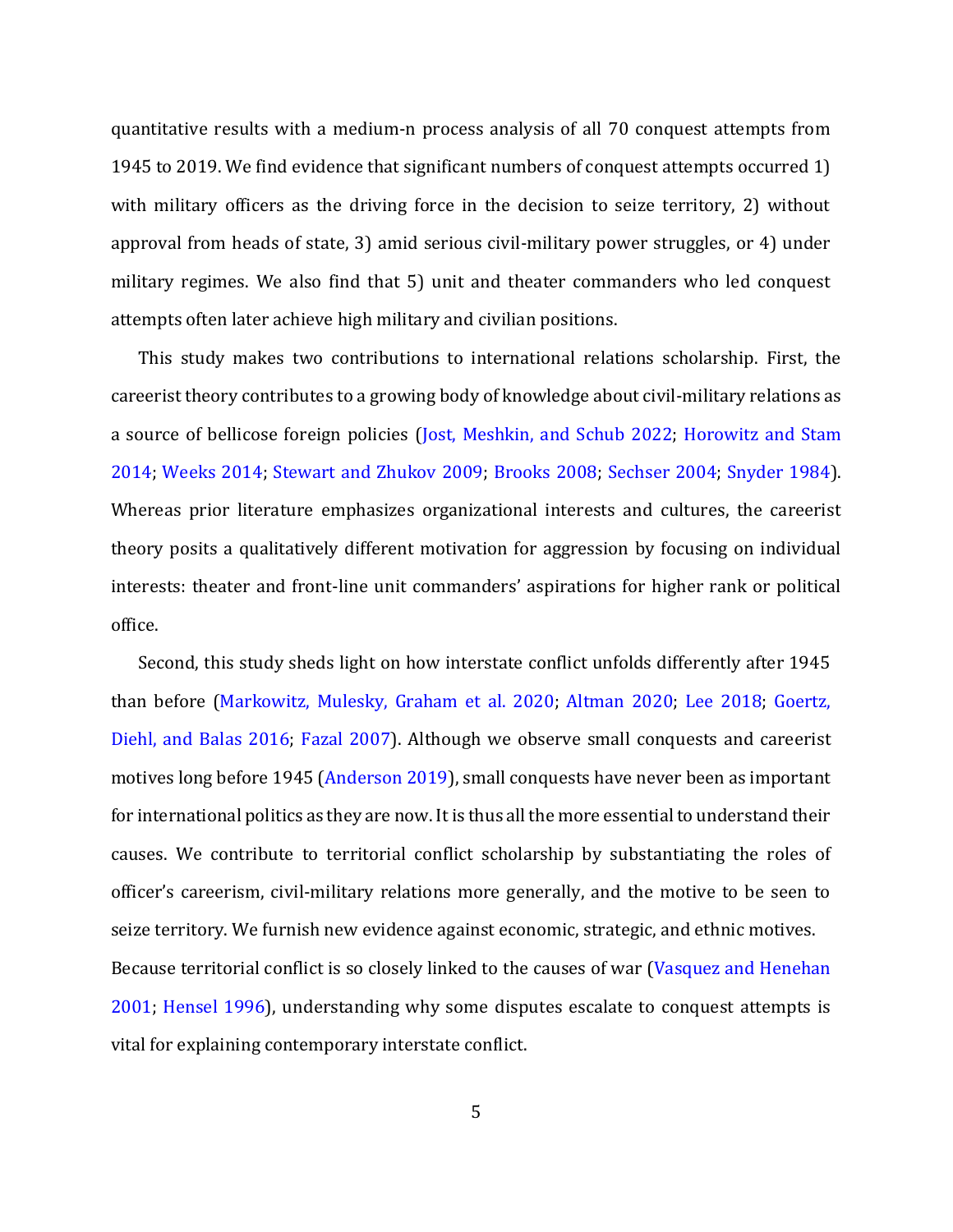quantitative results with a medium-n process analysis of all 70 conquest attempts from 1945 to 2019. We find evidence that significant numbers of conquest attempts occurred 1) with military officers as the driving force in the decision to seize territory, 2) without approval from heads of state, 3) amid serious civil-military power struggles, or 4) under military regimes. We also find that 5) unit and theater commanders who led conquest attempts often later achieve high military and civilian positions.

This study makes two contributions to international relations scholarship. First, the careerist theory contributes to a growing body of knowledge about civil-military relations as a source of bellicose foreign policies (Jost, Meshkin, and Schub 2022; Horowitz and Stam 2014; Weeks 2014; Stewart and Zhukov 2009; Brooks 2008; Sechser 2004; Snyder 1984). Whereas prior literature emphasizes organizational interests and cultures, the careerist theory posits a qualitatively different motivation for aggression by focusing on individual interests: theater and front-line unit commanders' aspirations for higher rank or political office.

Second, this study sheds light on how interstate conflict unfolds differently after 1945 than before (Markowitz, Mulesky, Graham et al. 2020; Altman 2020; Lee 2018; Goertz, Diehl, and Balas 2016; Fazal 2007). Although we observe small conquests and careerist motives long before 1945 (Anderson 2019), small conquests have never been as important for international politics as they are now. It is thus all the more essential to understand their causes. We contribute to territorial conflict scholarship by substantiating the roles of officer's careerism, civil-military relations more generally, and the motive to be seen to seize territory. We furnish new evidence against economic, strategic, and ethnic motives. Because territorial conflict is so closely linked to the causes of war (Vasquez and Henehan 2001; Hensel 1996), understanding why some disputes escalate to conquest attempts is vital for explaining contemporary interstate conflict.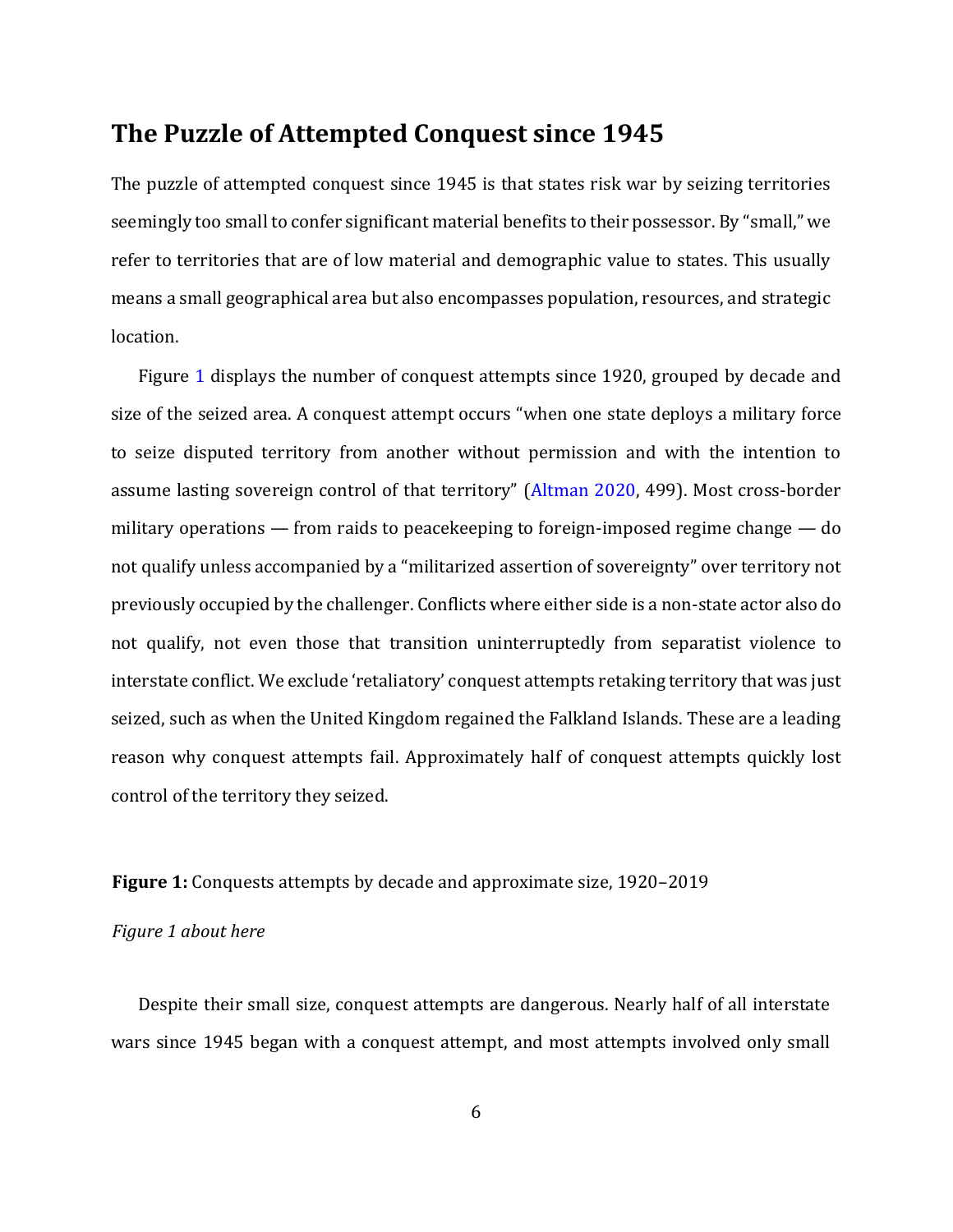### **The Puzzle of Attempted Conquest since 1945**

The puzzle of attempted conquest since 1945 is that states risk war by seizing territories seemingly too small to confer significant material benefits to their possessor. By "small," we refer to territories that are of low material and demographic value to states. This usually means a small geographical area but also encompasses population, resources, and strategic location.

Figure 1 displays the number of conquest attempts since 1920, grouped by decade and size of the seized area. A conquest attempt occurs "when one state deploys a military force to seize disputed territory from another without permission and with the intention to assume lasting sovereign control of that territory" (Altman 2020, 499). Most cross-border military operations — from raids to peacekeeping to foreign-imposed regime change — do not qualify unless accompanied by a "militarized assertion of sovereignty" over territory not previously occupied by the challenger. Conflicts where either side is a non-state actor also do not qualify, not even those that transition uninterruptedly from separatist violence to interstate conflict. We exclude 'retaliatory' conquest attempts retaking territory that was just seized, such as when the United Kingdom regained the Falkland Islands. These are a leading reason why conquest attempts fail. Approximately half of conquest attempts quickly lost control of the territory they seized.

#### **Figure 1:** Conquests attempts by decade and approximate size, 1920–2019

#### *Figure 1 about here*

Despite their small size, conquest attempts are dangerous. Nearly half of all interstate wars since 1945 began with a conquest attempt, and most attempts involved only small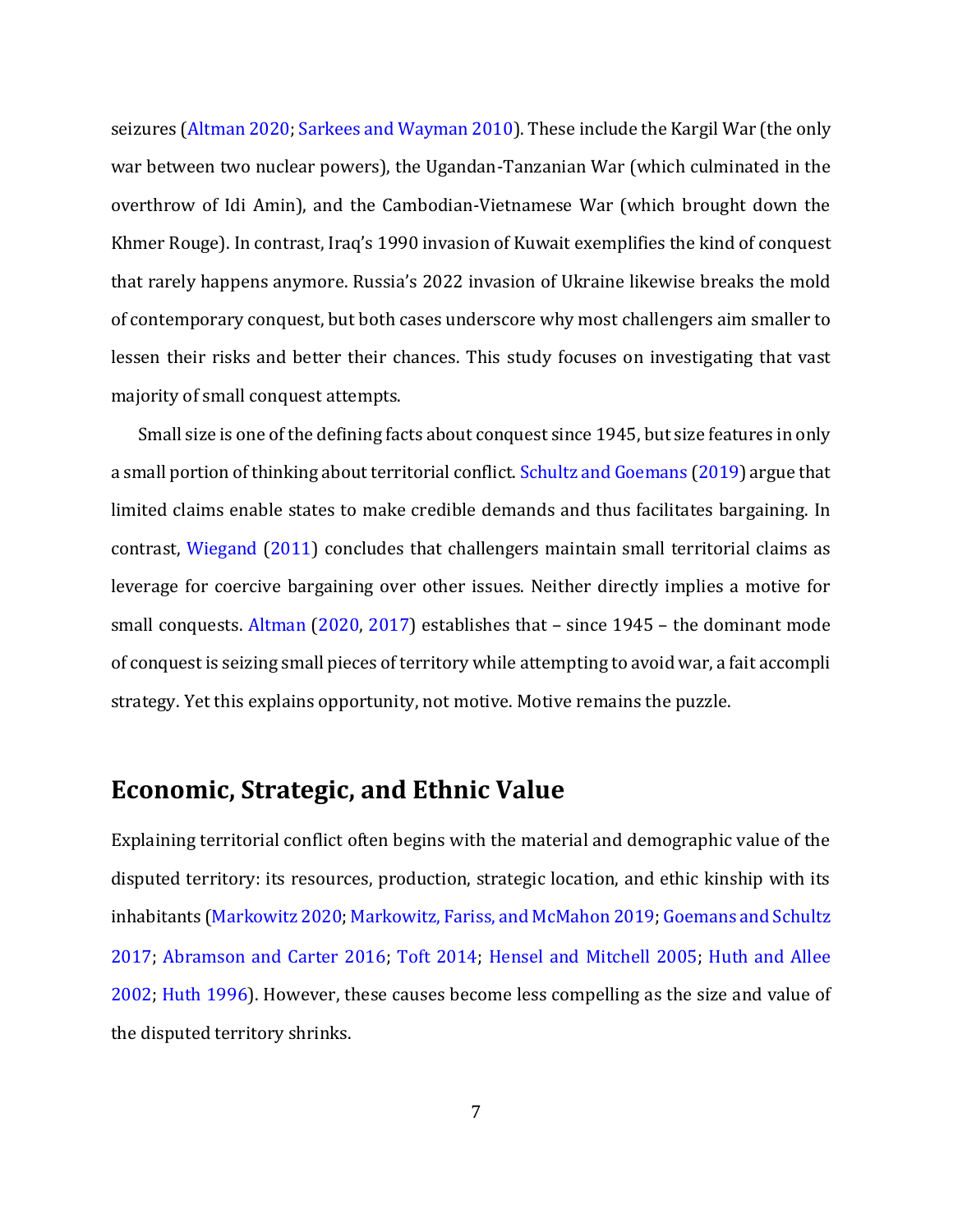seizures (Altman 2020; Sarkees and Wayman 2010). These include the Kargil War (the only war between two nuclear powers), the Ugandan-Tanzanian War (which culminated in the overthrow of Idi Amin), and the Cambodian-Vietnamese War (which brought down the Khmer Rouge). In contrast, Iraq's 1990 invasion of Kuwait exemplifies the kind of conquest that rarely happens anymore. Russia's 2022 invasion of Ukraine likewise breaks the mold of contemporary conquest, but both cases underscore why most challengers aim smaller to lessen their risks and better their chances. This study focuses on investigating that vast majority of small conquest attempts.

Small size is one of the defining facts about conquest since 1945, but size features in only a small portion of thinking about territorial conflict. Schultz and Goemans (2019) argue that limited claims enable states to make credible demands and thus facilitates bargaining. In contrast, Wiegand (2011) concludes that challengers maintain small territorial claims as leverage for coercive bargaining over other issues. Neither directly implies a motive for small conquests. Altman (2020, 2017) establishes that – since 1945 – the dominant mode of conquest is seizing small pieces of territory while attempting to avoid war, a fait accompli strategy. Yet this explains opportunity, not motive. Motive remains the puzzle.

## **Economic, Strategic, and Ethnic Value**

Explaining territorial conflict often begins with the material and demographic value of the disputed territory: its resources, production, strategic location, and ethic kinship with its inhabitants (Markowitz 2020; Markowitz, Fariss, and McMahon 2019; Goemans and Schultz 2017; Abramson and Carter 2016; Toft 2014; Hensel and Mitchell 2005; Huth and Allee 2002; Huth 1996). However, these causes become less compelling as the size and value of the disputed territory shrinks.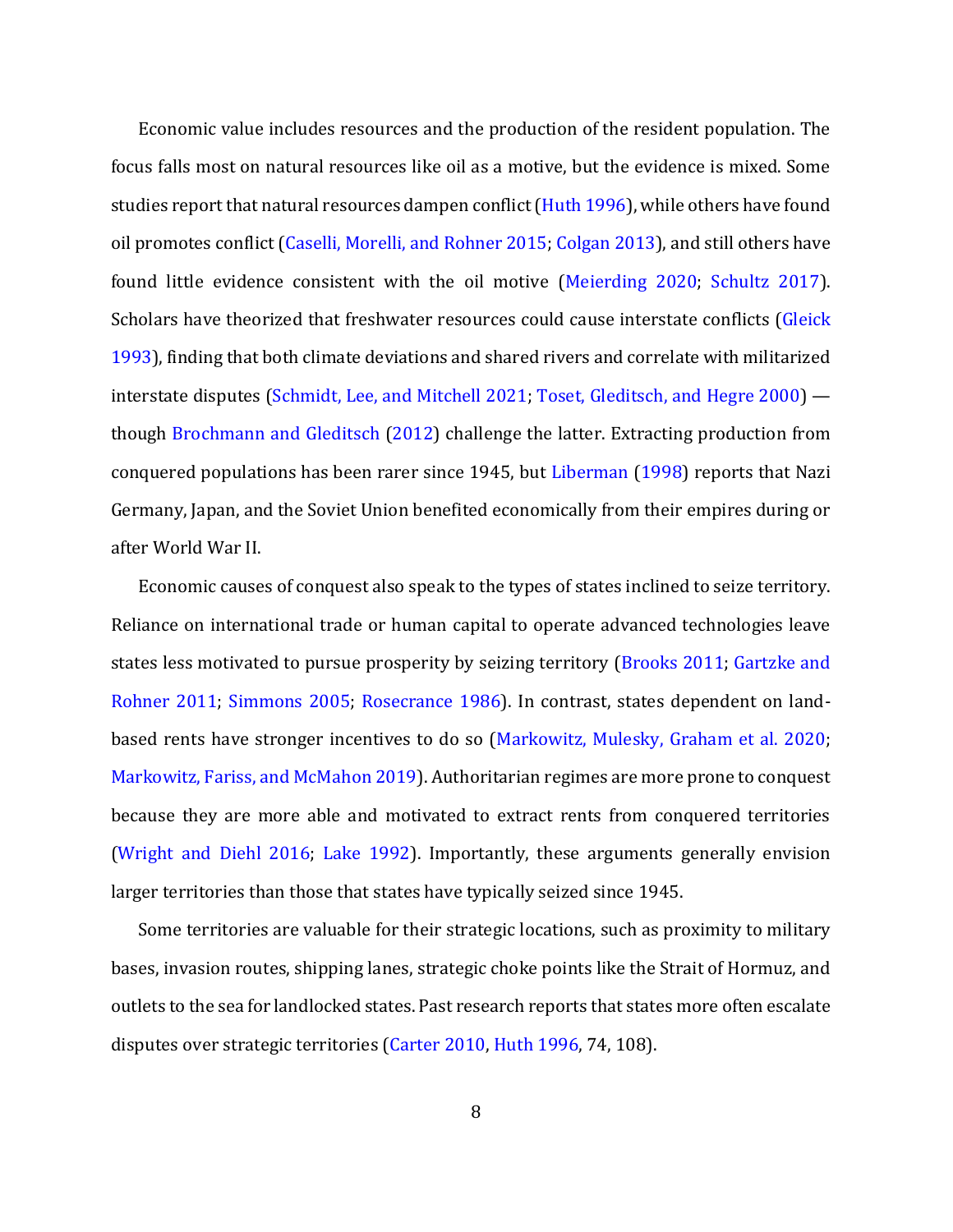Economic value includes resources and the production of the resident population. The focus falls most on natural resources like oil as a motive, but the evidence is mixed. Some studies report that natural resources dampen conflict (Huth 1996), while others have found oil promotes conflict (Caselli, Morelli, and Rohner 2015; Colgan 2013), and still others have found little evidence consistent with the oil motive (Meierding 2020; Schultz 2017). Scholars have theorized that freshwater resources could cause interstate conflicts (Gleick 1993), finding that both climate deviations and shared rivers and correlate with militarized interstate disputes (Schmidt, Lee, and Mitchell 2021; Toset, Gleditsch, and Hegre 2000) though Brochmann and Gleditsch (2012) challenge the latter. Extracting production from conquered populations has been rarer since 1945, but Liberman (1998) reports that Nazi Germany, Japan, and the Soviet Union benefited economically from their empires during or after World War II.

Economic causes of conquest also speak to the types of states inclined to seize territory. Reliance on international trade or human capital to operate advanced technologies leave states less motivated to pursue prosperity by seizing territory (Brooks 2011; Gartzke and Rohner 2011; Simmons 2005; Rosecrance 1986). In contrast, states dependent on landbased rents have stronger incentives to do so (Markowitz, Mulesky, Graham et al. 2020; Markowitz, Fariss, and McMahon 2019). Authoritarian regimes are more prone to conquest because they are more able and motivated to extract rents from conquered territories (Wright and Diehl 2016; Lake 1992). Importantly, these arguments generally envision larger territories than those that states have typically seized since 1945.

Some territories are valuable for their strategic locations, such as proximity to military bases, invasion routes, shipping lanes, strategic choke points like the Strait of Hormuz, and outlets to the sea for landlocked states. Past research reports that states more often escalate disputes over strategic territories (Carter 2010, Huth 1996, 74, 108).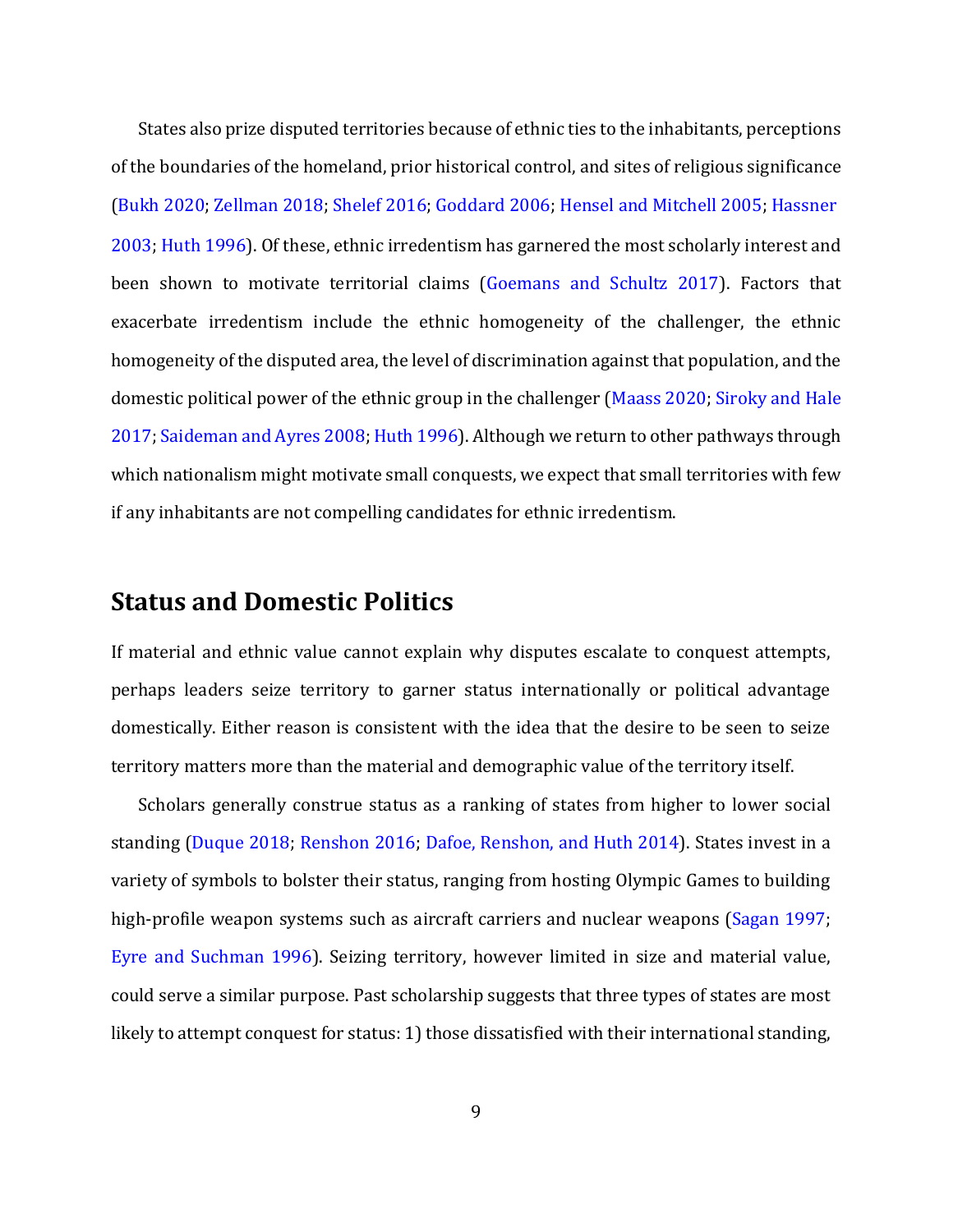States also prize disputed territories because of ethnic ties to the inhabitants, perceptions of the boundaries of the homeland, prior historical control, and sites of religious significance (Bukh 2020; Zellman 2018; Shelef 2016; Goddard 2006; Hensel and Mitchell 2005; Hassner 2003; Huth 1996). Of these, ethnic irredentism has garnered the most scholarly interest and been shown to motivate territorial claims (Goemans and Schultz 2017). Factors that exacerbate irredentism include the ethnic homogeneity of the challenger, the ethnic homogeneity of the disputed area, the level of discrimination against that population, and the domestic political power of the ethnic group in the challenger (Maass 2020; Siroky and Hale 2017; Saideman and Ayres 2008; Huth 1996). Although we return to other pathways through which nationalism might motivate small conquests, we expect that small territories with few if any inhabitants are not compelling candidates for ethnic irredentism.

## **Status and Domestic Politics**

If material and ethnic value cannot explain why disputes escalate to conquest attempts, perhaps leaders seize territory to garner status internationally or political advantage domestically. Either reason is consistent with the idea that the desire to be seen to seize territory matters more than the material and demographic value of the territory itself.

Scholars generally construe status as a ranking of states from higher to lower social standing (Duque 2018; Renshon 2016; Dafoe, Renshon, and Huth 2014). States invest in a variety of symbols to bolster their status, ranging from hosting Olympic Games to building high-profile weapon systems such as aircraft carriers and nuclear weapons (Sagan 1997; Eyre and Suchman 1996). Seizing territory, however limited in size and material value, could serve a similar purpose. Past scholarship suggests that three types of states are most likely to attempt conquest for status: 1) those dissatisfied with their international standing,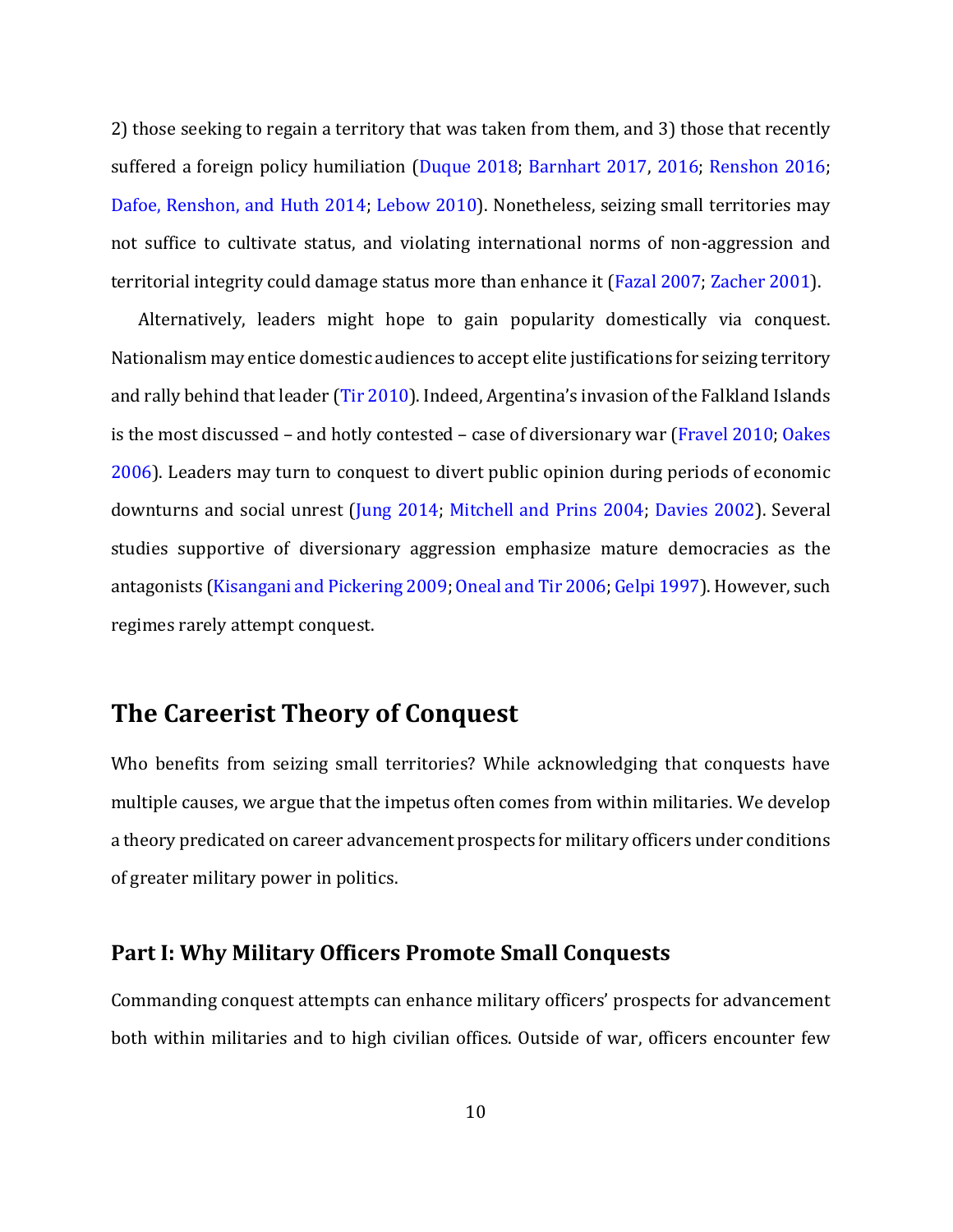2) those seeking to regain a territory that was taken from them, and 3) those that recently suffered a foreign policy humiliation (Duque 2018; Barnhart 2017, 2016; Renshon 2016; Dafoe, Renshon, and Huth 2014; Lebow 2010). Nonetheless, seizing small territories may not suffice to cultivate status, and violating international norms of non-aggression and territorial integrity could damage status more than enhance it (Fazal 2007; Zacher 2001).

Alternatively, leaders might hope to gain popularity domestically via conquest. Nationalism may entice domestic audiences to accept elite justifications for seizing territory and rally behind that leader (Tir 2010). Indeed, Argentina's invasion of the Falkland Islands is the most discussed – and hotly contested – case of diversionary war (Fravel 2010; Oakes 2006). Leaders may turn to conquest to divert public opinion during periods of economic downturns and social unrest (Jung 2014; Mitchell and Prins 2004; Davies 2002). Several studies supportive of diversionary aggression emphasize mature democracies as the antagonists (Kisangani and Pickering 2009; Oneal and Tir 2006; Gelpi 1997). However, such regimes rarely attempt conquest.

# **The Careerist Theory of Conquest**

Who benefits from seizing small territories? While acknowledging that conquests have multiple causes, we argue that the impetus often comes from within militaries. We develop a theory predicated on career advancement prospects for military officers under conditions of greater military power in politics.

### **Part I: Why Military Officers Promote Small Conquests**

Commanding conquest attempts can enhance military officers' prospects for advancement both within militaries and to high civilian offices. Outside of war, officers encounter few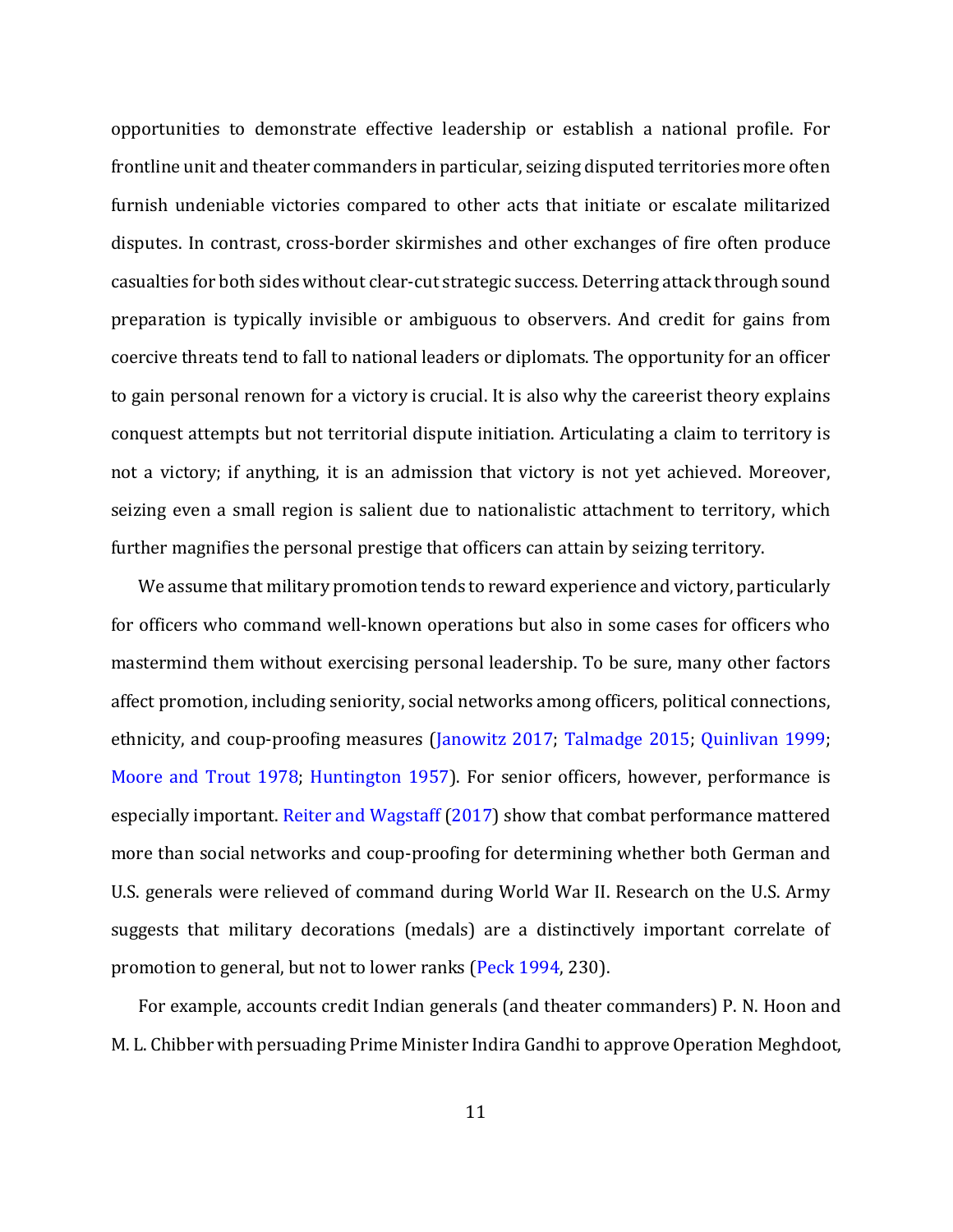opportunities to demonstrate effective leadership or establish a national profile. For frontline unit and theater commanders in particular, seizing disputed territories more often furnish undeniable victories compared to other acts that initiate or escalate militarized disputes. In contrast, cross-border skirmishes and other exchanges of fire often produce casualties for both sides without clear-cut strategic success. Deterring attack through sound preparation is typically invisible or ambiguous to observers. And credit for gains from coercive threats tend to fall to national leaders or diplomats. The opportunity for an officer to gain personal renown for a victory is crucial. It is also why the careerist theory explains conquest attempts but not territorial dispute initiation. Articulating a claim to territory is not a victory; if anything, it is an admission that victory is not yet achieved. Moreover, seizing even a small region is salient due to nationalistic attachment to territory, which further magnifies the personal prestige that officers can attain by seizing territory.

We assume that military promotion tends to reward experience and victory, particularly for officers who command well-known operations but also in some cases for officers who mastermind them without exercising personal leadership. To be sure, many other factors affect promotion, including seniority, social networks among officers, political connections, ethnicity, and coup-proofing measures (Janowitz 2017; Talmadge 2015; Quinlivan 1999; Moore and Trout 1978; Huntington 1957). For senior officers, however, performance is especially important. Reiter and Wagstaff (2017) show that combat performance mattered more than social networks and coup-proofing for determining whether both German and U.S. generals were relieved of command during World War II. Research on the U.S. Army suggests that military decorations (medals) are a distinctively important correlate of promotion to general, but not to lower ranks (Peck 1994, 230).

For example, accounts credit Indian generals (and theater commanders) P. N. Hoon and M. L. Chibber with persuading Prime Minister Indira Gandhi to approve Operation Meghdoot,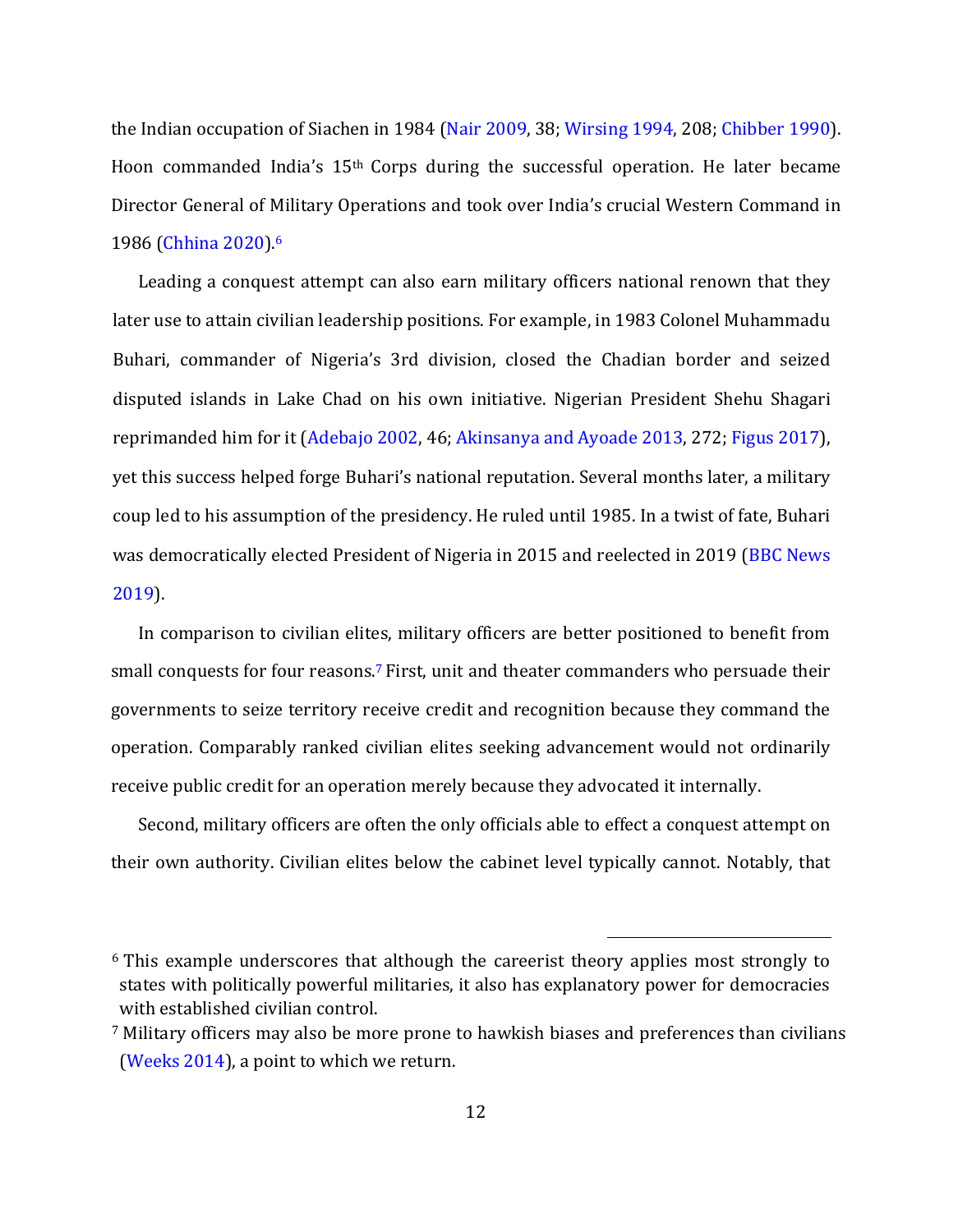the Indian occupation of Siachen in 1984 (Nair 2009, 38; Wirsing 1994, 208; Chibber 1990). Hoon commanded India's 15th Corps during the successful operation. He later became Director General of Military Operations and took over India's crucial Western Command in 1986 (Chhina 2020).<sup>6</sup>

Leading a conquest attempt can also earn military officers national renown that they later use to attain civilian leadership positions. For example, in 1983 Colonel Muhammadu Buhari, commander of Nigeria's 3rd division, closed the Chadian border and seized disputed islands in Lake Chad on his own initiative. Nigerian President Shehu Shagari reprimanded him for it (Adebajo 2002, 46; Akinsanya and Ayoade 2013, 272; Figus 2017), yet this success helped forge Buhari's national reputation. Several months later, a military coup led to his assumption of the presidency. He ruled until 1985. In a twist of fate, Buhari was democratically elected President of Nigeria in 2015 and reelected in 2019 (BBC News 2019).

In comparison to civilian elites, military officers are better positioned to benefit from small conquests for four reasons.<sup>7</sup> First, unit and theater commanders who persuade their governments to seize territory receive credit and recognition because they command the operation. Comparably ranked civilian elites seeking advancement would not ordinarily receive public credit for an operation merely because they advocated it internally.

Second, military officers are often the only officials able to effect a conquest attempt on their own authority. Civilian elites below the cabinet level typically cannot. Notably, that

<sup>6</sup> This example underscores that although the careerist theory applies most strongly to states with politically powerful militaries, it also has explanatory power for democracies with established civilian control.

<sup>7</sup> Military officers may also be more prone to hawkish biases and preferences than civilians (Weeks 2014), a point to which we return.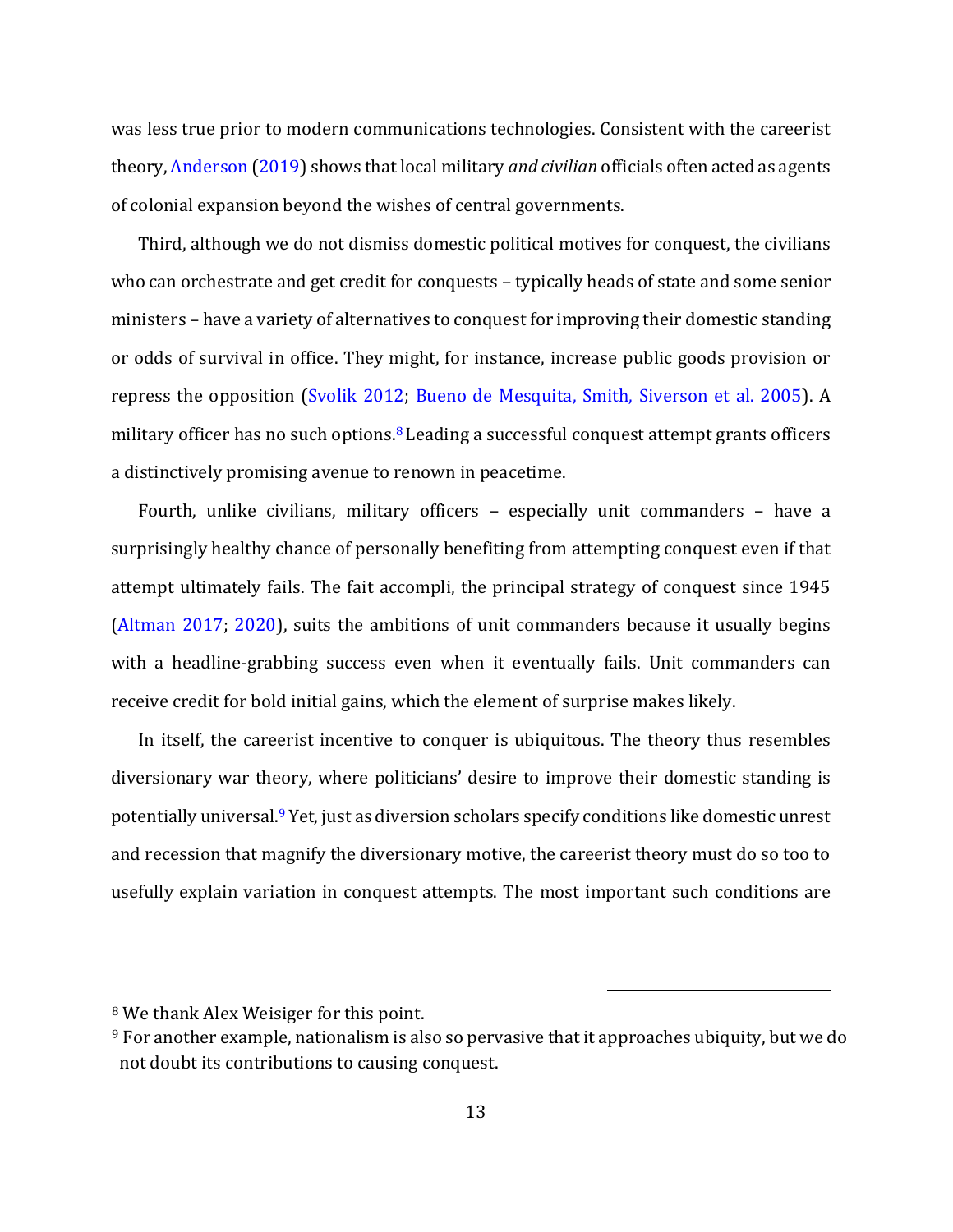was less true prior to modern communications technologies. Consistent with the careerist theory, Anderson (2019) shows that local military *and civilian* officials often acted as agents of colonial expansion beyond the wishes of central governments.

Third, although we do not dismiss domestic political motives for conquest, the civilians who can orchestrate and get credit for conquests – typically heads of state and some senior ministers – have a variety of alternatives to conquest for improving their domestic standing or odds of survival in office. They might, for instance, increase public goods provision or repress the opposition (Svolik 2012; Bueno de Mesquita, Smith, Siverson et al. 2005). A military officer has no such options. $8$  Leading a successful conquest attempt grants officers a distinctively promising avenue to renown in peacetime.

Fourth, unlike civilians, military officers – especially unit commanders – have a surprisingly healthy chance of personally benefiting from attempting conquest even if that attempt ultimately fails. The fait accompli, the principal strategy of conquest since 1945 (Altman 2017; 2020), suits the ambitions of unit commanders because it usually begins with a headline-grabbing success even when it eventually fails. Unit commanders can receive credit for bold initial gains, which the element of surprise makes likely.

In itself, the careerist incentive to conquer is ubiquitous. The theory thus resembles diversionary war theory, where politicians' desire to improve their domestic standing is potentially universal.<sup>9</sup> Yet, just as diversion scholars specify conditions like domestic unrest and recession that magnify the diversionary motive, the careerist theory must do so too to usefully explain variation in conquest attempts. The most important such conditions are

<sup>8</sup> We thank Alex Weisiger for this point.

<sup>9</sup> For another example, nationalism is also so pervasive that it approaches ubiquity, but we do not doubt its contributions to causing conquest.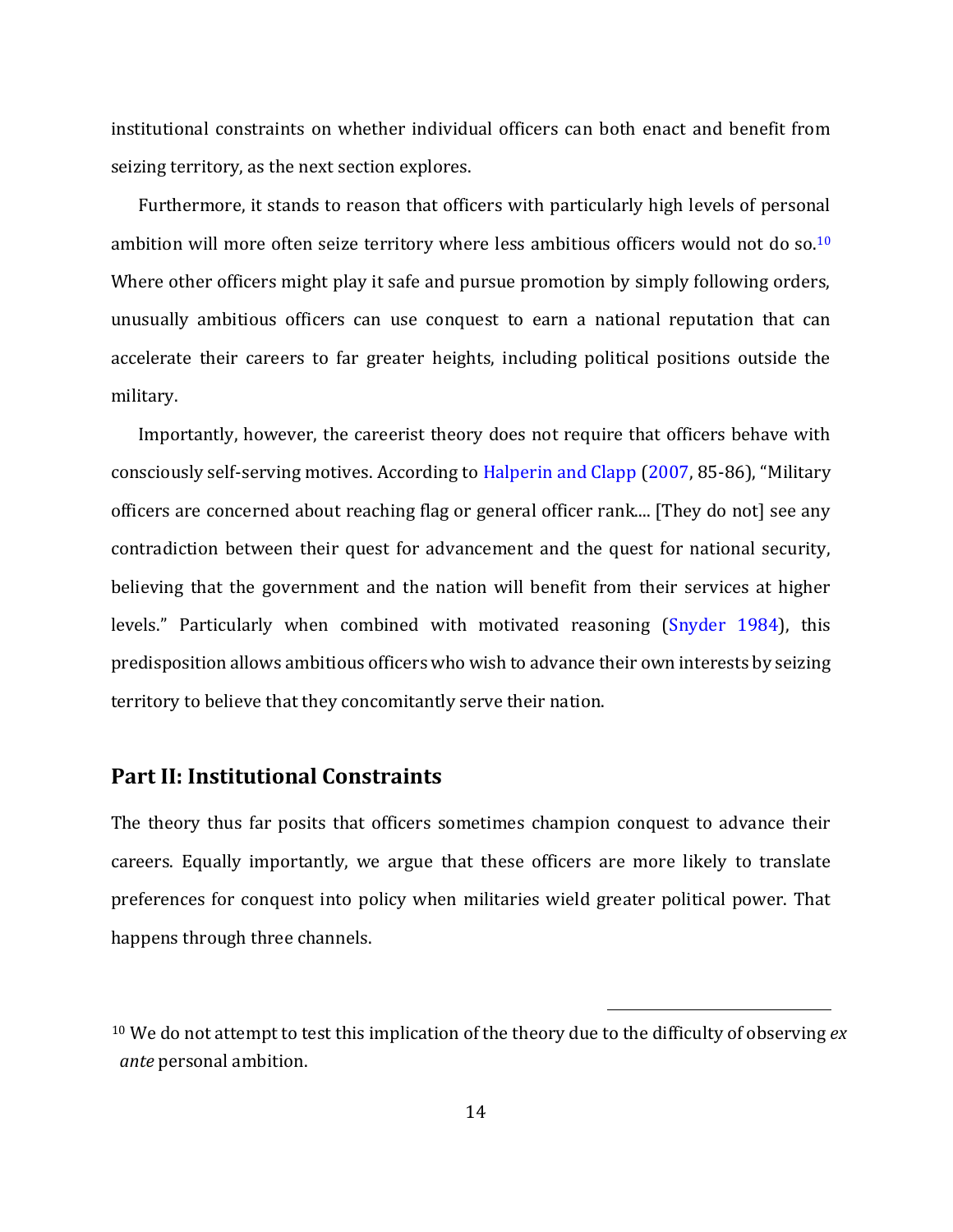institutional constraints on whether individual officers can both enact and benefit from seizing territory, as the next section explores.

Furthermore, it stands to reason that officers with particularly high levels of personal ambition will more often seize territory where less ambitious officers would not do so.<sup>10</sup> Where other officers might play it safe and pursue promotion by simply following orders, unusually ambitious officers can use conquest to earn a national reputation that can accelerate their careers to far greater heights, including political positions outside the military.

Importantly, however, the careerist theory does not require that officers behave with consciously self-serving motives. According to Halperin and Clapp (2007, 85-86), "Military officers are concerned about reaching flag or general officer rank.... [They do not] see any contradiction between their quest for advancement and the quest for national security, believing that the government and the nation will benefit from their services at higher levels." Particularly when combined with motivated reasoning (Snyder 1984), this predisposition allows ambitious officers who wish to advance their own interests by seizing territory to believe that they concomitantly serve their nation.

### **Part II: Institutional Constraints**

The theory thus far posits that officers sometimes champion conquest to advance their careers. Equally importantly, we argue that these officers are more likely to translate preferences for conquest into policy when militaries wield greater political power. That happens through three channels.

<sup>10</sup> We do not attempt to test this implication of the theory due to the difficulty of observing *ex ante* personal ambition.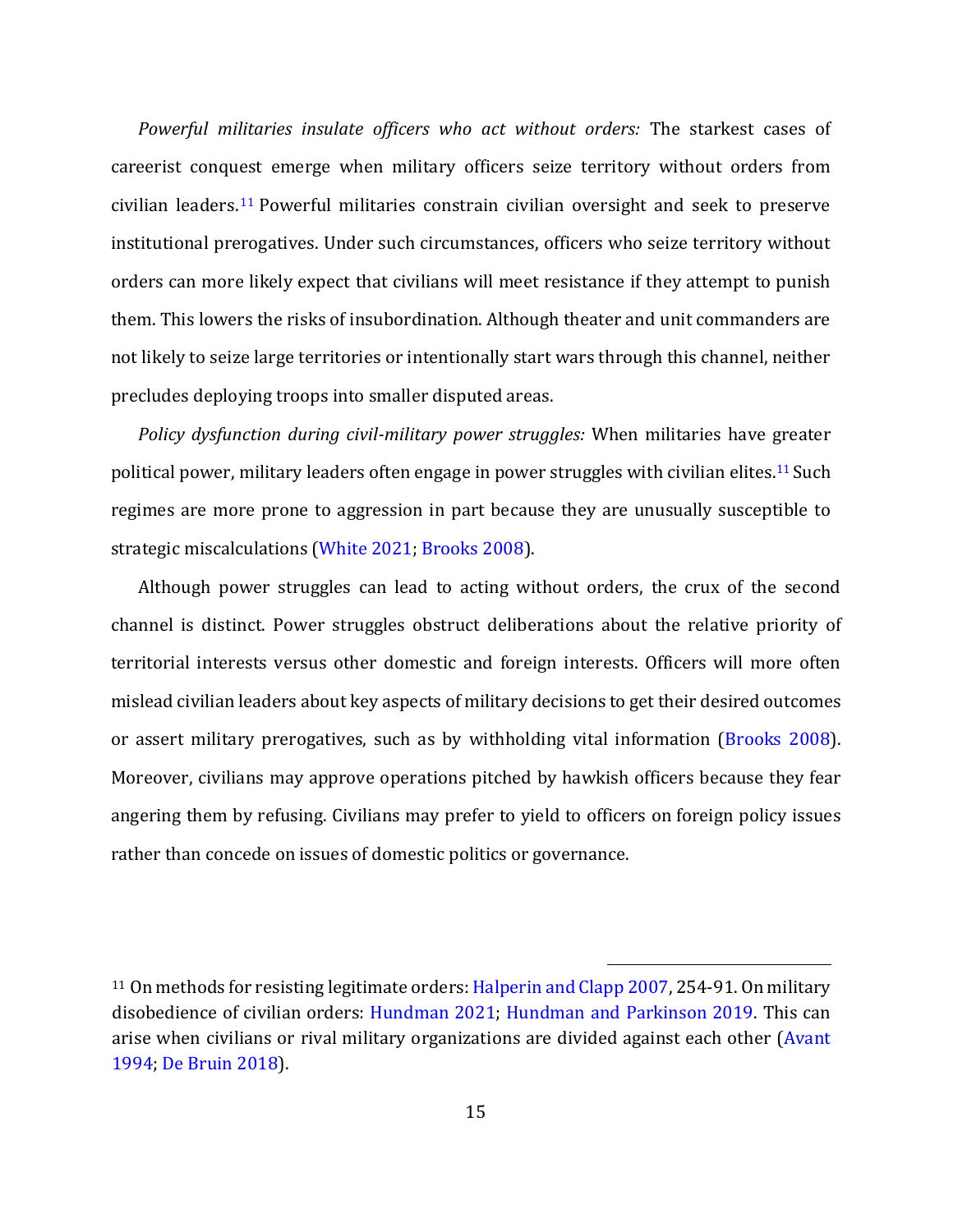*Powerful militaries insulate officers who act without orders:* The starkest cases of careerist conquest emerge when military officers seize territory without orders from civilian leaders. <sup>11</sup> Powerful militaries constrain civilian oversight and seek to preserve institutional prerogatives. Under such circumstances, officers who seize territory without orders can more likely expect that civilians will meet resistance if they attempt to punish them. This lowers the risks of insubordination. Although theater and unit commanders are not likely to seize large territories or intentionally start wars through this channel, neither precludes deploying troops into smaller disputed areas.

*Policy dysfunction during civil-military power struggles:* When militaries have greater political power, military leaders often engage in power struggles with civilian elites.<sup>11</sup> Such regimes are more prone to aggression in part because they are unusually susceptible to strategic miscalculations (White 2021; Brooks 2008).

Although power struggles can lead to acting without orders, the crux of the second channel is distinct. Power struggles obstruct deliberations about the relative priority of territorial interests versus other domestic and foreign interests. Officers will more often mislead civilian leaders about key aspects of military decisions to get their desired outcomes or assert military prerogatives, such as by withholding vital information (Brooks 2008). Moreover, civilians may approve operations pitched by hawkish officers because they fear angering them by refusing. Civilians may prefer to yield to officers on foreign policy issues rather than concede on issues of domestic politics or governance.

<sup>&</sup>lt;sup>11</sup> On methods for resisting legitimate orders: Halperin and Clapp 2007, 254-91. On military disobedience of civilian orders: Hundman 2021; Hundman and Parkinson 2019. This can arise when civilians or rival military organizations are divided against each other (Avant 1994; De Bruin 2018).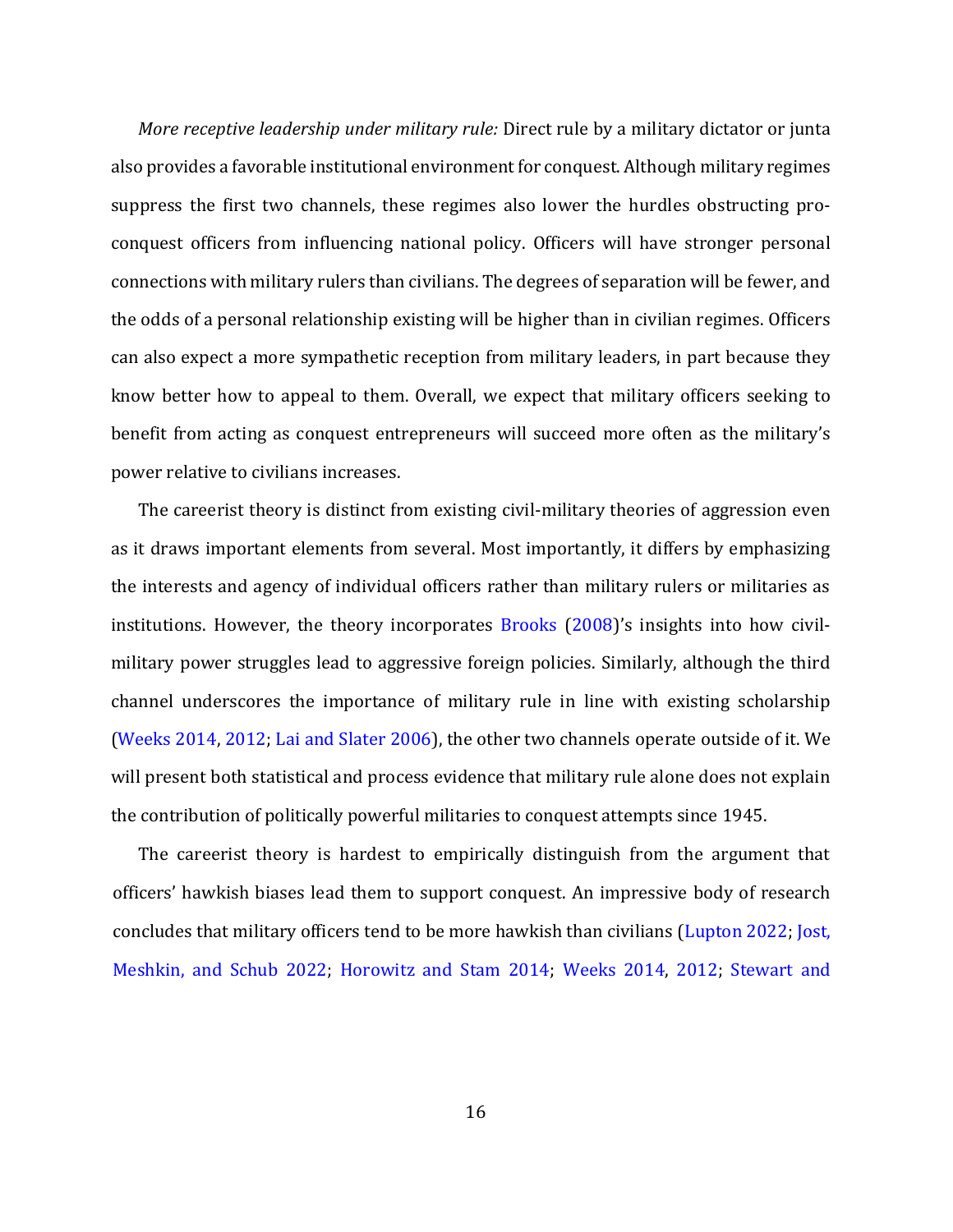*More receptive leadership under military rule:* Direct rule by a military dictator or junta also provides a favorable institutional environment for conquest. Although military regimes suppress the first two channels, these regimes also lower the hurdles obstructing proconquest officers from influencing national policy. Officers will have stronger personal connections with military rulers than civilians. The degrees of separation will be fewer, and the odds of a personal relationship existing will be higher than in civilian regimes. Officers can also expect a more sympathetic reception from military leaders, in part because they know better how to appeal to them. Overall, we expect that military officers seeking to benefit from acting as conquest entrepreneurs will succeed more often as the military's power relative to civilians increases.

The careerist theory is distinct from existing civil-military theories of aggression even as it draws important elements from several. Most importantly, it differs by emphasizing the interests and agency of individual officers rather than military rulers or militaries as institutions. However, the theory incorporates Brooks (2008)'s insights into how civilmilitary power struggles lead to aggressive foreign policies. Similarly, although the third channel underscores the importance of military rule in line with existing scholarship (Weeks 2014, 2012; Lai and Slater 2006), the other two channels operate outside of it. We will present both statistical and process evidence that military rule alone does not explain the contribution of politically powerful militaries to conquest attempts since 1945.

The careerist theory is hardest to empirically distinguish from the argument that officers' hawkish biases lead them to support conquest. An impressive body of research concludes that military officers tend to be more hawkish than civilians (Lupton 2022; Jost, Meshkin, and Schub 2022; Horowitz and Stam 2014; Weeks 2014, 2012; Stewart and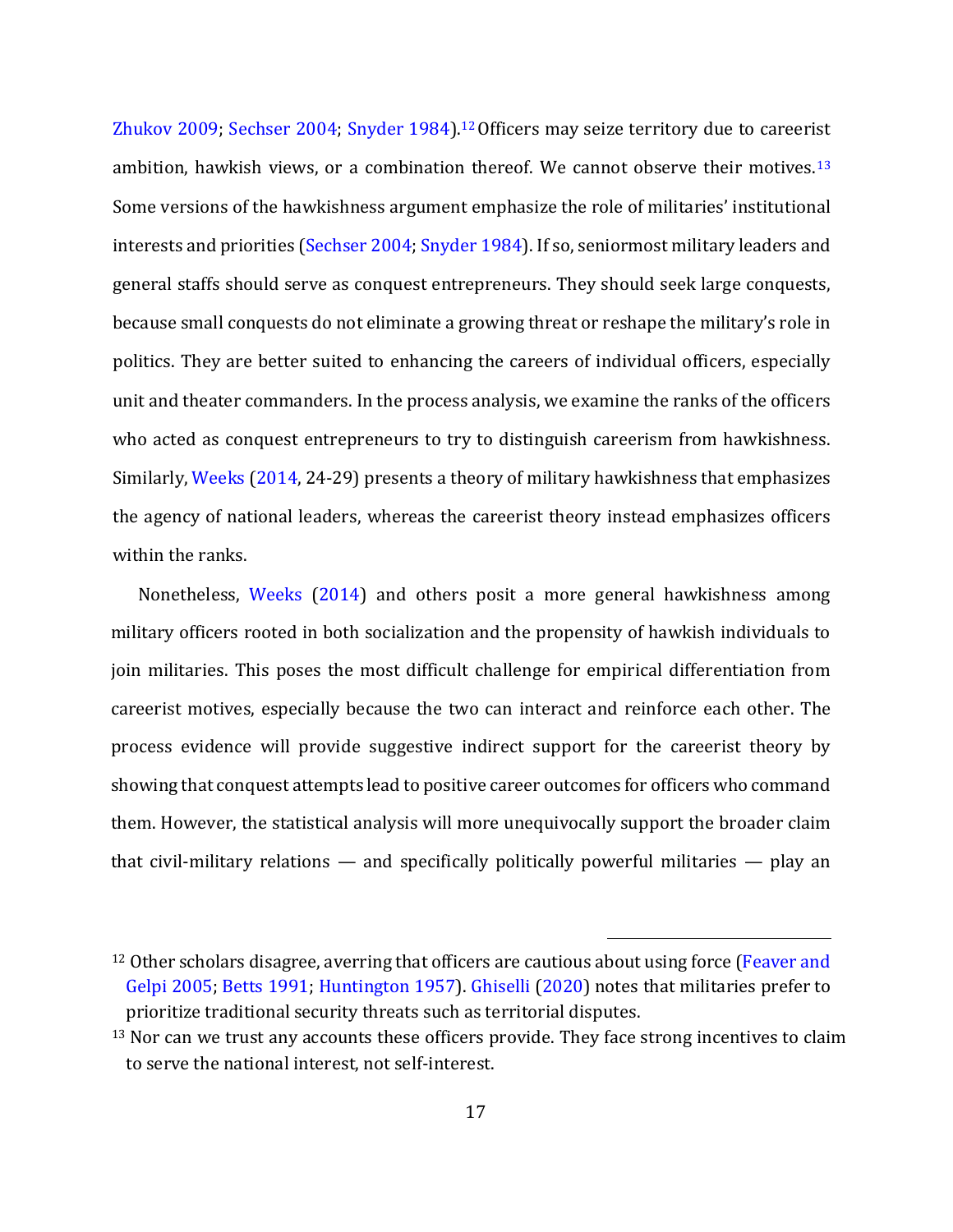Zhukov 2009; Sechser 2004; Snyder 1984).12Officers may seize territory due to careerist ambition, hawkish views, or a combination thereof. We cannot observe their motives.<sup>13</sup> Some versions of the hawkishness argument emphasize the role of militaries' institutional interests and priorities (Sechser 2004; Snyder 1984). If so, seniormost military leaders and general staffs should serve as conquest entrepreneurs. They should seek large conquests, because small conquests do not eliminate a growing threat or reshape the military's role in politics. They are better suited to enhancing the careers of individual officers, especially unit and theater commanders. In the process analysis, we examine the ranks of the officers who acted as conquest entrepreneurs to try to distinguish careerism from hawkishness. Similarly, Weeks (2014, 24-29) presents a theory of military hawkishness that emphasizes the agency of national leaders, whereas the careerist theory instead emphasizes officers within the ranks.

Nonetheless, Weeks (2014) and others posit a more general hawkishness among military officers rooted in both socialization and the propensity of hawkish individuals to join militaries. This poses the most difficult challenge for empirical differentiation from careerist motives, especially because the two can interact and reinforce each other. The process evidence will provide suggestive indirect support for the careerist theory by showing that conquest attempts lead to positive career outcomes for officers who command them. However, the statistical analysis will more unequivocally support the broader claim that civil-military relations  $-$  and specifically politically powerful militaries  $-$  play an

<sup>&</sup>lt;sup>12</sup> Other scholars disagree, averring that officers are cautious about using force (Feaver and Gelpi 2005; Betts 1991; Huntington 1957). Ghiselli (2020) notes that militaries prefer to prioritize traditional security threats such as territorial disputes.

 $13$  Nor can we trust any accounts these officers provide. They face strong incentives to claim to serve the national interest, not self-interest.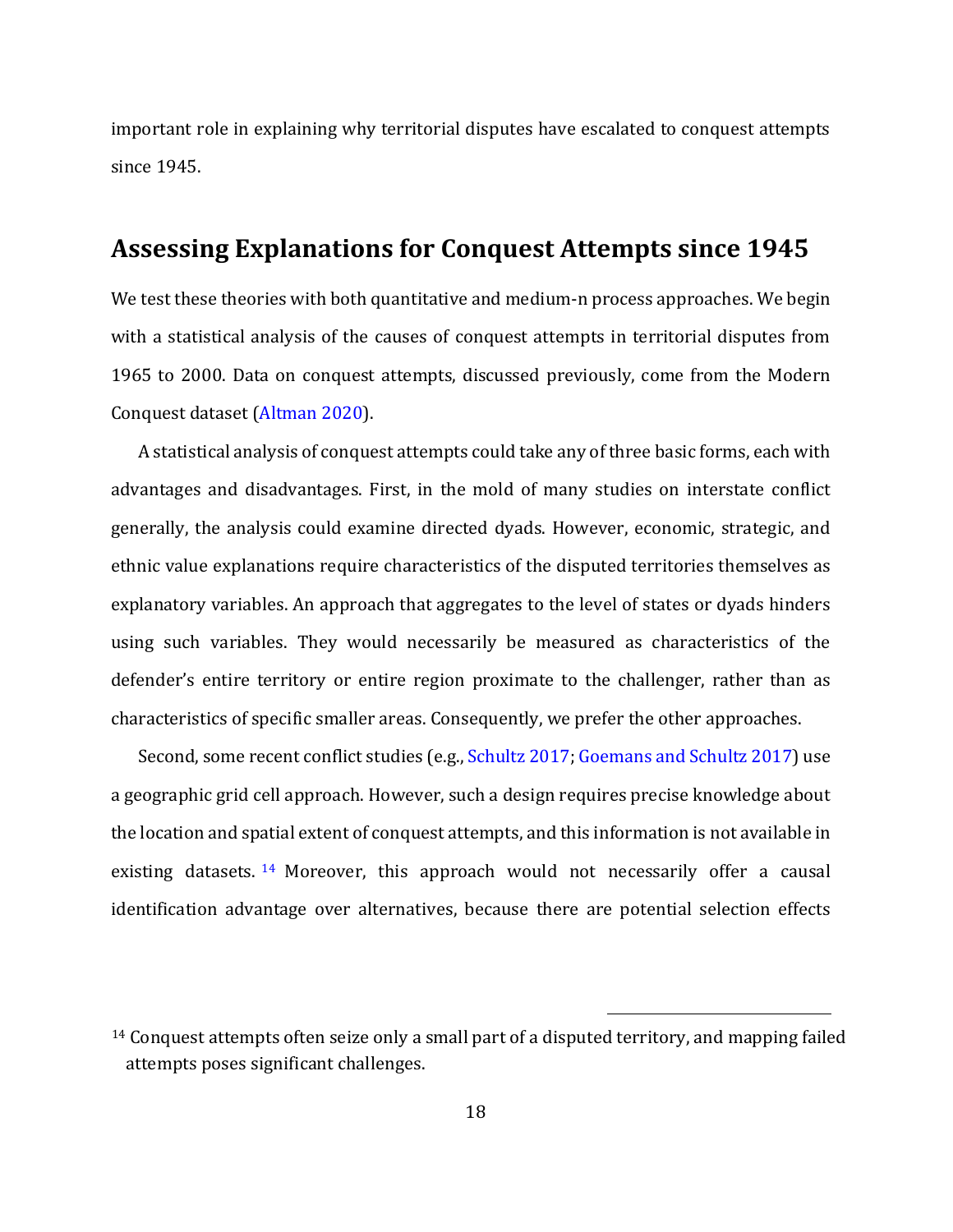important role in explaining why territorial disputes have escalated to conquest attempts since 1945.

## **Assessing Explanations for Conquest Attempts since 1945**

We test these theories with both quantitative and medium-n process approaches. We begin with a statistical analysis of the causes of conquest attempts in territorial disputes from 1965 to 2000. Data on conquest attempts, discussed previously, come from the Modern Conquest dataset (Altman 2020).

A statistical analysis of conquest attempts could take any of three basic forms, each with advantages and disadvantages. First, in the mold of many studies on interstate conflict generally, the analysis could examine directed dyads. However, economic, strategic, and ethnic value explanations require characteristics of the disputed territories themselves as explanatory variables. An approach that aggregates to the level of states or dyads hinders using such variables. They would necessarily be measured as characteristics of the defender's entire territory or entire region proximate to the challenger, rather than as characteristics of specific smaller areas. Consequently, we prefer the other approaches.

Second, some recent conflict studies (e.g., Schultz 2017; Goemans and Schultz 2017) use a geographic grid cell approach. However, such a design requires precise knowledge about the location and spatial extent of conquest attempts, and this information is not available in existing datasets.<sup>14</sup> Moreover, this approach would not necessarily offer a causal identification advantage over alternatives, because there are potential selection effects

<sup>14</sup> Conquest attempts often seize only a small part of a disputed territory, and mapping failed attempts poses significant challenges.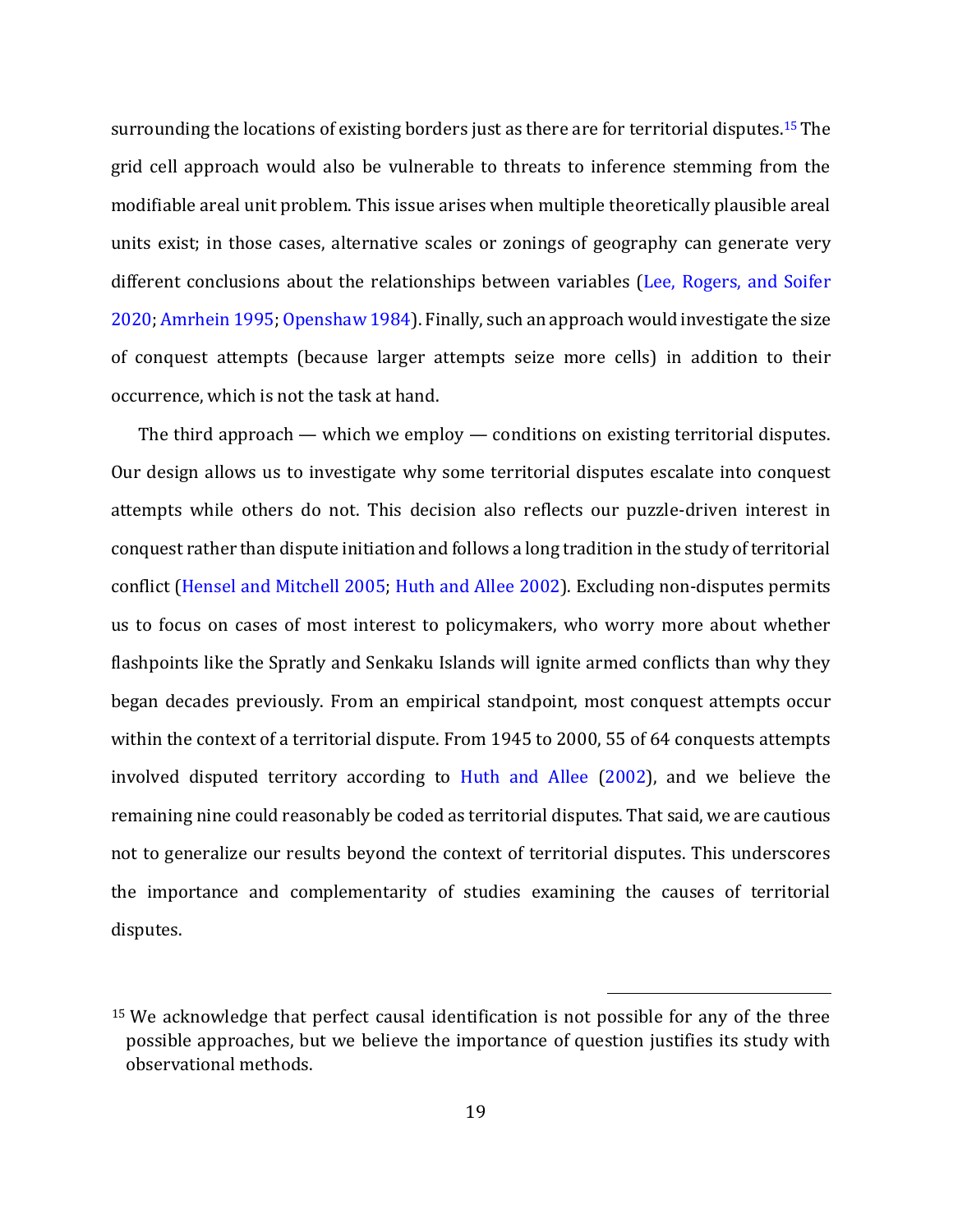surrounding the locations of existing borders just as there are for territorial disputes.<sup>15</sup> The grid cell approach would also be vulnerable to threats to inference stemming from the modifiable areal unit problem. This issue arises when multiple theoretically plausible areal units exist; in those cases, alternative scales or zonings of geography can generate very different conclusions about the relationships between variables (Lee, Rogers, and Soifer 2020; Amrhein 1995; Openshaw 1984). Finally, such an approach would investigate the size of conquest attempts (because larger attempts seize more cells) in addition to their occurrence, which is not the task at hand.

The third approach — which we employ — conditions on existing territorial disputes. Our design allows us to investigate why some territorial disputes escalate into conquest attempts while others do not. This decision also reflects our puzzle-driven interest in conquest rather than dispute initiation and follows a long tradition in the study of territorial conflict (Hensel and Mitchell 2005; Huth and Allee 2002). Excluding non-disputes permits us to focus on cases of most interest to policymakers, who worry more about whether flashpoints like the Spratly and Senkaku Islands will ignite armed conflicts than why they began decades previously. From an empirical standpoint, most conquest attempts occur within the context of a territorial dispute. From 1945 to 2000, 55 of 64 conquests attempts involved disputed territory according to Huth and Allee (2002), and we believe the remaining nine could reasonably be coded as territorial disputes. That said, we are cautious not to generalize our results beyond the context of territorial disputes. This underscores the importance and complementarity of studies examining the causes of territorial disputes.

<sup>&</sup>lt;sup>15</sup> We acknowledge that perfect causal identification is not possible for any of the three possible approaches, but we believe the importance of question justifies its study with observational methods.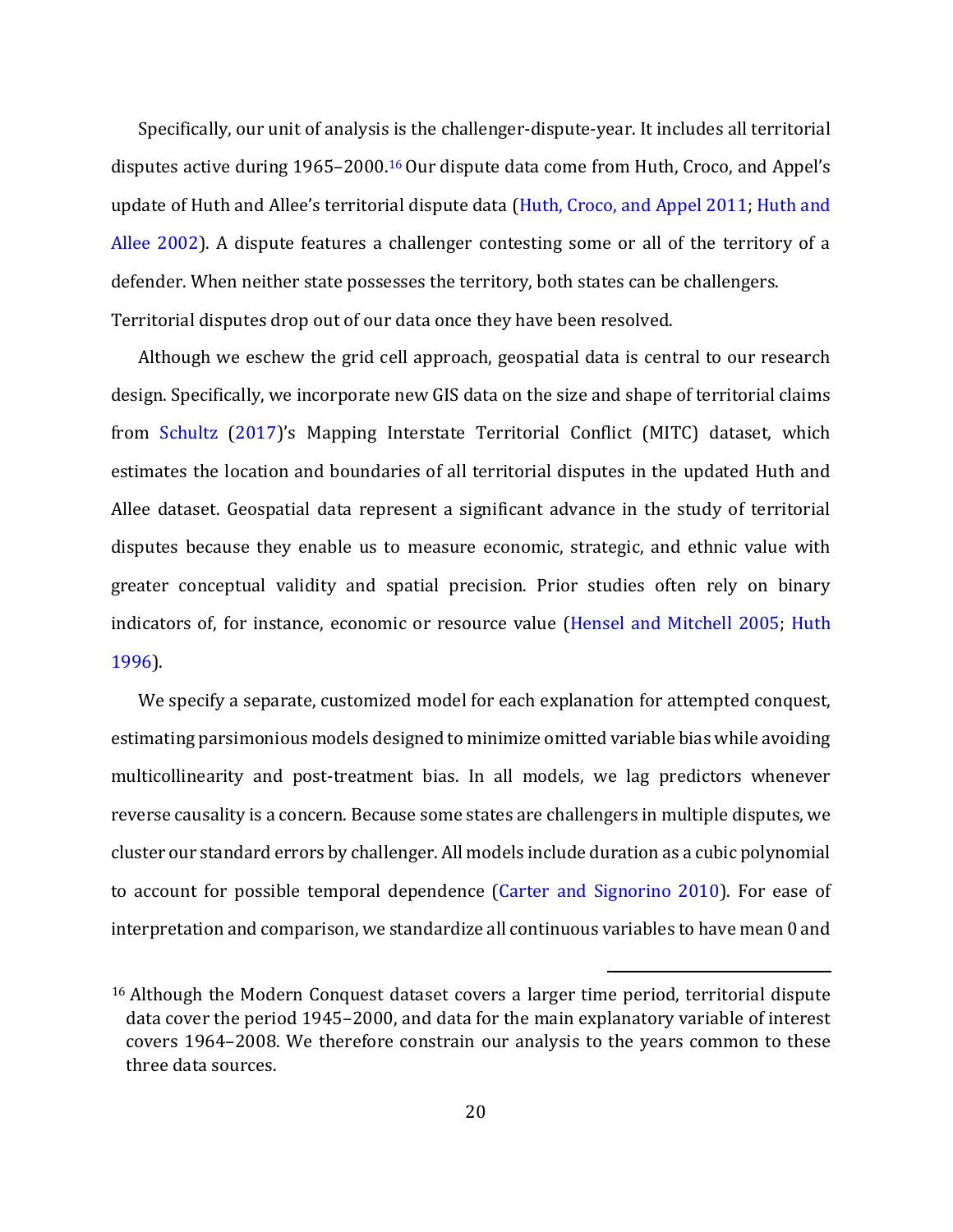Specifically, our unit of analysis is the challenger-dispute-year. It includes all territorial disputes active during 1965–2000.<sup>16</sup> Our dispute data come from Huth, Croco, and Appel's update of Huth and Allee's territorial dispute data (Huth, Croco, and Appel 2011; Huth and Allee 2002). A dispute features a challenger contesting some or all of the territory of a defender. When neither state possesses the territory, both states can be challengers. Territorial disputes drop out of our data once they have been resolved.

Although we eschew the grid cell approach, geospatial data is central to our research design. Specifically, we incorporate new GIS data on the size and shape of territorial claims from Schultz (2017)'s Mapping Interstate Territorial Conflict (MITC) dataset, which estimates the location and boundaries of all territorial disputes in the updated Huth and Allee dataset. Geospatial data represent a significant advance in the study of territorial disputes because they enable us to measure economic, strategic, and ethnic value with greater conceptual validity and spatial precision. Prior studies often rely on binary indicators of, for instance, economic or resource value (Hensel and Mitchell 2005; Huth 1996).

We specify a separate, customized model for each explanation for attempted conquest, estimating parsimonious models designed to minimize omitted variable bias while avoiding multicollinearity and post-treatment bias. In all models, we lag predictors whenever reverse causality is a concern. Because some states are challengers in multiple disputes, we cluster our standard errors by challenger. All models include duration as a cubic polynomial to account for possible temporal dependence (Carter and Signorino 2010). For ease of interpretation and comparison, we standardize all continuous variables to have mean 0 and

<sup>16</sup> Although the Modern Conquest dataset covers a larger time period, territorial dispute data cover the period 1945–2000, and data for the main explanatory variable of interest covers 1964–2008. We therefore constrain our analysis to the years common to these three data sources.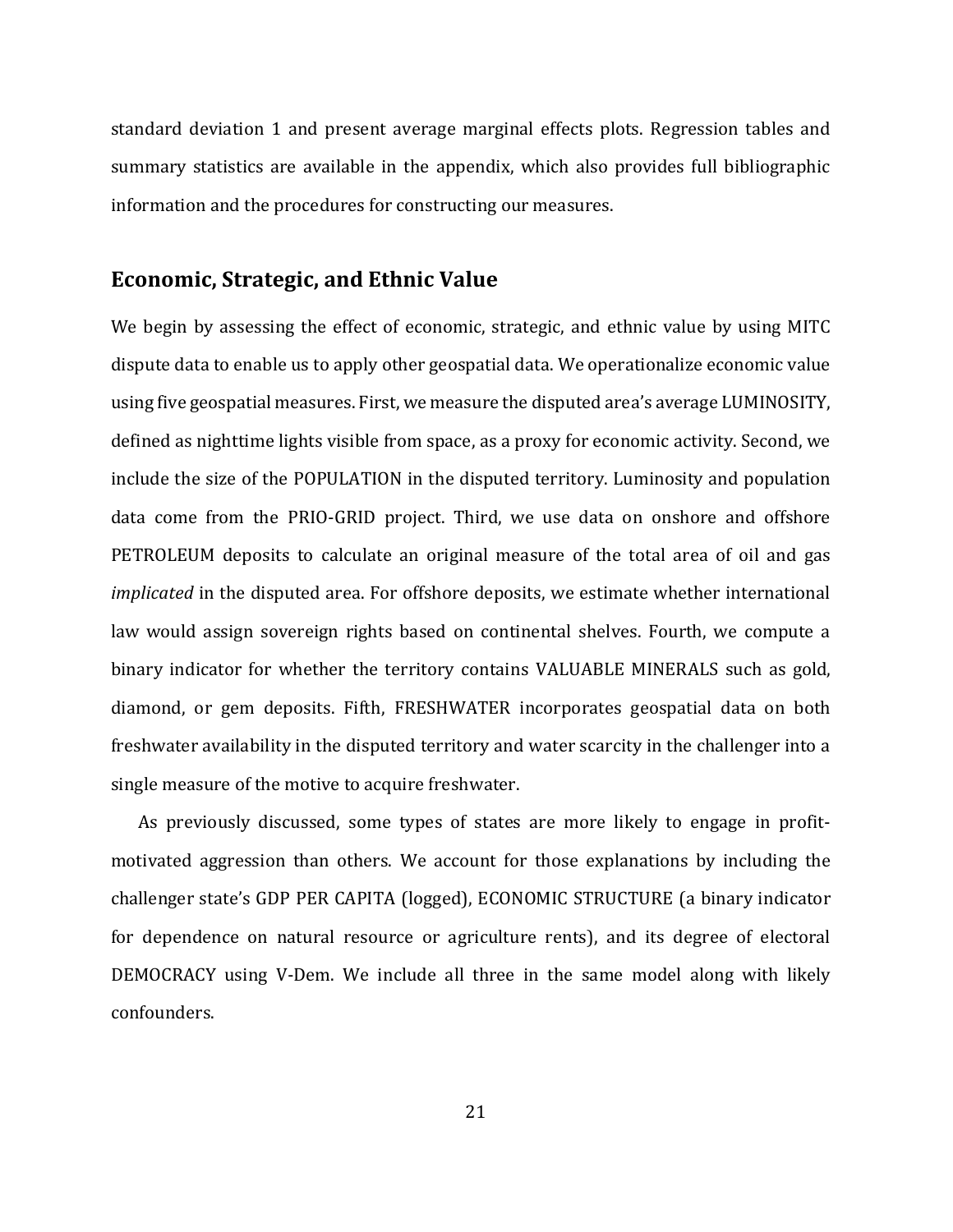standard deviation 1 and present average marginal effects plots. Regression tables and summary statistics are available in the appendix, which also provides full bibliographic information and the procedures for constructing our measures.

### **Economic, Strategic, and Ethnic Value**

We begin by assessing the effect of economic, strategic, and ethnic value by using MITC dispute data to enable us to apply other geospatial data. We operationalize economic value using five geospatial measures. First, we measure the disputed area's average LUMINOSITY, defined as nighttime lights visible from space, as a proxy for economic activity. Second, we include the size of the POPULATION in the disputed territory. Luminosity and population data come from the PRIO-GRID project. Third, we use data on onshore and offshore PETROLEUM deposits to calculate an original measure of the total area of oil and gas *implicated* in the disputed area. For offshore deposits, we estimate whether international law would assign sovereign rights based on continental shelves. Fourth, we compute a binary indicator for whether the territory contains VALUABLE MINERALS such as gold, diamond, or gem deposits. Fifth, FRESHWATER incorporates geospatial data on both freshwater availability in the disputed territory and water scarcity in the challenger into a single measure of the motive to acquire freshwater.

As previously discussed, some types of states are more likely to engage in profitmotivated aggression than others. We account for those explanations by including the challenger state's GDP PER CAPITA (logged), ECONOMIC STRUCTURE (a binary indicator for dependence on natural resource or agriculture rents), and its degree of electoral DEMOCRACY using V-Dem. We include all three in the same model along with likely confounders.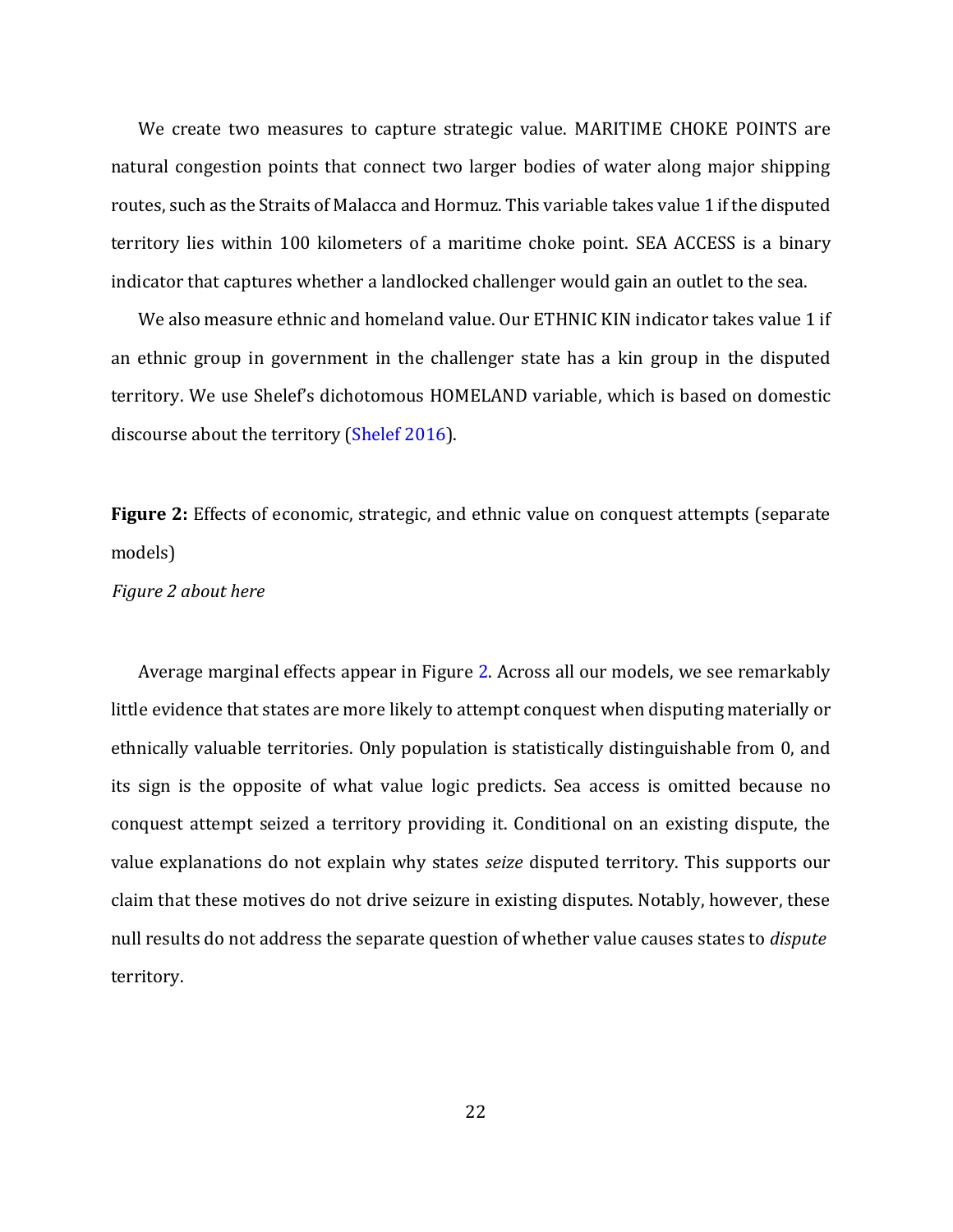We create two measures to capture strategic value. MARITIME CHOKE POINTS are natural congestion points that connect two larger bodies of water along major shipping routes, such as the Straits of Malacca and Hormuz. This variable takes value 1 if the disputed territory lies within 100 kilometers of a maritime choke point. SEA ACCESS is a binary indicator that captures whether a landlocked challenger would gain an outlet to the sea.

We also measure ethnic and homeland value. Our ETHNIC KIN indicator takes value 1 if an ethnic group in government in the challenger state has a kin group in the disputed territory. We use Shelef's dichotomous HOMELAND variable, which is based on domestic discourse about the territory (Shelef 2016).

**Figure 2:** Effects of economic, strategic, and ethnic value on conquest attempts (separate models)

#### *Figure 2 about here*

Average marginal effects appear in Figure 2. Across all our models, we see remarkably little evidence that states are more likely to attempt conquest when disputing materially or ethnically valuable territories. Only population is statistically distinguishable from 0, and its sign is the opposite of what value logic predicts. Sea access is omitted because no conquest attempt seized a territory providing it. Conditional on an existing dispute, the value explanations do not explain why states *seize* disputed territory. This supports our claim that these motives do not drive seizure in existing disputes. Notably, however, these null results do not address the separate question of whether value causes states to *dispute* territory.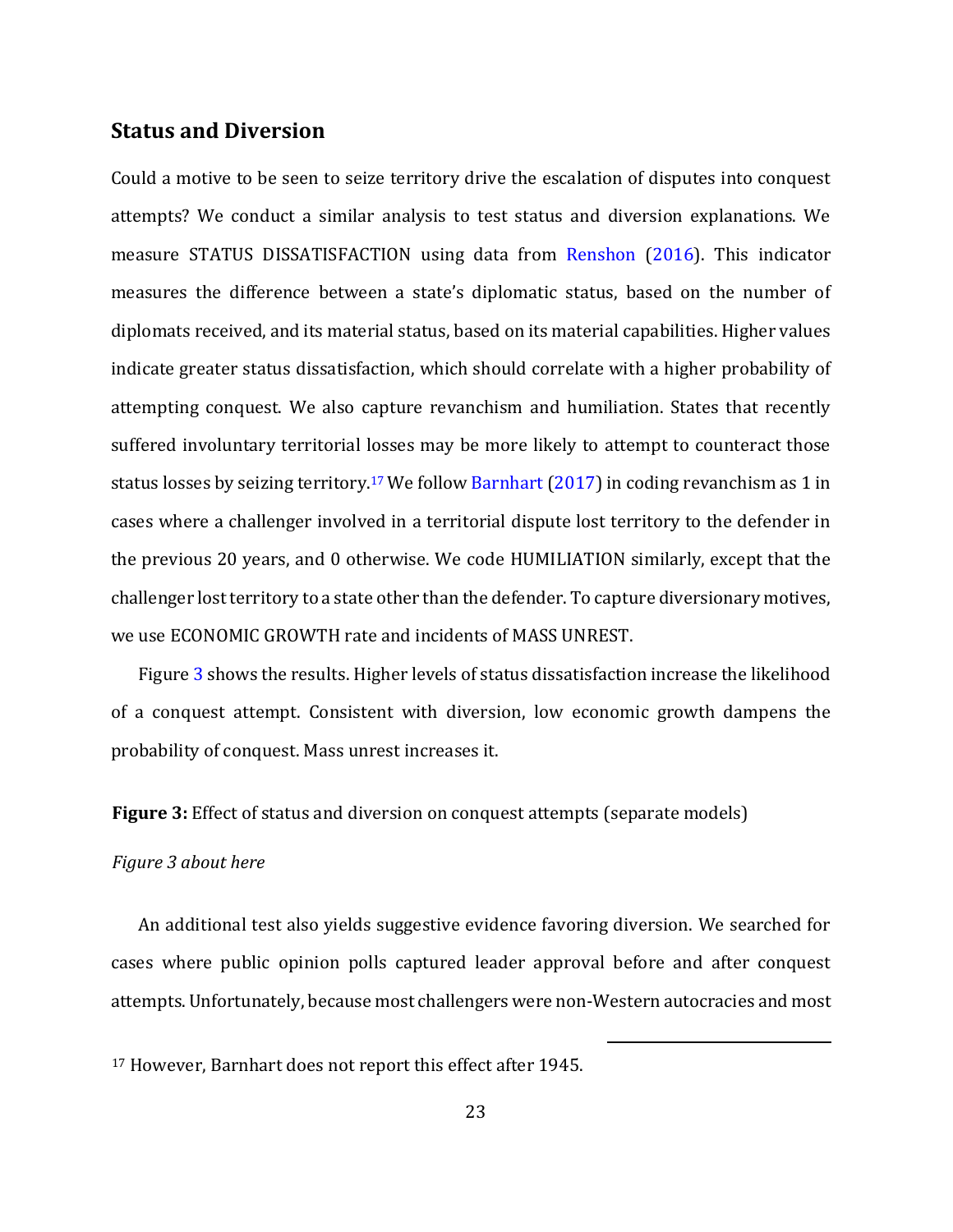#### **Status and Diversion**

Could a motive to be seen to seize territory drive the escalation of disputes into conquest attempts? We conduct a similar analysis to test status and diversion explanations. We measure STATUS DISSATISFACTION using data from Renshon (2016). This indicator measures the difference between a state's diplomatic status, based on the number of diplomats received, and its material status, based on its material capabilities. Higher values indicate greater status dissatisfaction, which should correlate with a higher probability of attempting conquest. We also capture revanchism and humiliation. States that recently suffered involuntary territorial losses may be more likely to attempt to counteract those status losses by seizing territory.<sup>17</sup> We follow **Barnhart (2017)** in coding revanchism as 1 in cases where a challenger involved in a territorial dispute lost territory to the defender in the previous 20 years, and 0 otherwise. We code HUMILIATION similarly, except that the challenger lost territory to a state other than the defender. To capture diversionary motives, we use ECONOMIC GROWTH rate and incidents of MASS UNREST.

Figure 3 shows the results. Higher levels of status dissatisfaction increase the likelihood of a conquest attempt. Consistent with diversion, low economic growth dampens the probability of conquest. Mass unrest increases it.

**Figure 3:** Effect of status and diversion on conquest attempts (separate models)

#### *Figure 3 about here*

An additional test also yields suggestive evidence favoring diversion. We searched for cases where public opinion polls captured leader approval before and after conquest attempts. Unfortunately, because most challengers were non-Western autocracies and most

<sup>17</sup> However, Barnhart does not report this effect after 1945.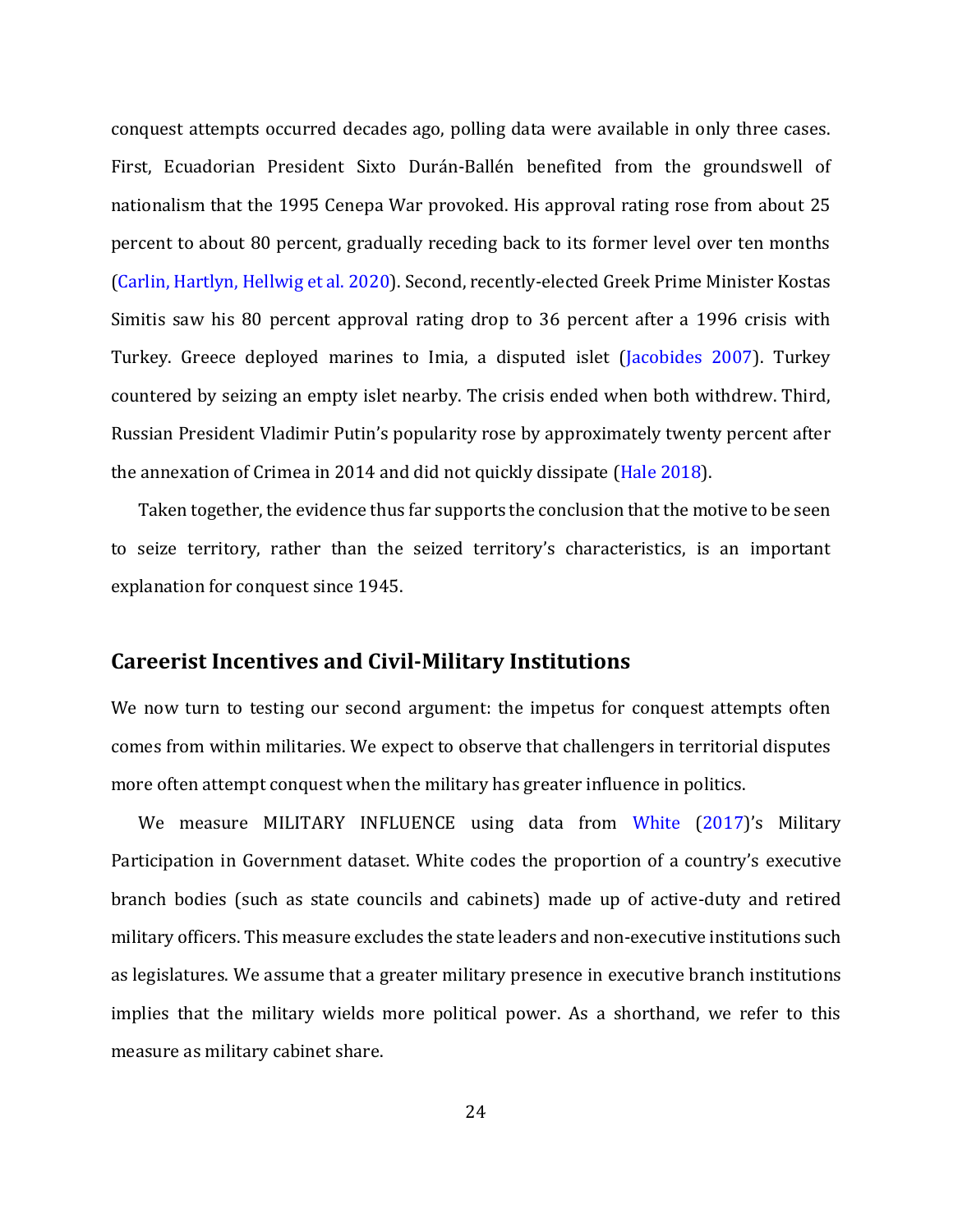conquest attempts occurred decades ago, polling data were available in only three cases. First, Ecuadorian President Sixto Durán-Ballén benefited from the groundswell of nationalism that the 1995 Cenepa War provoked. His approval rating rose from about 25 percent to about 80 percent, gradually receding back to its former level over ten months (Carlin, Hartlyn, Hellwig et al. 2020). Second, recently-elected Greek Prime Minister Kostas Simitis saw his 80 percent approval rating drop to 36 percent after a 1996 crisis with Turkey. Greece deployed marines to Imia, a disputed islet (Jacobides 2007). Turkey countered by seizing an empty islet nearby. The crisis ended when both withdrew. Third, Russian President Vladimir Putin's popularity rose by approximately twenty percent after the annexation of Crimea in 2014 and did not quickly dissipate (Hale 2018).

Taken together, the evidence thus far supports the conclusion that the motive to be seen to seize territory, rather than the seized territory's characteristics, is an important explanation for conquest since 1945.

### **Careerist Incentives and Civil-Military Institutions**

We now turn to testing our second argument: the impetus for conquest attempts often comes from within militaries. We expect to observe that challengers in territorial disputes more often attempt conquest when the military has greater influence in politics.

We measure MILITARY INFLUENCE using data from White (2017)'s Military Participation in Government dataset. White codes the proportion of a country's executive branch bodies (such as state councils and cabinets) made up of active-duty and retired military officers. This measure excludes the state leaders and non-executive institutions such as legislatures. We assume that a greater military presence in executive branch institutions implies that the military wields more political power. As a shorthand, we refer to this measure as military cabinet share.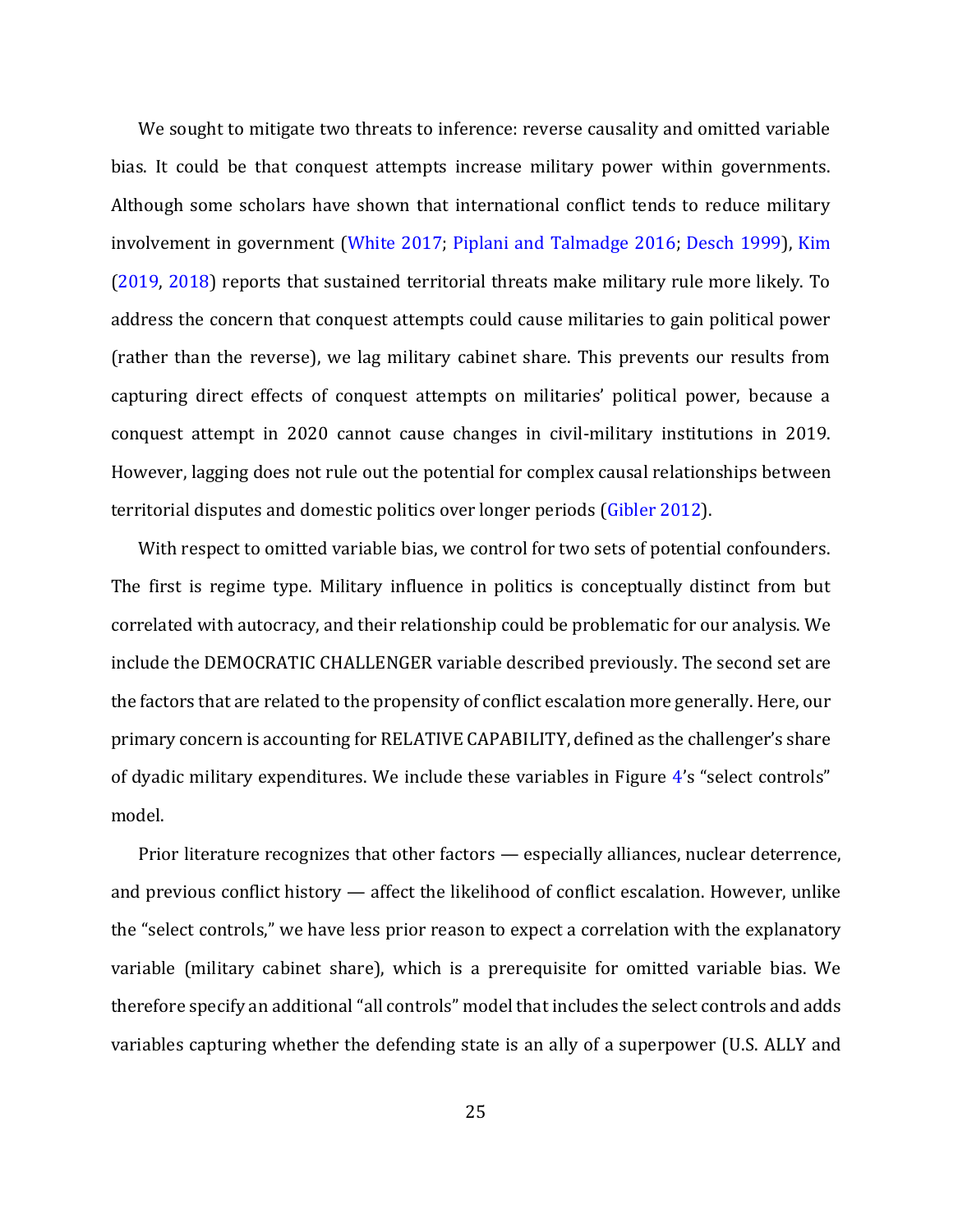We sought to mitigate two threats to inference: reverse causality and omitted variable bias. It could be that conquest attempts increase military power within governments. Although some scholars have shown that international conflict tends to reduce military involvement in government (White 2017; Piplani and Talmadge 2016; Desch 1999), Kim (2019, 2018) reports that sustained territorial threats make military rule more likely. To address the concern that conquest attempts could cause militaries to gain political power (rather than the reverse), we lag military cabinet share. This prevents our results from capturing direct effects of conquest attempts on militaries' political power, because a conquest attempt in 2020 cannot cause changes in civil-military institutions in 2019. However, lagging does not rule out the potential for complex causal relationships between territorial disputes and domestic politics over longer periods (Gibler 2012).

With respect to omitted variable bias, we control for two sets of potential confounders. The first is regime type. Military influence in politics is conceptually distinct from but correlated with autocracy, and their relationship could be problematic for our analysis. We include the DEMOCRATIC CHALLENGER variable described previously. The second set are the factors that are related to the propensity of conflict escalation more generally. Here, our primary concern is accounting for RELATIVE CAPABILITY, defined as the challenger's share of dyadic military expenditures. We include these variables in Figure 4's "select controls" model.

Prior literature recognizes that other factors — especially alliances, nuclear deterrence, and previous conflict history — affect the likelihood of conflict escalation. However, unlike the "select controls," we have less prior reason to expect a correlation with the explanatory variable (military cabinet share), which is a prerequisite for omitted variable bias. We therefore specify an additional "all controls" model that includes the select controls and adds variables capturing whether the defending state is an ally of a superpower (U.S. ALLY and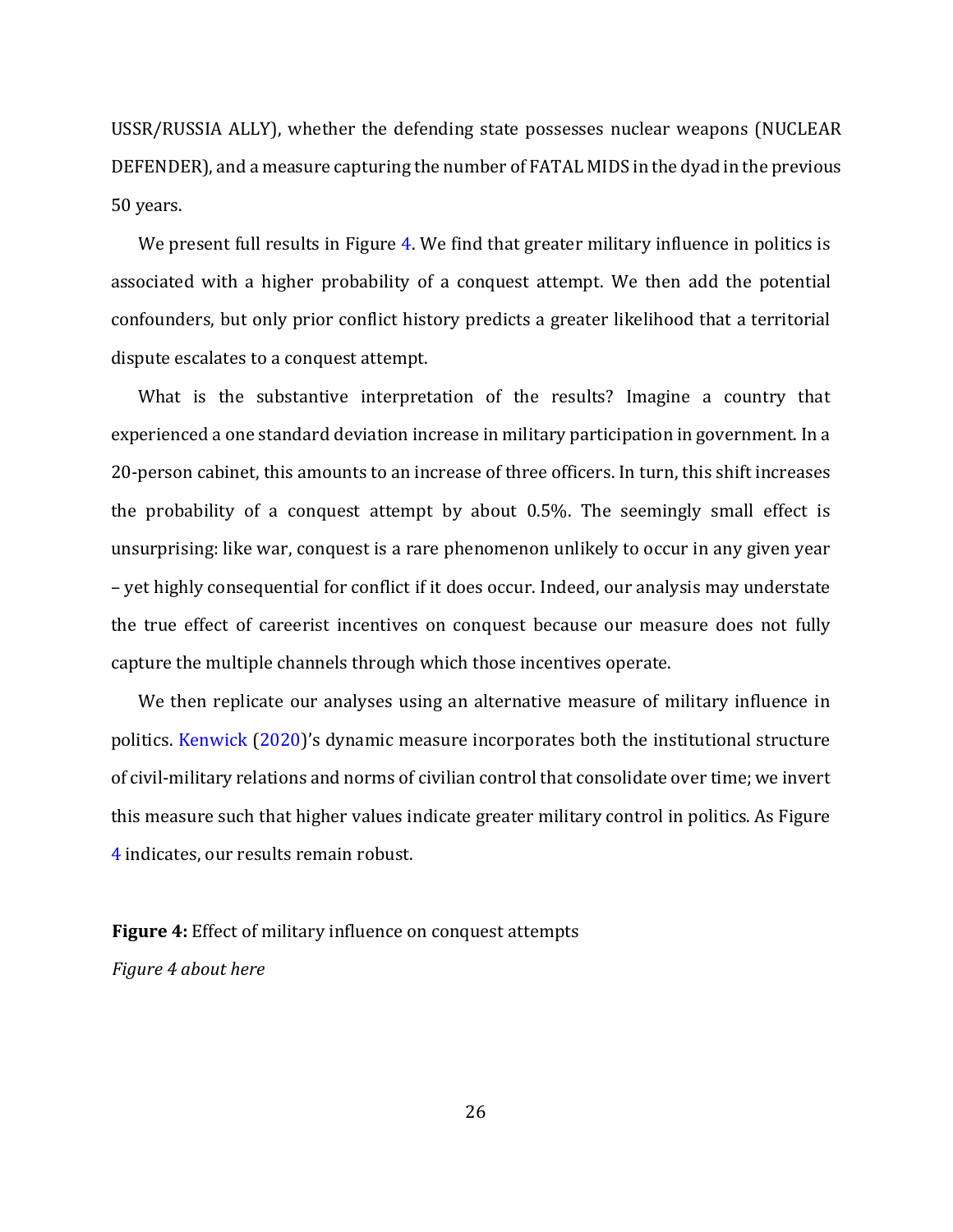USSR/RUSSIA ALLY), whether the defending state possesses nuclear weapons (NUCLEAR DEFENDER), and a measure capturing the number of FATAL MIDS in the dyad in the previous 50 years.

We present full results in Figure 4. We find that greater military influence in politics is associated with a higher probability of a conquest attempt. We then add the potential confounders, but only prior conflict history predicts a greater likelihood that a territorial dispute escalates to a conquest attempt.

What is the substantive interpretation of the results? Imagine a country that experienced a one standard deviation increase in military participation in government. In a 20-person cabinet, this amounts to an increase of three officers. In turn, this shift increases the probability of a conquest attempt by about 0.5%. The seemingly small effect is unsurprising: like war, conquest is a rare phenomenon unlikely to occur in any given year – yet highly consequential for conflict if it does occur. Indeed, our analysis may understate the true effect of careerist incentives on conquest because our measure does not fully capture the multiple channels through which those incentives operate.

We then replicate our analyses using an alternative measure of military influence in politics. Kenwick (2020)'s dynamic measure incorporates both the institutional structure of civil-military relations and norms of civilian control that consolidate over time; we invert this measure such that higher values indicate greater military control in politics. As Figure 4 indicates, our results remain robust.

**Figure 4:** Effect of military influence on conquest attempts *Figure 4 about here*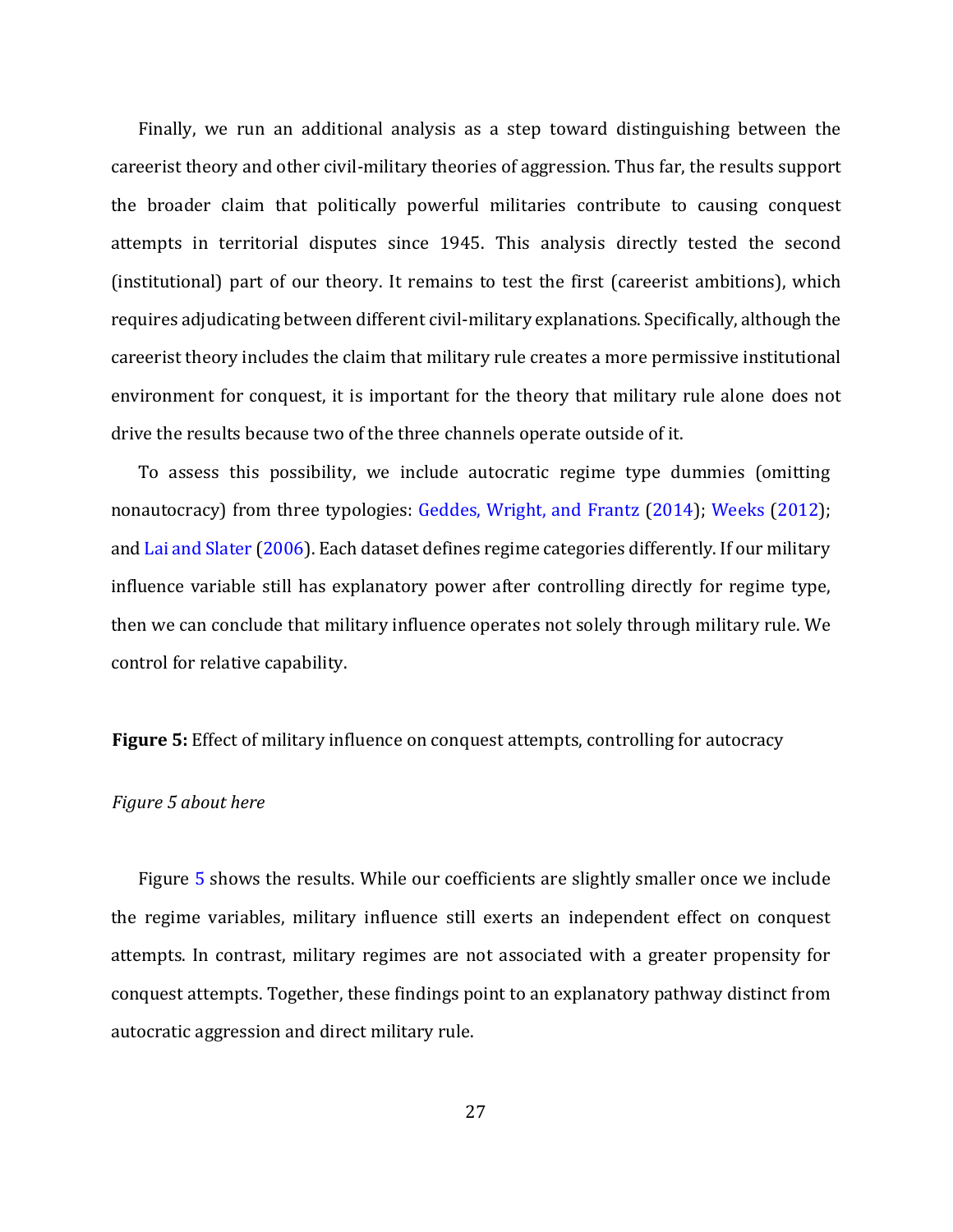Finally, we run an additional analysis as a step toward distinguishing between the careerist theory and other civil-military theories of aggression. Thus far, the results support the broader claim that politically powerful militaries contribute to causing conquest attempts in territorial disputes since 1945. This analysis directly tested the second (institutional) part of our theory. It remains to test the first (careerist ambitions), which requires adjudicating between different civil-military explanations. Specifically, although the careerist theory includes the claim that military rule creates a more permissive institutional environment for conquest, it is important for the theory that military rule alone does not drive the results because two of the three channels operate outside of it.

To assess this possibility, we include autocratic regime type dummies (omitting nonautocracy) from three typologies: Geddes, Wright, and Frantz (2014); Weeks (2012); and Lai and Slater (2006). Each dataset defines regime categories differently. If our military influence variable still has explanatory power after controlling directly for regime type, then we can conclude that military influence operates not solely through military rule. We control for relative capability.

**Figure 5:** Effect of military influence on conquest attempts, controlling for autocracy

#### *Figure 5 about here*

Figure 5 shows the results. While our coefficients are slightly smaller once we include the regime variables, military influence still exerts an independent effect on conquest attempts. In contrast, military regimes are not associated with a greater propensity for conquest attempts. Together, these findings point to an explanatory pathway distinct from autocratic aggression and direct military rule.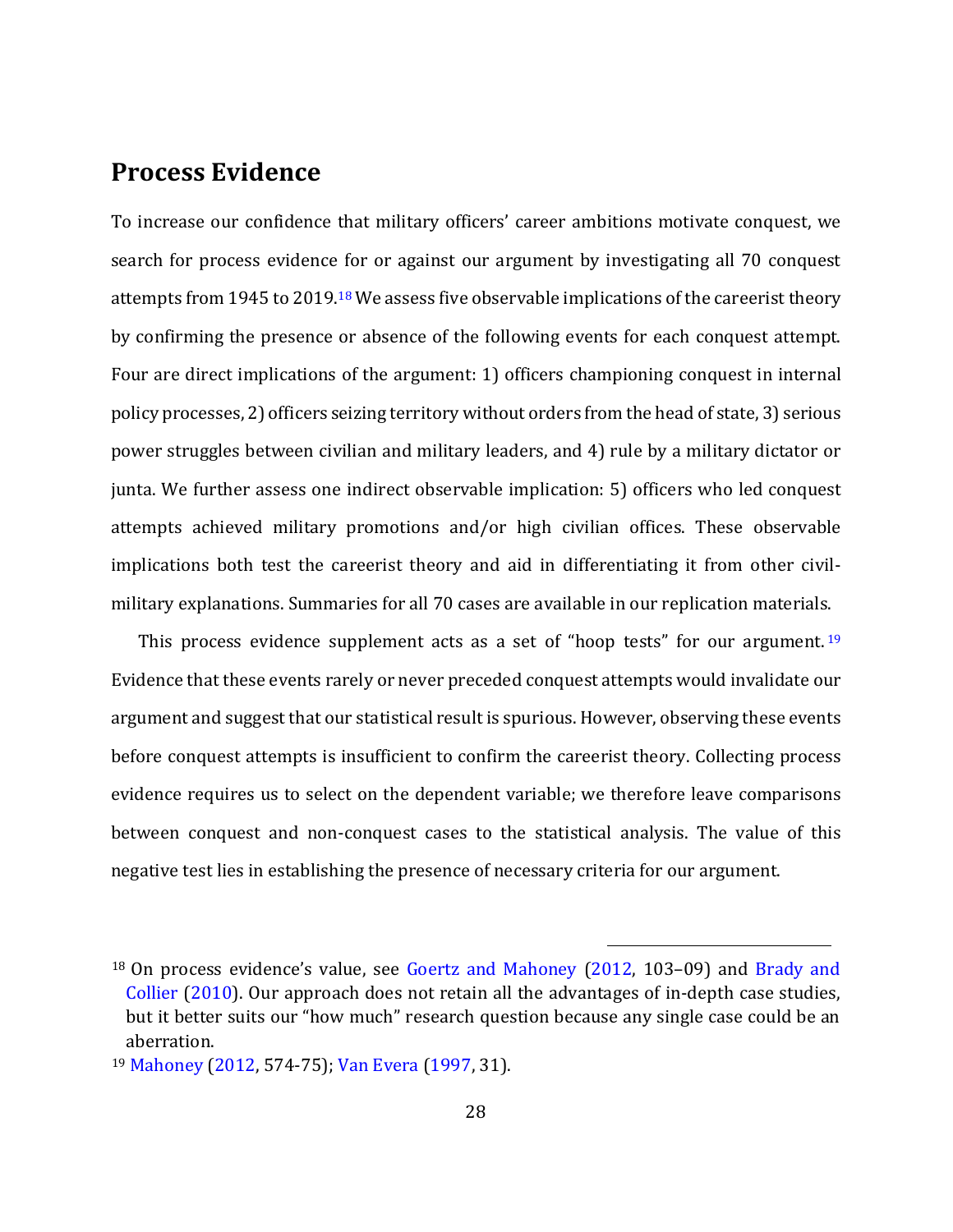## **Process Evidence**

To increase our confidence that military officers' career ambitions motivate conquest, we search for process evidence for or against our argument by investigating all 70 conquest attempts from 1945 to 2019.<sup>18</sup> We assess five observable implications of the careerist theory by confirming the presence or absence of the following events for each conquest attempt. Four are direct implications of the argument: 1) officers championing conquest in internal policy processes, 2) officers seizing territory without orders from the head of state, 3) serious power struggles between civilian and military leaders, and 4) rule by a military dictator or junta. We further assess one indirect observable implication: 5) officers who led conquest attempts achieved military promotions and/or high civilian offices. These observable implications both test the careerist theory and aid in differentiating it from other civilmilitary explanations. Summaries for all 70 cases are available in our replication materials.

This process evidence supplement acts as a set of "hoop tests" for our argument.<sup>19</sup> Evidence that these events rarely or never preceded conquest attempts would invalidate our argument and suggest that our statistical result is spurious. However, observing these events before conquest attempts is insufficient to confirm the careerist theory. Collecting process evidence requires us to select on the dependent variable; we therefore leave comparisons between conquest and non-conquest cases to the statistical analysis. The value of this negative test lies in establishing the presence of necessary criteria for our argument.

<sup>18</sup> On process evidence's value, see Goertz and Mahoney (2012, 103–09) and Brady and Collier (2010). Our approach does not retain all the advantages of in-depth case studies, but it better suits our "how much" research question because any single case could be an aberration.

<sup>19</sup> Mahoney (2012, 574-75); Van Evera (1997, 31).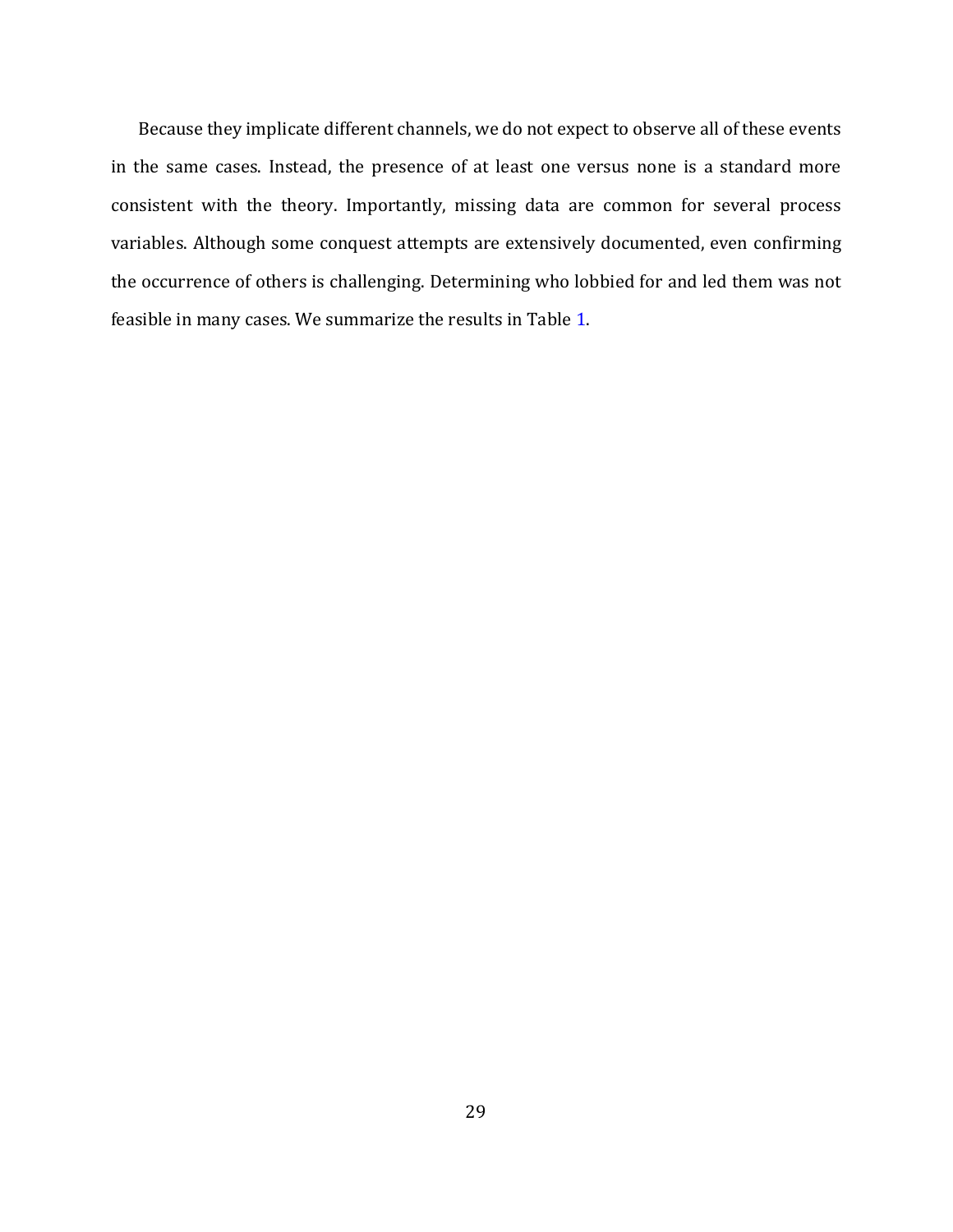Because they implicate different channels, we do not expect to observe all of these events in the same cases. Instead, the presence of at least one versus none is a standard more consistent with the theory. Importantly, missing data are common for several process variables. Although some conquest attempts are extensively documented, even confirming the occurrence of others is challenging. Determining who lobbied for and led them was not feasible in many cases. We summarize the results in Table 1.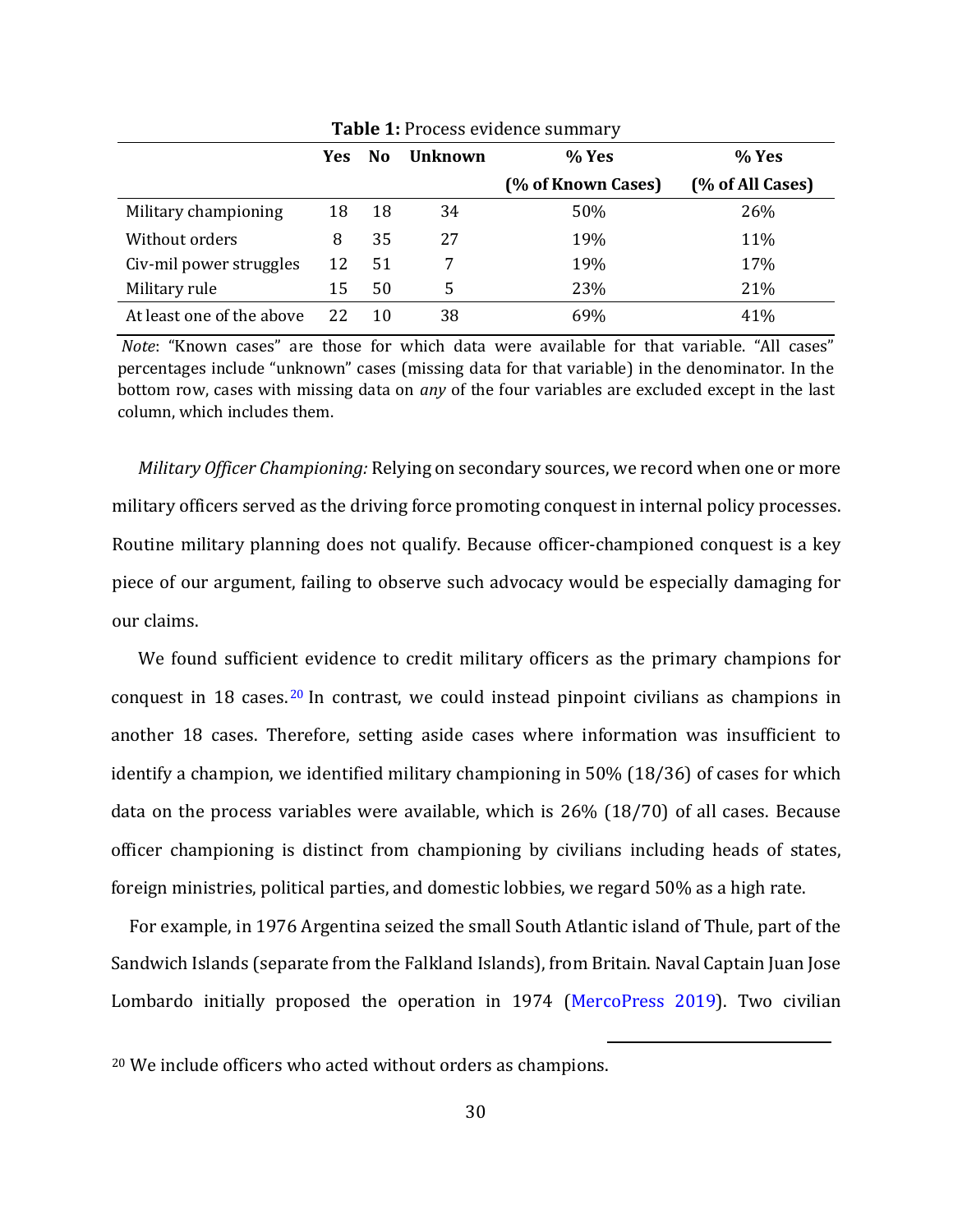|                           | Yes | N <sub>0</sub> | <b>Unknown</b> | % Yes              | % Yes            |
|---------------------------|-----|----------------|----------------|--------------------|------------------|
|                           |     |                |                | (% of Known Cases) | (% of All Cases) |
| Military championing      | 18  | 18             | 34             | 50%                | 26%              |
| Without orders            | 8   | 35             | 27             | 19%                | 11%              |
| Civ-mil power struggles   | 12  | 51             |                | 19%                | 17%              |
| Military rule             | 15  | 50             | 5              | 23%                | 21%              |
| At least one of the above |     | 10             | 38             | 69%                | 41%              |

**Table 1:** Process evidence summary

*Note*: "Known cases" are those for which data were available for that variable. "All cases" percentages include "unknown" cases (missing data for that variable) in the denominator. In the bottom row, cases with missing data on *any* of the four variables are excluded except in the last column, which includes them.

*Military Officer Championing:* Relying on secondary sources, we record when one or more military officers served as the driving force promoting conquest in internal policy processes. Routine military planning does not qualify. Because officer-championed conquest is a key piece of our argument, failing to observe such advocacy would be especially damaging for our claims.

We found sufficient evidence to credit military officers as the primary champions for conquest in 18 cases.<sup>20</sup> In contrast, we could instead pinpoint civilians as champions in another 18 cases. Therefore, setting aside cases where information was insufficient to identify a champion, we identified military championing in 50% (18/36) of cases for which data on the process variables were available, which is 26% (18/70) of all cases. Because officer championing is distinct from championing by civilians including heads of states, foreign ministries, political parties, and domestic lobbies, we regard 50% as a high rate.

For example, in 1976 Argentina seized the small South Atlantic island of Thule, part of the Sandwich Islands (separate from the Falkland Islands), from Britain. Naval Captain Juan Jose Lombardo initially proposed the operation in 1974 (MercoPress 2019). Two civilian

<sup>20</sup> We include officers who acted without orders as champions.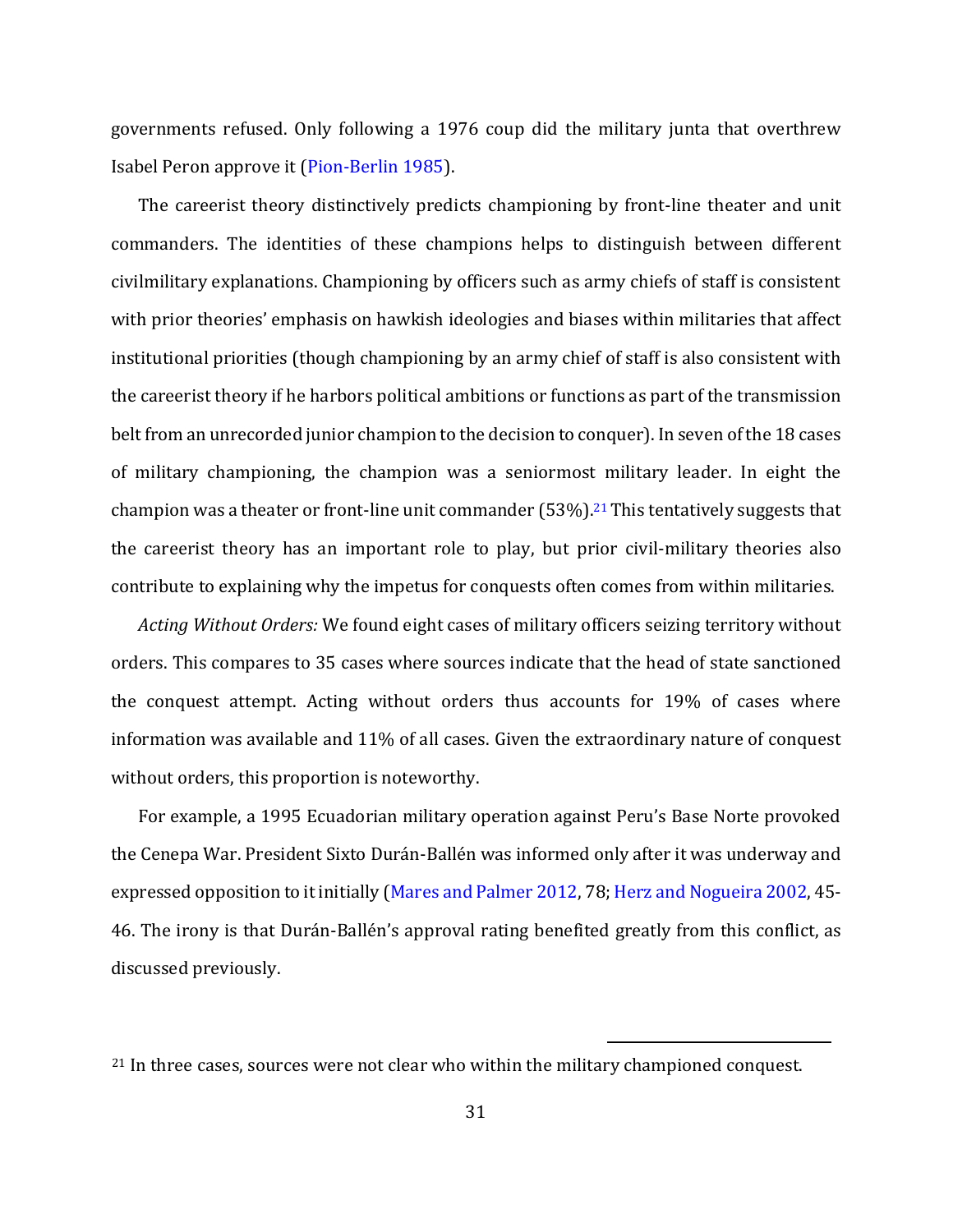governments refused. Only following a 1976 coup did the military junta that overthrew Isabel Peron approve it (Pion-Berlin 1985).

The careerist theory distinctively predicts championing by front-line theater and unit commanders. The identities of these champions helps to distinguish between different civilmilitary explanations. Championing by officers such as army chiefs of staff is consistent with prior theories' emphasis on hawkish ideologies and biases within militaries that affect institutional priorities (though championing by an army chief of staff is also consistent with the careerist theory if he harbors political ambitions or functions as part of the transmission belt from an unrecorded junior champion to the decision to conquer). In seven of the 18 cases of military championing, the champion was a seniormost military leader. In eight the champion was a theater or front-line unit commander  $(53\%)$ .<sup>21</sup> This tentatively suggests that the careerist theory has an important role to play, but prior civil-military theories also contribute to explaining why the impetus for conquests often comes from within militaries.

*Acting Without Orders:* We found eight cases of military officers seizing territory without orders. This compares to 35 cases where sources indicate that the head of state sanctioned the conquest attempt. Acting without orders thus accounts for 19% of cases where information was available and 11% of all cases. Given the extraordinary nature of conquest without orders, this proportion is noteworthy.

For example, a 1995 Ecuadorian military operation against Peru's Base Norte provoked the Cenepa War. President Sixto Durán-Ballén was informed only after it was underway and expressed opposition to it initially (Mares and Palmer 2012, 78; Herz and Nogueira 2002, 45- 46. The irony is that Durán-Ballén's approval rating benefited greatly from this conflict, as discussed previously.

<sup>&</sup>lt;sup>21</sup> In three cases, sources were not clear who within the military championed conquest.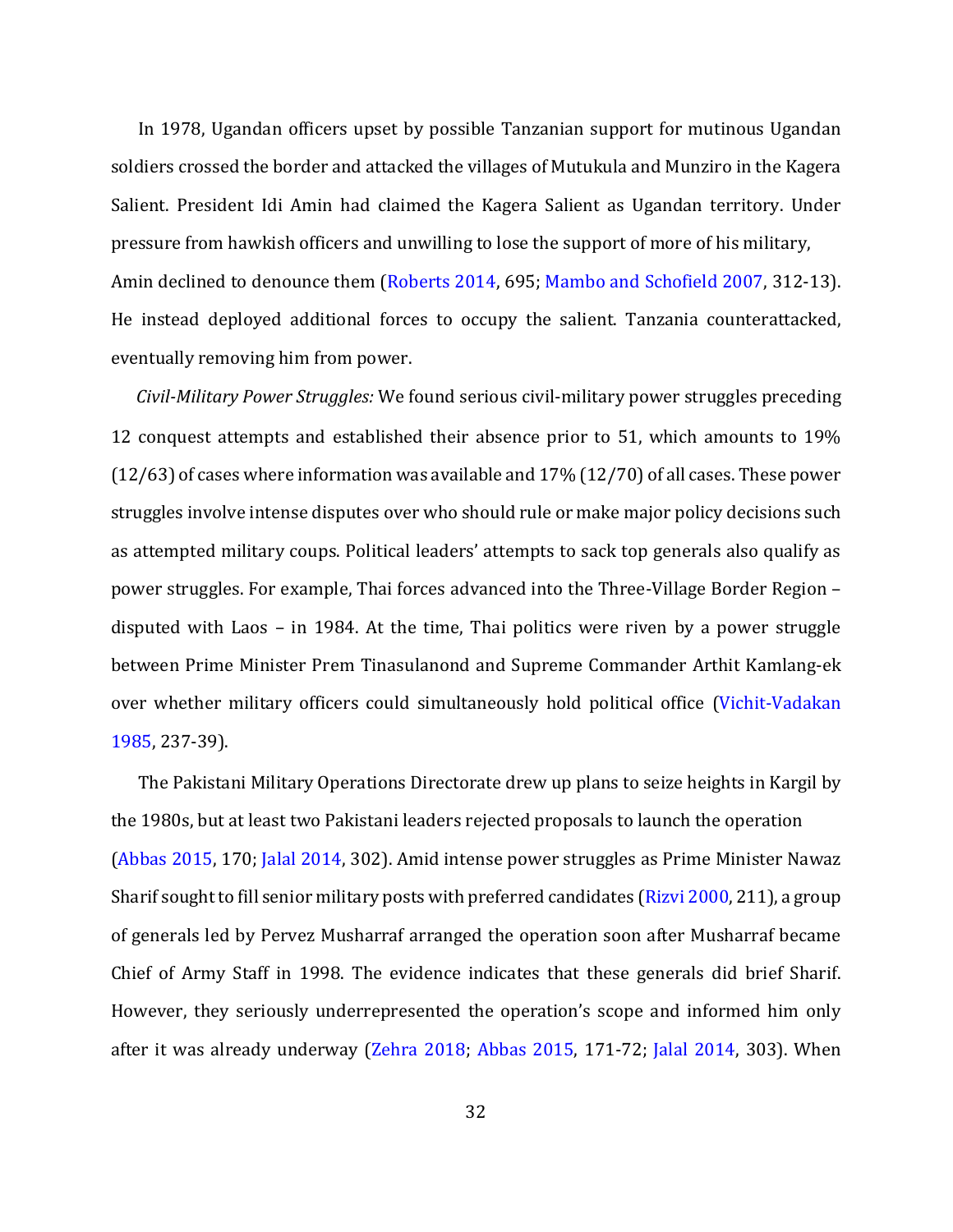In 1978, Ugandan officers upset by possible Tanzanian support for mutinous Ugandan soldiers crossed the border and attacked the villages of Mutukula and Munziro in the Kagera Salient. President Idi Amin had claimed the Kagera Salient as Ugandan territory. Under pressure from hawkish officers and unwilling to lose the support of more of his military, Amin declined to denounce them (Roberts 2014, 695; Mambo and Schofield 2007, 312-13). He instead deployed additional forces to occupy the salient. Tanzania counterattacked, eventually removing him from power.

*Civil-Military Power Struggles:* We found serious civil-military power struggles preceding 12 conquest attempts and established their absence prior to 51, which amounts to 19% (12/63) of cases where information was available and 17% (12/70) of all cases. These power struggles involve intense disputes over who should rule or make major policy decisions such as attempted military coups. Political leaders' attempts to sack top generals also qualify as power struggles. For example, Thai forces advanced into the Three-Village Border Region – disputed with Laos – in 1984. At the time, Thai politics were riven by a power struggle between Prime Minister Prem Tinasulanond and Supreme Commander Arthit Kamlang-ek over whether military officers could simultaneously hold political office (Vichit-Vadakan 1985, 237-39).

The Pakistani Military Operations Directorate drew up plans to seize heights in Kargil by the 1980s, but at least two Pakistani leaders rejected proposals to launch the operation (Abbas 2015, 170; Jalal 2014, 302). Amid intense power struggles as Prime Minister Nawaz Sharif sought to fill senior military posts with preferred candidates (Rizvi 2000, 211), a group of generals led by Pervez Musharraf arranged the operation soon after Musharraf became Chief of Army Staff in 1998. The evidence indicates that these generals did brief Sharif. However, they seriously underrepresented the operation's scope and informed him only after it was already underway (Zehra 2018; Abbas 2015, 171-72; Jalal 2014, 303). When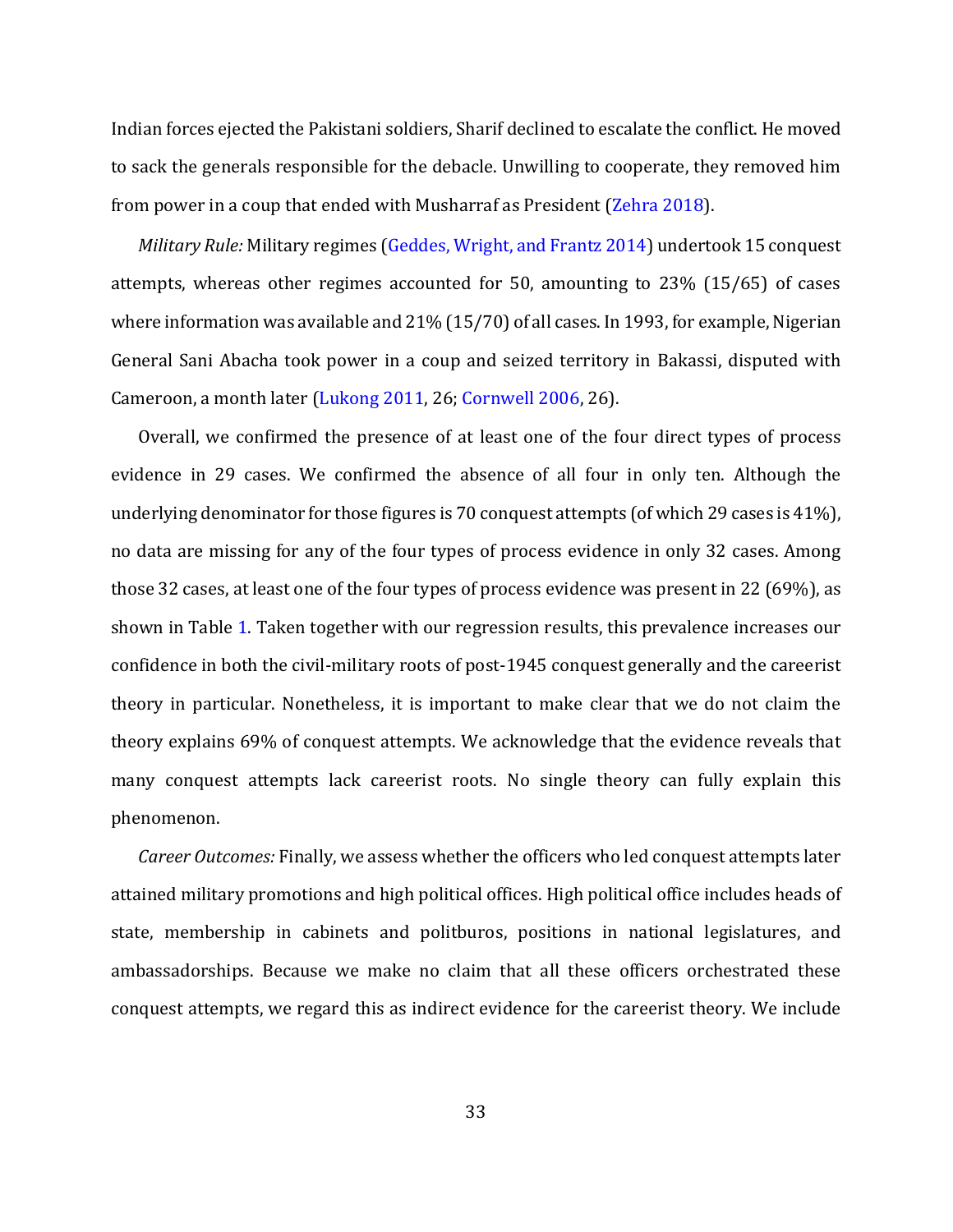Indian forces ejected the Pakistani soldiers, Sharif declined to escalate the conflict. He moved to sack the generals responsible for the debacle. Unwilling to cooperate, they removed him from power in a coup that ended with Musharraf as President (Zehra 2018).

*Military Rule:* Military regimes (Geddes, Wright, and Frantz 2014) undertook 15 conquest attempts, whereas other regimes accounted for 50, amounting to 23% (15/65) of cases where information was available and 21% (15/70) of all cases. In 1993, for example, Nigerian General Sani Abacha took power in a coup and seized territory in Bakassi, disputed with Cameroon, a month later (Lukong 2011, 26; Cornwell 2006, 26).

Overall, we confirmed the presence of at least one of the four direct types of process evidence in 29 cases. We confirmed the absence of all four in only ten. Although the underlying denominator for those figures is 70 conquest attempts (of which 29 cases is 41%), no data are missing for any of the four types of process evidence in only 32 cases. Among those 32 cases, at least one of the four types of process evidence was present in 22 (69%), as shown in Table 1. Taken together with our regression results, this prevalence increases our confidence in both the civil-military roots of post-1945 conquest generally and the careerist theory in particular. Nonetheless, it is important to make clear that we do not claim the theory explains 69% of conquest attempts. We acknowledge that the evidence reveals that many conquest attempts lack careerist roots. No single theory can fully explain this phenomenon.

*Career Outcomes:* Finally, we assess whether the officers who led conquest attempts later attained military promotions and high political offices. High political office includes heads of state, membership in cabinets and politburos, positions in national legislatures, and ambassadorships. Because we make no claim that all these officers orchestrated these conquest attempts, we regard this as indirect evidence for the careerist theory. We include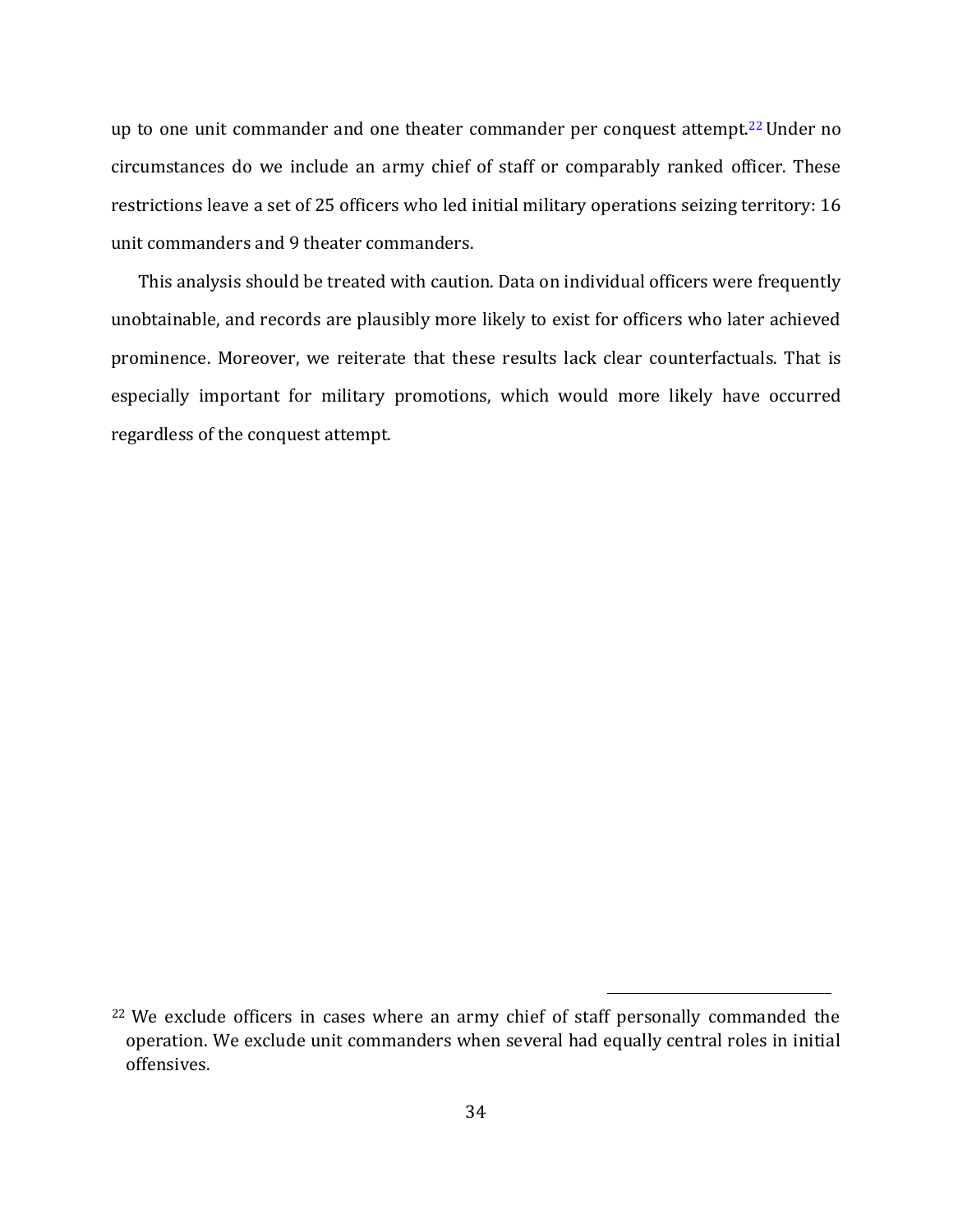up to one unit commander and one theater commander per conquest attempt.<sup>22</sup> Under no circumstances do we include an army chief of staff or comparably ranked officer. These restrictions leave a set of 25 officers who led initial military operations seizing territory: 16 unit commanders and 9 theater commanders.

This analysis should be treated with caution. Data on individual officers were frequently unobtainable, and records are plausibly more likely to exist for officers who later achieved prominence. Moreover, we reiterate that these results lack clear counterfactuals. That is especially important for military promotions, which would more likely have occurred regardless of the conquest attempt.

<sup>&</sup>lt;sup>22</sup> We exclude officers in cases where an army chief of staff personally commanded the operation. We exclude unit commanders when several had equally central roles in initial offensives.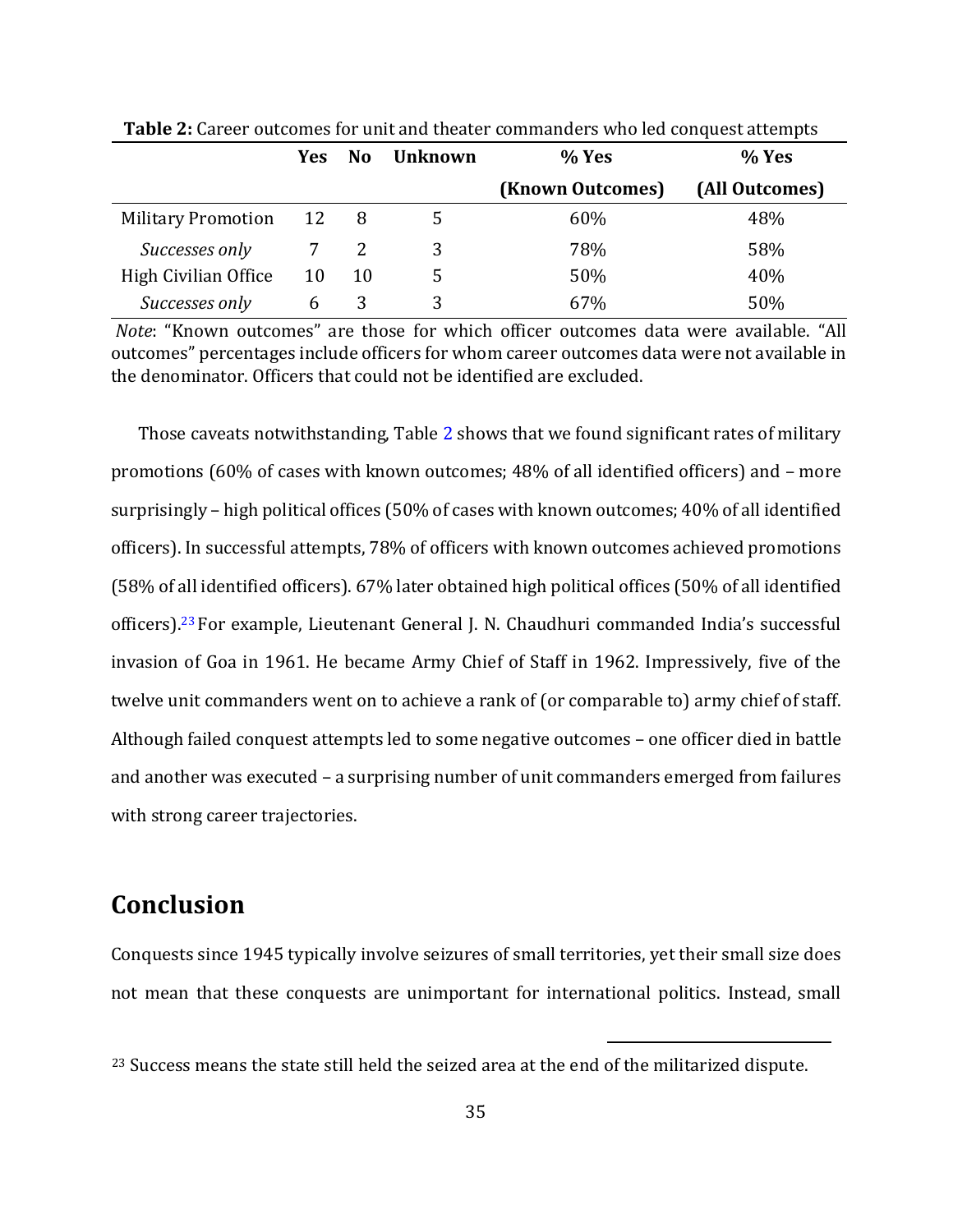|                           | Yes: | <b>No</b> | <b>Unknown</b> | % Yes            | % Yes          |
|---------------------------|------|-----------|----------------|------------------|----------------|
|                           |      |           |                | (Known Outcomes) | (All Outcomes) |
| <b>Military Promotion</b> | 12   | -8        |                | 60%              | 48%            |
| Successes only            |      |           |                | 78%              | 58%            |
| High Civilian Office      | 10   | 10        |                | 50%              | 40%            |
| Successes only            | b    |           |                | 67%              | 50%            |

**Table 2:** Career outcomes for unit and theater commanders who led conquest attempts

*Note*: "Known outcomes" are those for which officer outcomes data were available. "All outcomes" percentages include officers for whom career outcomes data were not available in the denominator. Officers that could not be identified are excluded.

Those caveats notwithstanding, Table 2 shows that we found significant rates of military promotions (60% of cases with known outcomes; 48% of all identified officers) and – more surprisingly – high political offices (50% of cases with known outcomes; 40% of all identified officers). In successful attempts, 78% of officers with known outcomes achieved promotions (58% of all identified officers). 67% later obtained high political offices (50% of all identified officers).<sup>23</sup> For example, Lieutenant General J. N. Chaudhuri commanded India's successful invasion of Goa in 1961. He became Army Chief of Staff in 1962. Impressively, five of the twelve unit commanders went on to achieve a rank of (or comparable to) army chief of staff. Although failed conquest attempts led to some negative outcomes – one officer died in battle and another was executed – a surprising number of unit commanders emerged from failures with strong career trajectories.

# **Conclusion**

Conquests since 1945 typically involve seizures of small territories, yet their small size does not mean that these conquests are unimportant for international politics. Instead, small

<sup>&</sup>lt;sup>23</sup> Success means the state still held the seized area at the end of the militarized dispute.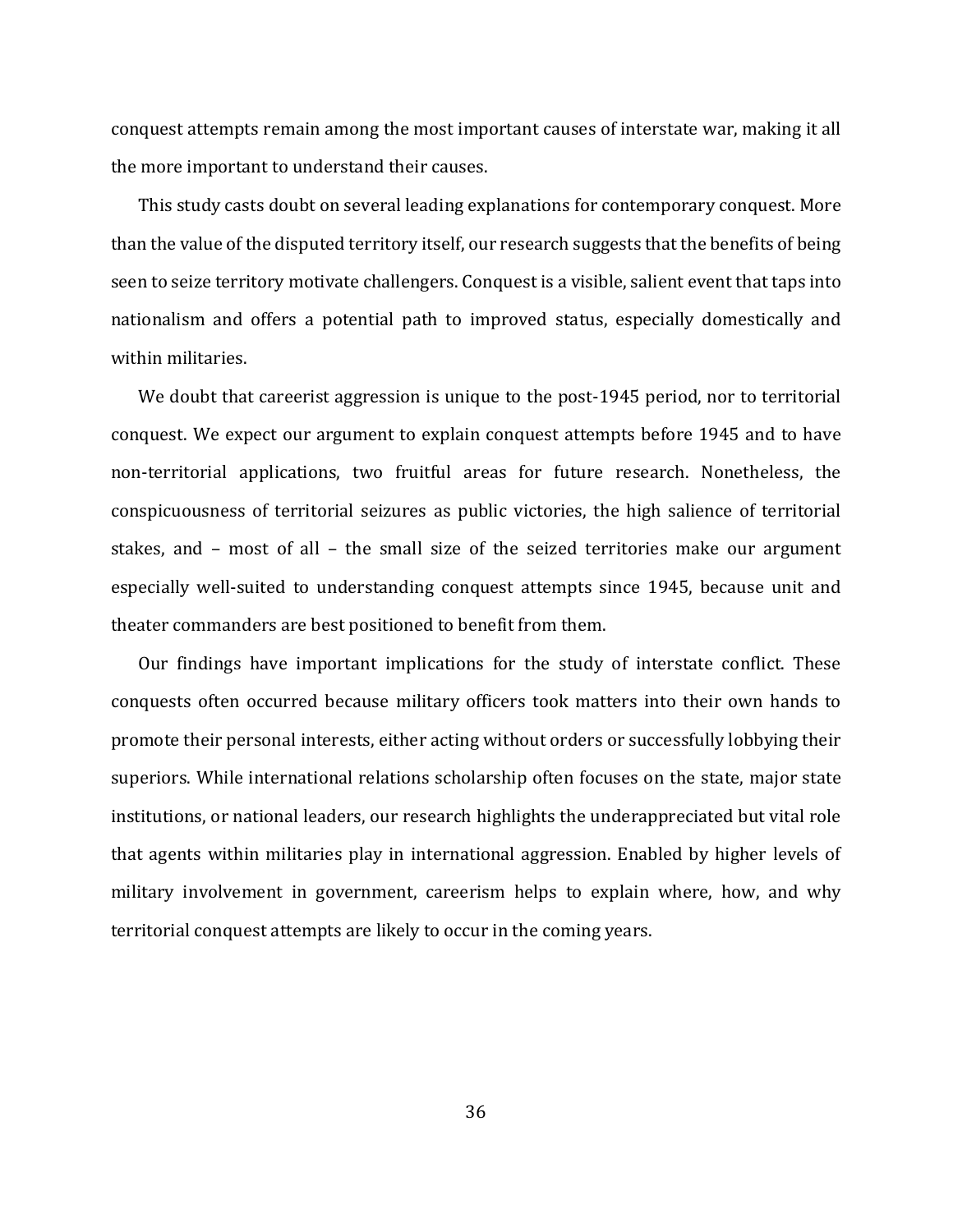conquest attempts remain among the most important causes of interstate war, making it all the more important to understand their causes.

This study casts doubt on several leading explanations for contemporary conquest. More than the value of the disputed territory itself, our research suggests that the benefits of being seen to seize territory motivate challengers. Conquest is a visible, salient event that taps into nationalism and offers a potential path to improved status, especially domestically and within militaries.

We doubt that careerist aggression is unique to the post-1945 period, nor to territorial conquest. We expect our argument to explain conquest attempts before 1945 and to have non-territorial applications, two fruitful areas for future research. Nonetheless, the conspicuousness of territorial seizures as public victories, the high salience of territorial stakes, and – most of all – the small size of the seized territories make our argument especially well-suited to understanding conquest attempts since 1945, because unit and theater commanders are best positioned to benefit from them.

Our findings have important implications for the study of interstate conflict. These conquests often occurred because military officers took matters into their own hands to promote their personal interests, either acting without orders or successfully lobbying their superiors. While international relations scholarship often focuses on the state, major state institutions, or national leaders, our research highlights the underappreciated but vital role that agents within militaries play in international aggression. Enabled by higher levels of military involvement in government, careerism helps to explain where, how, and why territorial conquest attempts are likely to occur in the coming years.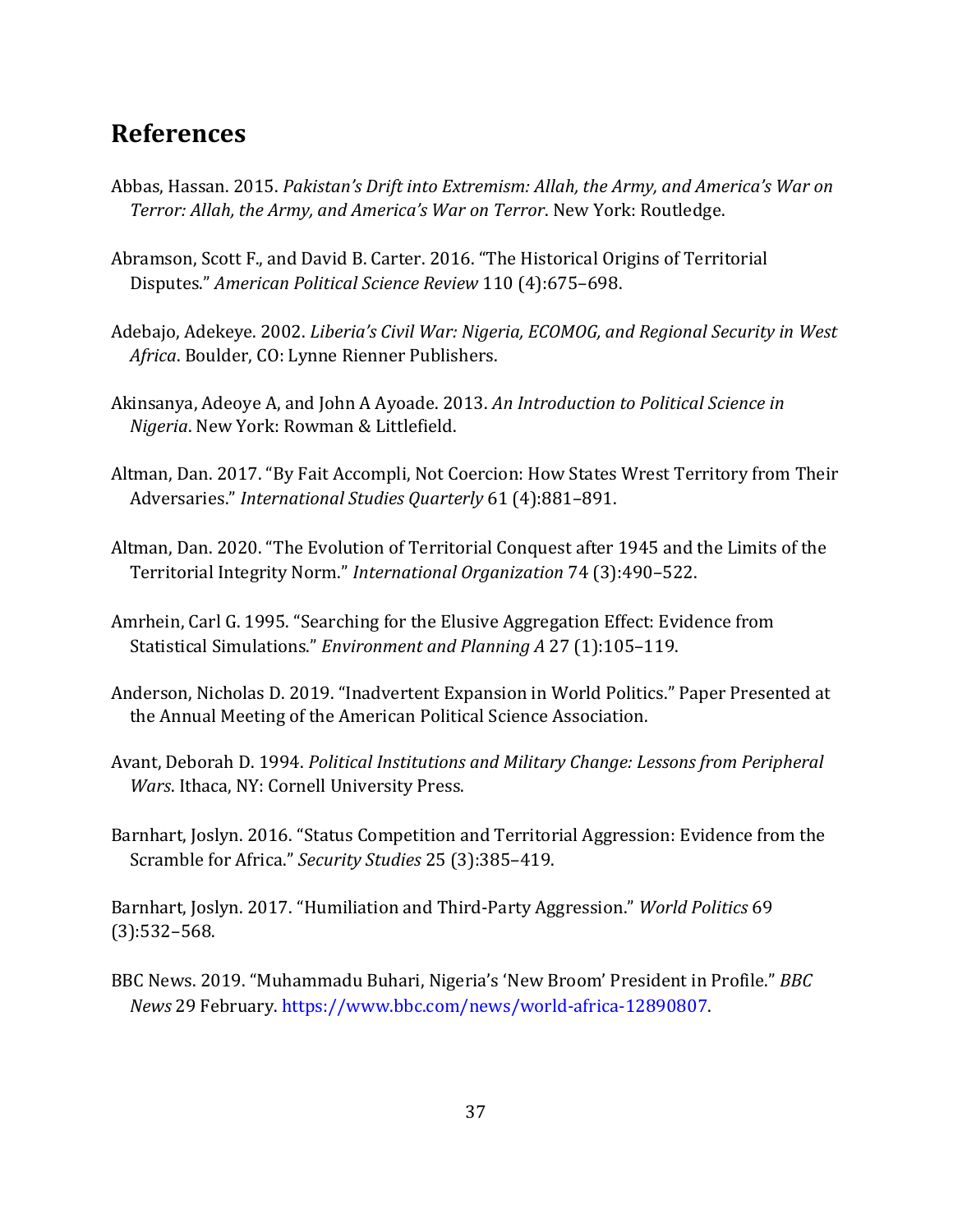# **References**

- Abbas, Hassan. 2015. *Pakistan's Drift into Extremism: Allah, the Army, and America's War on Terror: Allah, the Army, and America's War on Terror*. New York: Routledge.
- Abramson, Scott F., and David B. Carter. 2016. "The Historical Origins of Territorial Disputes." *American Political Science Review* 110 (4):675–698.
- Adebajo, Adekeye. 2002. *Liberia's Civil War: Nigeria, ECOMOG, and Regional Security in West Africa*. Boulder, CO: Lynne Rienner Publishers.
- Akinsanya, Adeoye A, and John A Ayoade. 2013. *An Introduction to Political Science in Nigeria*. New York: Rowman & Littlefield.
- Altman, Dan. 2017. "By Fait Accompli, Not Coercion: How States Wrest Territory from Their Adversaries." *International Studies Quarterly* 61 (4):881–891.
- Altman, Dan. 2020. "The Evolution of Territorial Conquest after 1945 and the Limits of the Territorial Integrity Norm." *International Organization* 74 (3):490–522.
- Amrhein, Carl G. 1995. "Searching for the Elusive Aggregation Effect: Evidence from Statistical Simulations." *Environment and Planning A* 27 (1):105–119.
- Anderson, Nicholas D. 2019. "Inadvertent Expansion in World Politics." Paper Presented at the Annual Meeting of the American Political Science Association.
- Avant, Deborah D. 1994. *Political Institutions and Military Change: Lessons from Peripheral Wars*. Ithaca, NY: Cornell University Press.
- Barnhart, Joslyn. 2016. "Status Competition and Territorial Aggression: Evidence from the Scramble for Africa." *Security Studies* 25 (3):385–419.

Barnhart, Joslyn. 2017. "Humiliation and Third-Party Aggression." *World Politics* 69 (3):532–568.

BBC News. 2019. "Muhammadu Buhari, Nigeria's 'New Broom' President in Profile." *BBC News* 29 February. [https://www.bbc.com/news/world-africa-12890807.](https://www.bbc.com/news/world-africa-12890807)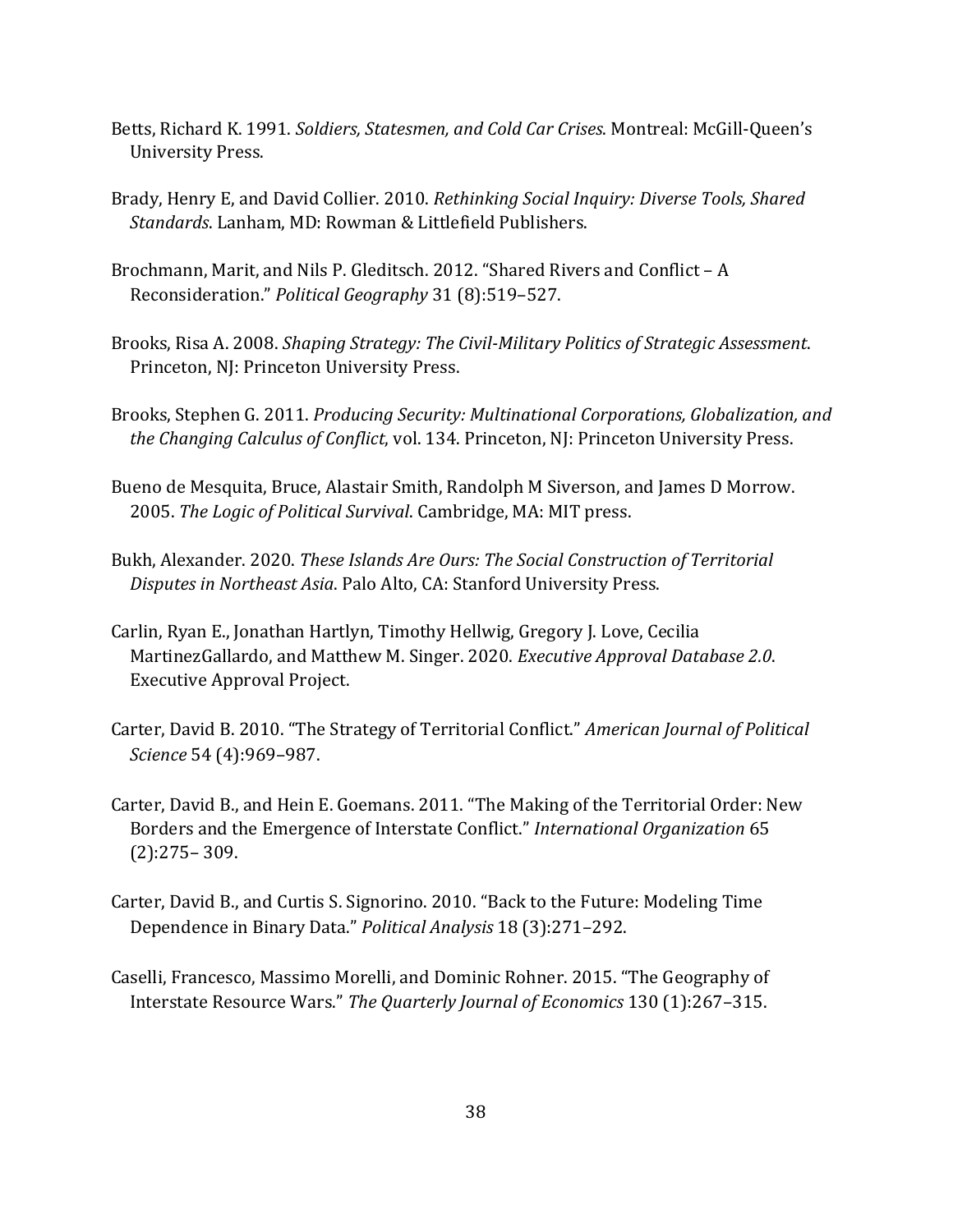- Betts, Richard K. 1991. *Soldiers, Statesmen, and Cold Car Crises*. Montreal: McGill-Queen's University Press.
- Brady, Henry E, and David Collier. 2010. *Rethinking Social Inquiry: Diverse Tools, Shared Standards*. Lanham, MD: Rowman & Littlefield Publishers.
- Brochmann, Marit, and Nils P. Gleditsch. 2012. "Shared Rivers and Conflict A Reconsideration." *Political Geography* 31 (8):519–527.
- Brooks, Risa A. 2008. *Shaping Strategy: The Civil-Military Politics of Strategic Assessment*. Princeton, NJ: Princeton University Press.
- Brooks, Stephen G. 2011. *Producing Security: Multinational Corporations, Globalization, and the Changing Calculus of Conflict*, vol. 134. Princeton, NJ: Princeton University Press.
- Bueno de Mesquita, Bruce, Alastair Smith, Randolph M Siverson, and James D Morrow. 2005. *The Logic of Political Survival*. Cambridge, MA: MIT press.
- Bukh, Alexander. 2020. *These Islands Are Ours: The Social Construction of Territorial Disputes in Northeast Asia*. Palo Alto, CA: Stanford University Press.
- Carlin, Ryan E., Jonathan Hartlyn, Timothy Hellwig, Gregory J. Love, Cecilia MartinezGallardo, and Matthew M. Singer. 2020. *Executive Approval Database 2.0*. Executive Approval Project.
- Carter, David B. 2010. "The Strategy of Territorial Conflict." *American Journal of Political Science* 54 (4):969–987.
- Carter, David B., and Hein E. Goemans. 2011. "The Making of the Territorial Order: New Borders and the Emergence of Interstate Conflict." *International Organization* 65 (2):275– 309.
- Carter, David B., and Curtis S. Signorino. 2010. "Back to the Future: Modeling Time Dependence in Binary Data." *Political Analysis* 18 (3):271–292.
- Caselli, Francesco, Massimo Morelli, and Dominic Rohner. 2015. "The Geography of Interstate Resource Wars." *The Quarterly Journal of Economics* 130 (1):267–315.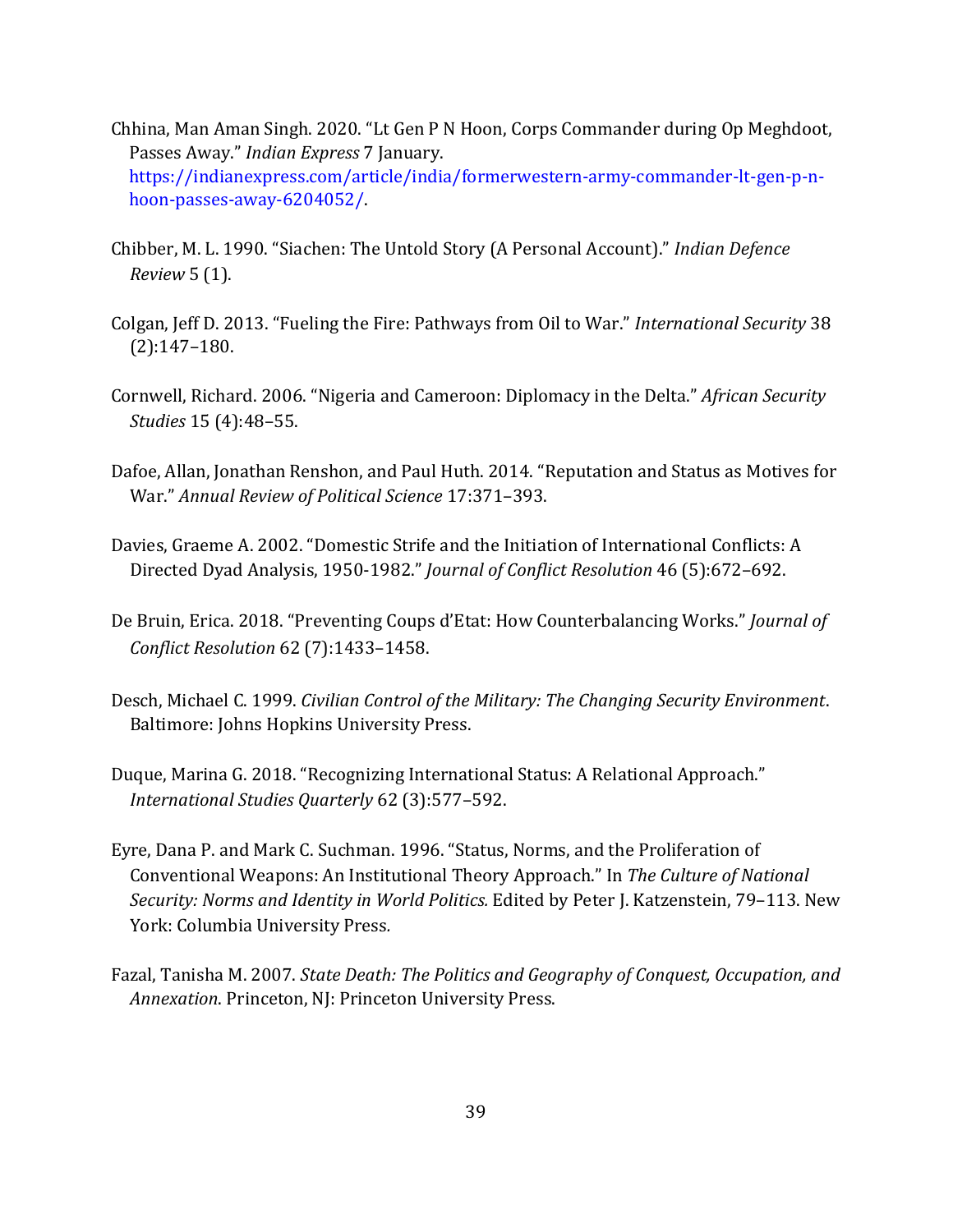- Chhina, Man Aman Singh. 2020. "Lt Gen P N Hoon, Corps Commander during Op Meghdoot, Passes Away." *Indian Express* 7 January. [https://indianexpress.com/article/india/formerwestern-army-commander-lt-gen-p-n](https://indianexpress.com/article/india/former-western-army-commander-lt-gen-p-n-hoon-passes-away-6204052/)[hoon-passes-away-6204052/.](https://indianexpress.com/article/india/former-western-army-commander-lt-gen-p-n-hoon-passes-away-6204052/)
- Chibber, M. L. 1990. "Siachen: The Untold Story (A Personal Account)." *Indian Defence Review* 5 (1).
- Colgan, Jeff D. 2013. "Fueling the Fire: Pathways from Oil to War." *International Security* 38 (2):147–180.
- Cornwell, Richard. 2006. "Nigeria and Cameroon: Diplomacy in the Delta." *African Security Studies* 15 (4):48–55.
- Dafoe, Allan, Jonathan Renshon, and Paul Huth. 2014. "Reputation and Status as Motives for War." *Annual Review of Political Science* 17:371–393.
- Davies, Graeme A. 2002. "Domestic Strife and the Initiation of International Conflicts: A Directed Dyad Analysis, 1950-1982." *Journal of Conflict Resolution* 46 (5):672–692.
- De Bruin, Erica. 2018. "Preventing Coups d'Etat: How Counterbalancing Works." *Journal of Conflict Resolution* 62 (7):1433–1458.
- Desch, Michael C. 1999. *Civilian Control of the Military: The Changing Security Environment*. Baltimore: Johns Hopkins University Press.
- Duque, Marina G. 2018. "Recognizing International Status: A Relational Approach." *International Studies Quarterly* 62 (3):577–592.
- Eyre, Dana P. and Mark C. Suchman. 1996. "Status, Norms, and the Proliferation of Conventional Weapons: An Institutional Theory Approach." In *The Culture of National Security: Norms and Identity in World Politics.* Edited by Peter J. Katzenstein, 79–113. New York: Columbia University Press*.*
- Fazal, Tanisha M. 2007. *State Death: The Politics and Geography of Conquest, Occupation, and Annexation*. Princeton, NJ: Princeton University Press.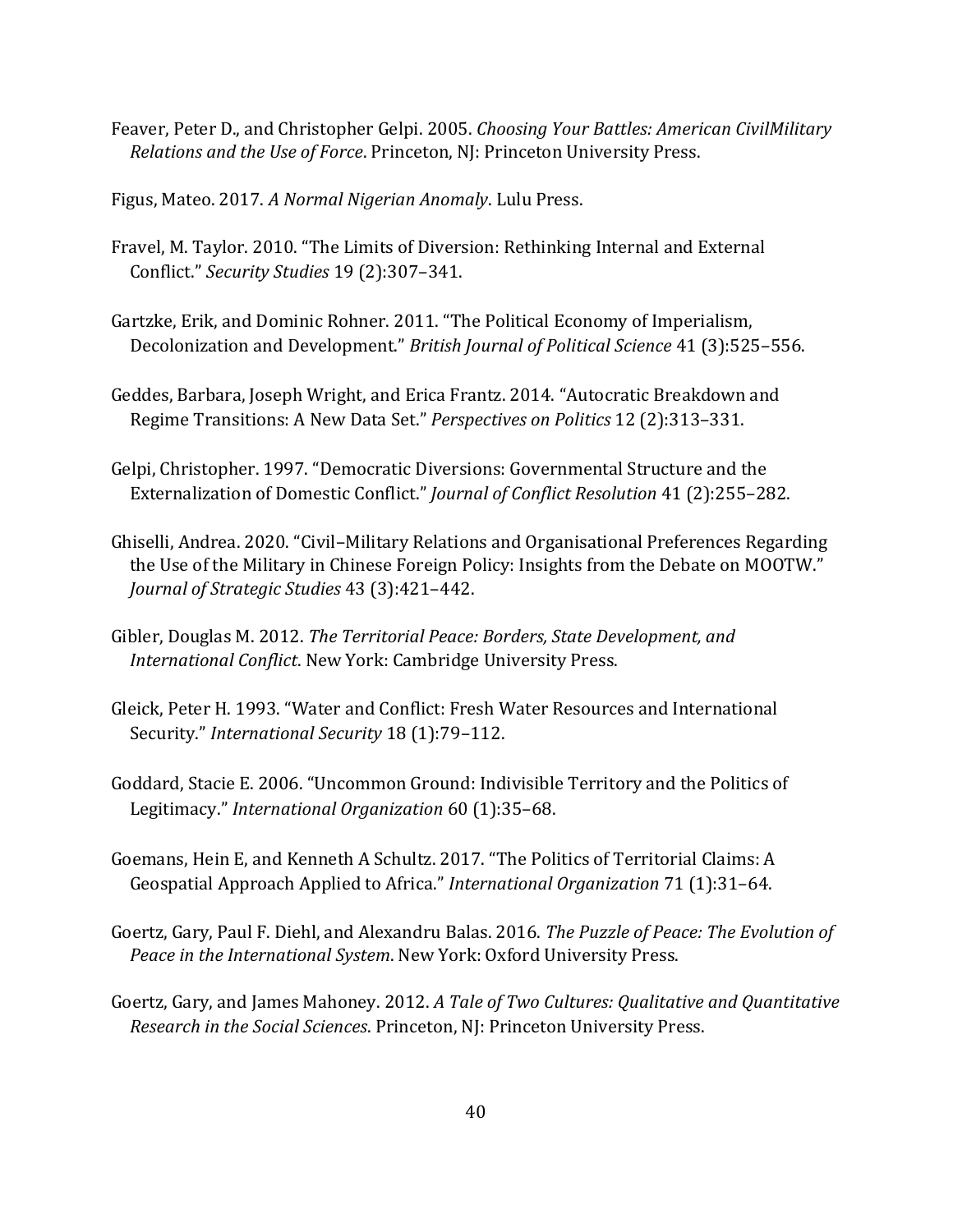Feaver, Peter D., and Christopher Gelpi. 2005. *Choosing Your Battles: American CivilMilitary Relations and the Use of Force*. Princeton, NJ: Princeton University Press.

Figus, Mateo. 2017. *A Normal Nigerian Anomaly*. Lulu Press.

- Fravel, M. Taylor. 2010. "The Limits of Diversion: Rethinking Internal and External Conflict." *Security Studies* 19 (2):307–341.
- Gartzke, Erik, and Dominic Rohner. 2011. "The Political Economy of Imperialism, Decolonization and Development." *British Journal of Political Science* 41 (3):525–556.
- Geddes, Barbara, Joseph Wright, and Erica Frantz. 2014. "Autocratic Breakdown and Regime Transitions: A New Data Set." *Perspectives on Politics* 12 (2):313–331.
- Gelpi, Christopher. 1997. "Democratic Diversions: Governmental Structure and the Externalization of Domestic Conflict." *Journal of Conflict Resolution* 41 (2):255–282.
- Ghiselli, Andrea. 2020. "Civil–Military Relations and Organisational Preferences Regarding the Use of the Military in Chinese Foreign Policy: Insights from the Debate on MOOTW." *Journal of Strategic Studies* 43 (3):421–442.
- Gibler, Douglas M. 2012. *The Territorial Peace: Borders, State Development, and International Conflict*. New York: Cambridge University Press.
- Gleick, Peter H. 1993. "Water and Conflict: Fresh Water Resources and International Security." *International Security* 18 (1):79–112.
- Goddard, Stacie E. 2006. "Uncommon Ground: Indivisible Territory and the Politics of Legitimacy." *International Organization* 60 (1):35–68.
- Goemans, Hein E, and Kenneth A Schultz. 2017. "The Politics of Territorial Claims: A Geospatial Approach Applied to Africa." *International Organization* 71 (1):31–64.
- Goertz, Gary, Paul F. Diehl, and Alexandru Balas. 2016. *The Puzzle of Peace: The Evolution of Peace in the International System*. New York: Oxford University Press.
- Goertz, Gary, and James Mahoney. 2012. *A Tale of Two Cultures: Qualitative and Quantitative Research in the Social Sciences*. Princeton, NJ: Princeton University Press.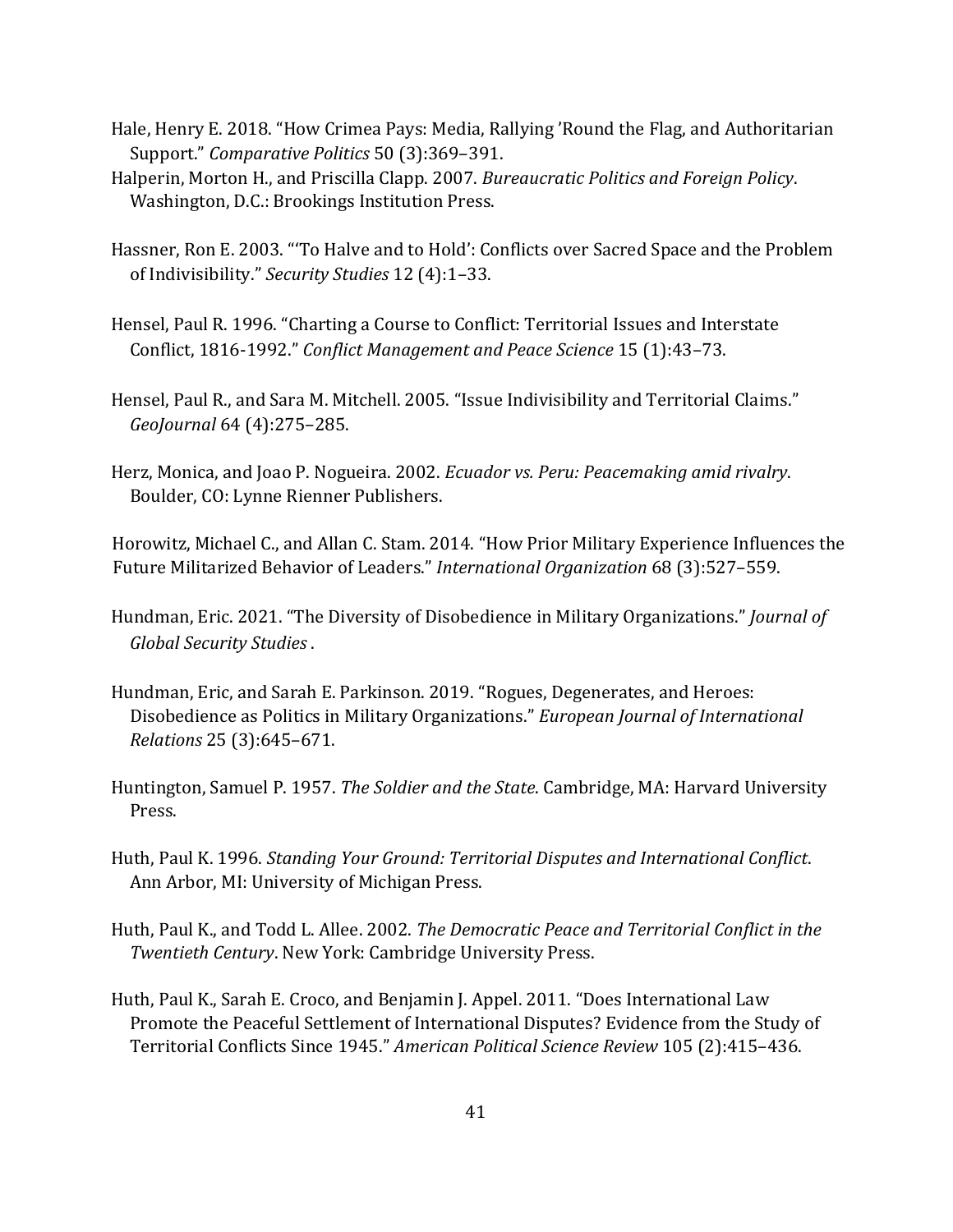- Hale, Henry E. 2018. "How Crimea Pays: Media, Rallying 'Round the Flag, and Authoritarian Support." *Comparative Politics* 50 (3):369–391.
- Halperin, Morton H., and Priscilla Clapp. 2007. *Bureaucratic Politics and Foreign Policy*. Washington, D.C.: Brookings Institution Press.
- Hassner, Ron E. 2003. "'To Halve and to Hold': Conflicts over Sacred Space and the Problem of Indivisibility." *Security Studies* 12 (4):1–33.
- Hensel, Paul R. 1996. "Charting a Course to Conflict: Territorial Issues and Interstate Conflict, 1816-1992." *Conflict Management and Peace Science* 15 (1):43–73.
- Hensel, Paul R., and Sara M. Mitchell. 2005. "Issue Indivisibility and Territorial Claims." *GeoJournal* 64 (4):275–285.
- Herz, Monica, and Joao P. Nogueira. 2002. *Ecuador vs. Peru: Peacemaking amid rivalry*. Boulder, CO: Lynne Rienner Publishers.

Horowitz, Michael C., and Allan C. Stam. 2014. "How Prior Military Experience Influences the Future Militarized Behavior of Leaders." *International Organization* 68 (3):527–559.

- Hundman, Eric. 2021. "The Diversity of Disobedience in Military Organizations." *Journal of Global Security Studies* .
- Hundman, Eric, and Sarah E. Parkinson. 2019. "Rogues, Degenerates, and Heroes: Disobedience as Politics in Military Organizations." *European Journal of International Relations* 25 (3):645–671.
- Huntington, Samuel P. 1957. *The Soldier and the State*. Cambridge, MA: Harvard University Press.
- Huth, Paul K. 1996. *Standing Your Ground: Territorial Disputes and International Conflict*. Ann Arbor, MI: University of Michigan Press.
- Huth, Paul K., and Todd L. Allee. 2002. *The Democratic Peace and Territorial Conflict in the Twentieth Century*. New York: Cambridge University Press.
- Huth, Paul K., Sarah E. Croco, and Benjamin J. Appel. 2011. "Does International Law Promote the Peaceful Settlement of International Disputes? Evidence from the Study of Territorial Conflicts Since 1945." *American Political Science Review* 105 (2):415–436.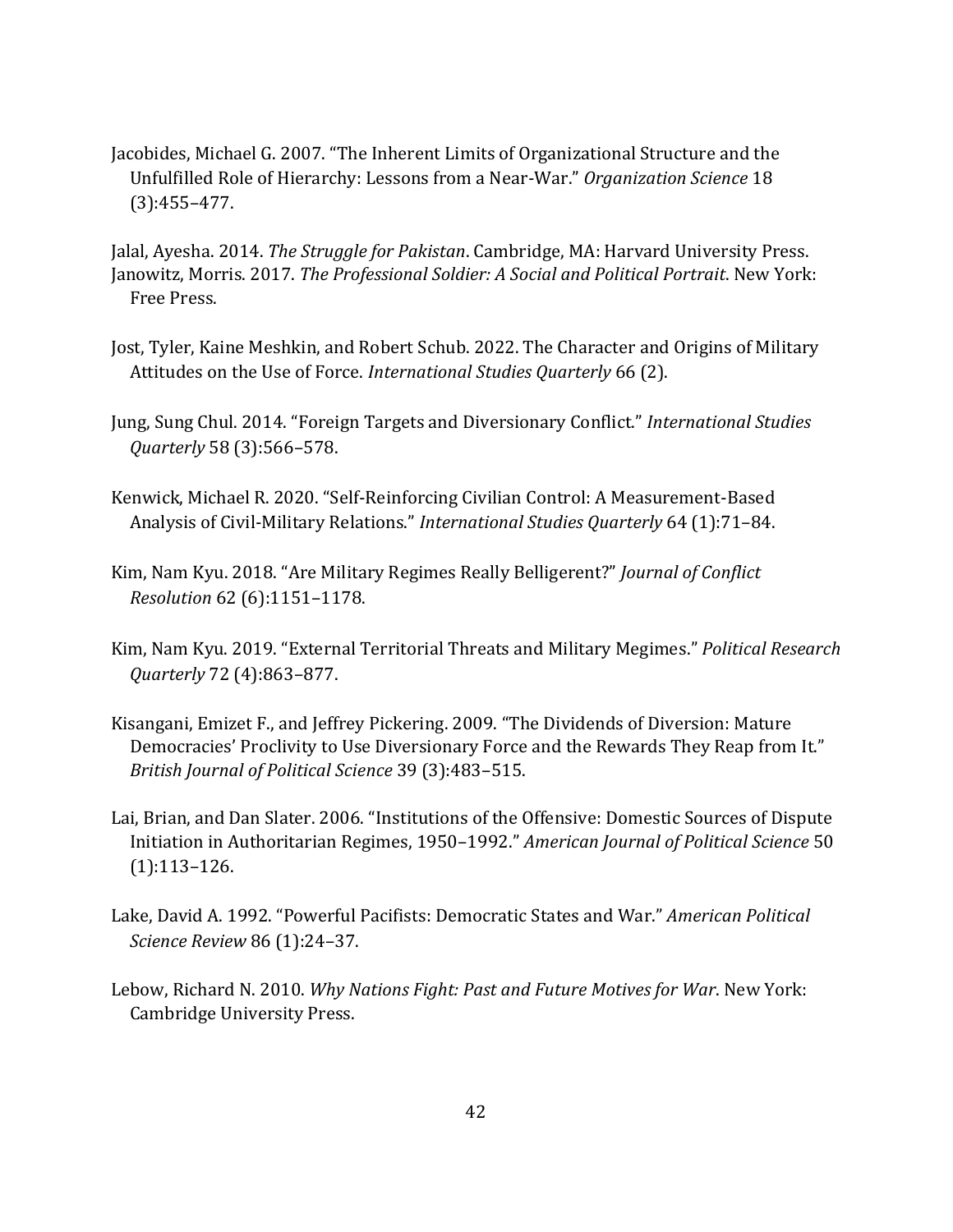Jacobides, Michael G. 2007. "The Inherent Limits of Organizational Structure and the Unfulfilled Role of Hierarchy: Lessons from a Near-War." *Organization Science* 18 (3):455–477.

Jalal, Ayesha. 2014. *The Struggle for Pakistan*. Cambridge, MA: Harvard University Press. Janowitz, Morris. 2017. *The Professional Soldier: A Social and Political Portrait*. New York: Free Press.

- Jost, Tyler, Kaine Meshkin, and Robert Schub. 2022. The Character and Origins of Military Attitudes on the Use of Force. *International Studies Quarterly* 66 (2).
- Jung, Sung Chul. 2014. "Foreign Targets and Diversionary Conflict." *International Studies Quarterly* 58 (3):566–578.
- Kenwick, Michael R. 2020. "Self-Reinforcing Civilian Control: A Measurement-Based Analysis of Civil-Military Relations." *International Studies Quarterly* 64 (1):71–84.
- Kim, Nam Kyu. 2018. "Are Military Regimes Really Belligerent?" *Journal of Conflict Resolution* 62 (6):1151–1178.
- Kim, Nam Kyu. 2019. "External Territorial Threats and Military Megimes." *Political Research Quarterly* 72 (4):863–877.
- Kisangani, Emizet F., and Jeffrey Pickering. 2009. "The Dividends of Diversion: Mature Democracies' Proclivity to Use Diversionary Force and the Rewards They Reap from It." *British Journal of Political Science* 39 (3):483–515.
- Lai, Brian, and Dan Slater. 2006. "Institutions of the Offensive: Domestic Sources of Dispute Initiation in Authoritarian Regimes, 1950–1992." *American Journal of Political Science* 50 (1):113–126.
- Lake, David A. 1992. "Powerful Pacifists: Democratic States and War." *American Political Science Review* 86 (1):24–37.
- Lebow, Richard N. 2010. *Why Nations Fight: Past and Future Motives for War*. New York: Cambridge University Press.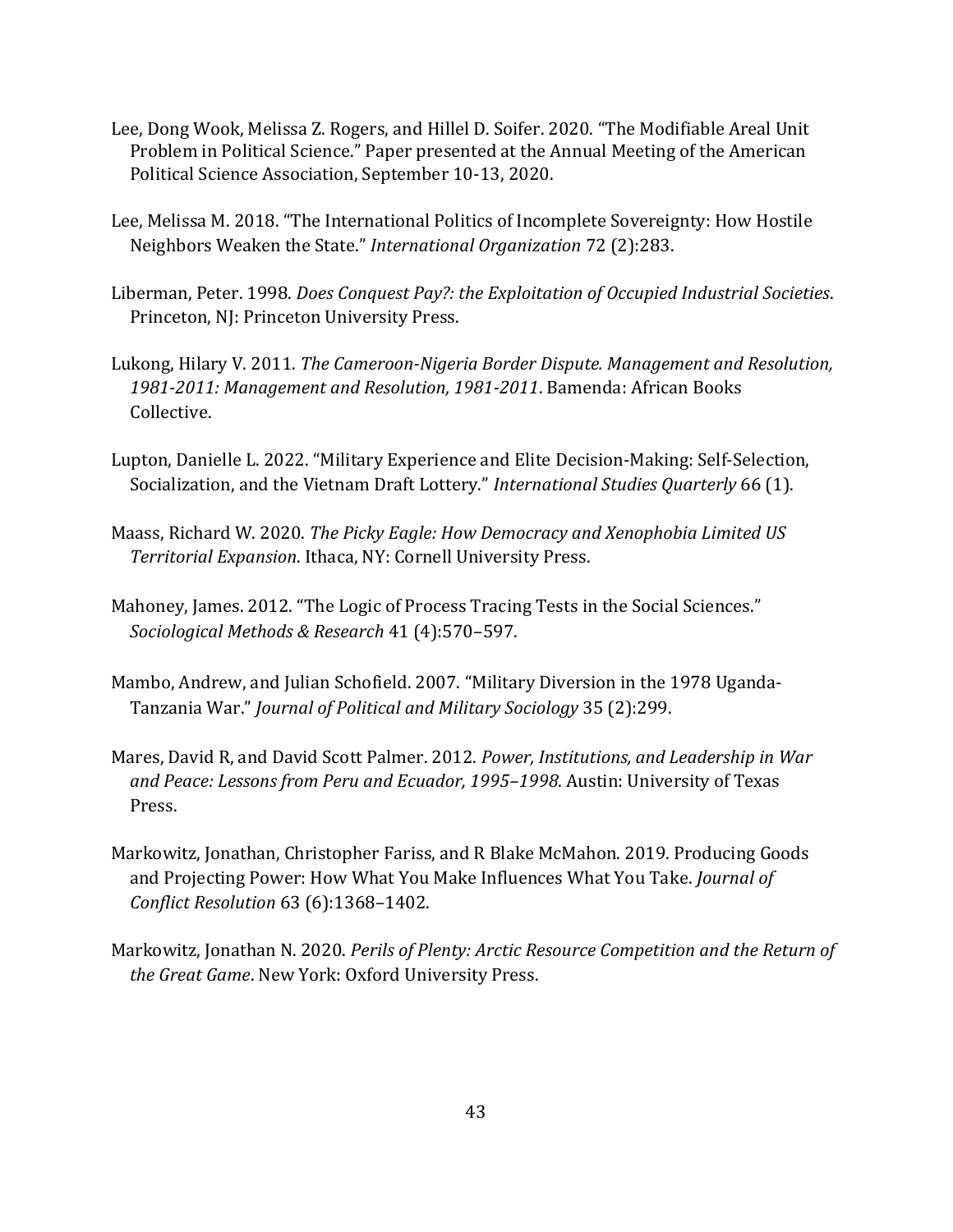- Lee, Dong Wook, Melissa Z. Rogers, and Hillel D. Soifer. 2020. "The Modifiable Areal Unit Problem in Political Science." Paper presented at the Annual Meeting of the American Political Science Association, September 10-13, 2020.
- Lee, Melissa M. 2018. "The International Politics of Incomplete Sovereignty: How Hostile Neighbors Weaken the State." *International Organization* 72 (2):283.
- Liberman, Peter. 1998. *Does Conquest Pay?: the Exploitation of Occupied Industrial Societies*. Princeton, NJ: Princeton University Press.
- Lukong, Hilary V. 2011. *The Cameroon-Nigeria Border Dispute. Management and Resolution, 1981-2011: Management and Resolution, 1981-2011*. Bamenda: African Books Collective.
- Lupton, Danielle L. 2022. "Military Experience and Elite Decision-Making: Self-Selection, Socialization, and the Vietnam Draft Lottery." *International Studies Quarterly* 66 (1).
- Maass, Richard W. 2020. *The Picky Eagle: How Democracy and Xenophobia Limited US Territorial Expansion*. Ithaca, NY: Cornell University Press.
- Mahoney, James. 2012. "The Logic of Process Tracing Tests in the Social Sciences." *Sociological Methods & Research* 41 (4):570–597.
- Mambo, Andrew, and Julian Schofield. 2007. "Military Diversion in the 1978 Uganda-Tanzania War." *Journal of Political and Military Sociology* 35 (2):299.
- Mares, David R, and David Scott Palmer. 2012. *Power, Institutions, and Leadership in War and Peace: Lessons from Peru and Ecuador, 1995–1998*. Austin: University of Texas Press.
- Markowitz, Jonathan, Christopher Fariss, and R Blake McMahon. 2019. Producing Goods and Projecting Power: How What You Make Influences What You Take. *Journal of Conflict Resolution* 63 (6):1368–1402.
- Markowitz, Jonathan N. 2020. *Perils of Plenty: Arctic Resource Competition and the Return of the Great Game*. New York: Oxford University Press.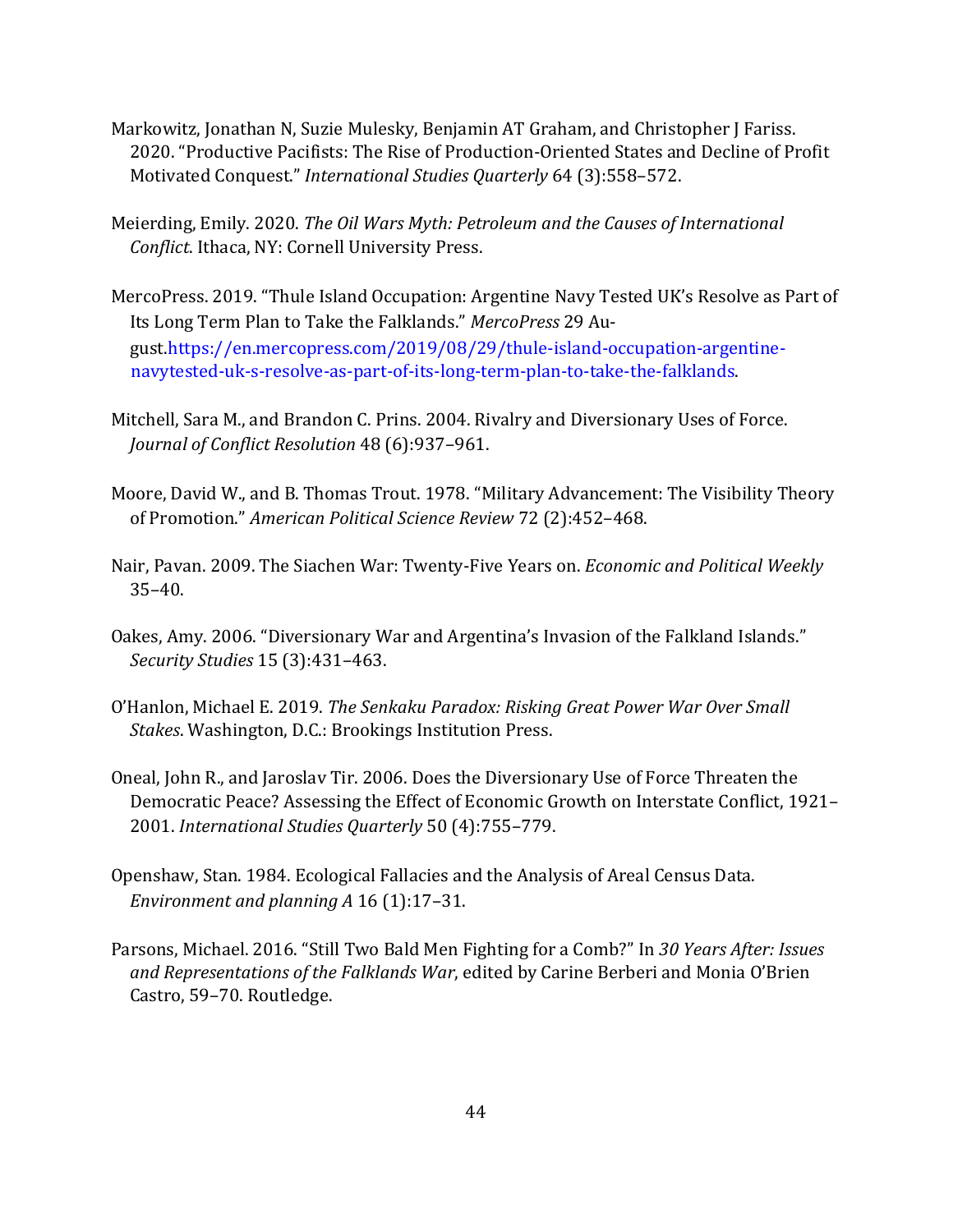- Markowitz, Jonathan N, Suzie Mulesky, Benjamin AT Graham, and Christopher J Fariss. 2020. "Productive Pacifists: The Rise of Production-Oriented States and Decline of Profit Motivated Conquest." *International Studies Quarterly* 64 (3):558–572.
- Meierding, Emily. 2020. *The Oil Wars Myth: Petroleum and the Causes of International Conflict*. Ithaca, NY: Cornell University Press.
- MercoPress. 2019. "Thule Island Occupation: Argentine Navy Tested UK's Resolve as Part of Its Long Term Plan to Take the Falklands." *MercoPress* 29 August[.https://en.mercopress.com/2019/08/29/thule-island-occupation-argentine](https://en.mercopress.com/2019/08/29/thule-island-occupation-argentine-navy-tested-uk-s-resolve-as-part-of-its-long-term-plan-to-take-the-falklands)[navytested-uk-s-resolve-as-part-of-its-long-term-plan-to-take-the-falklands.](https://en.mercopress.com/2019/08/29/thule-island-occupation-argentine-navy-tested-uk-s-resolve-as-part-of-its-long-term-plan-to-take-the-falklands)
- Mitchell, Sara M., and Brandon C. Prins. 2004. Rivalry and Diversionary Uses of Force. *Journal of Conflict Resolution* 48 (6):937–961.
- Moore, David W., and B. Thomas Trout. 1978. "Military Advancement: The Visibility Theory of Promotion." *American Political Science Review* 72 (2):452–468.
- Nair, Pavan. 2009. The Siachen War: Twenty-Five Years on. *Economic and Political Weekly*  35–40.
- Oakes, Amy. 2006. "Diversionary War and Argentina's Invasion of the Falkland Islands." *Security Studies* 15 (3):431–463.
- O'Hanlon, Michael E. 2019. *The Senkaku Paradox: Risking Great Power War Over Small Stakes*. Washington, D.C.: Brookings Institution Press.
- Oneal, John R., and Jaroslav Tir. 2006. Does the Diversionary Use of Force Threaten the Democratic Peace? Assessing the Effect of Economic Growth on Interstate Conflict, 1921– 2001. *International Studies Quarterly* 50 (4):755–779.
- Openshaw, Stan. 1984. Ecological Fallacies and the Analysis of Areal Census Data. *Environment and planning A* 16 (1):17–31.
- Parsons, Michael. 2016. "Still Two Bald Men Fighting for a Comb?" In *30 Years After: Issues and Representations of the Falklands War*, edited by Carine Berberi and Monia O'Brien Castro, 59–70. Routledge.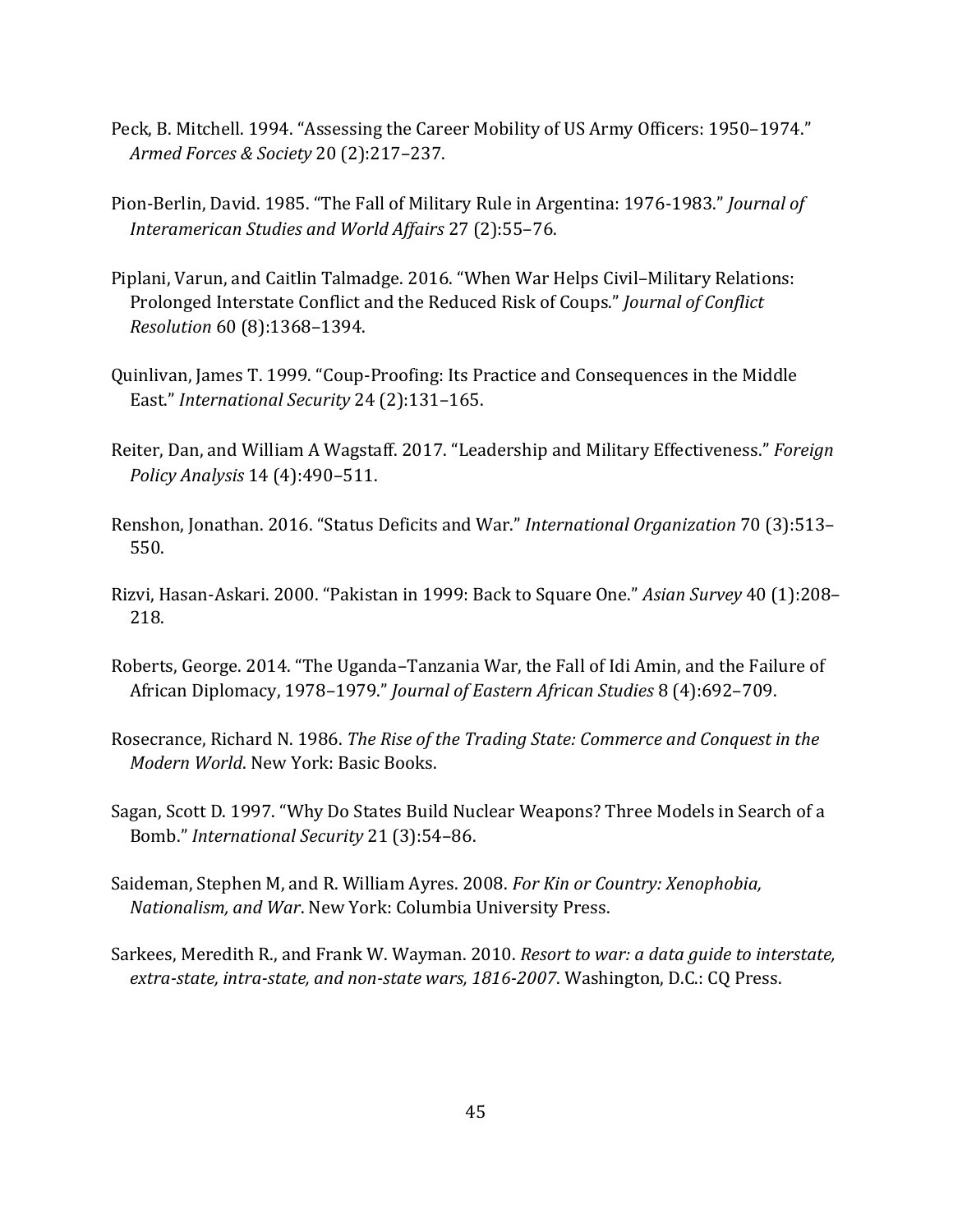- Peck, B. Mitchell. 1994. "Assessing the Career Mobility of US Army Officers: 1950–1974." *Armed Forces & Society* 20 (2):217–237.
- Pion-Berlin, David. 1985. "The Fall of Military Rule in Argentina: 1976-1983." *Journal of Interamerican Studies and World Affairs* 27 (2):55–76.
- Piplani, Varun, and Caitlin Talmadge. 2016. "When War Helps Civil–Military Relations: Prolonged Interstate Conflict and the Reduced Risk of Coups." *Journal of Conflict Resolution* 60 (8):1368–1394.
- Quinlivan, James T. 1999. "Coup-Proofing: Its Practice and Consequences in the Middle East." *International Security* 24 (2):131–165.
- Reiter, Dan, and William A Wagstaff. 2017. "Leadership and Military Effectiveness." *Foreign Policy Analysis* 14 (4):490–511.
- Renshon, Jonathan. 2016. "Status Deficits and War." *International Organization* 70 (3):513– 550.
- Rizvi, Hasan-Askari. 2000. "Pakistan in 1999: Back to Square One." *Asian Survey* 40 (1):208– 218.
- Roberts, George. 2014. "The Uganda–Tanzania War, the Fall of Idi Amin, and the Failure of African Diplomacy, 1978–1979." *Journal of Eastern African Studies* 8 (4):692–709.
- Rosecrance, Richard N. 1986. *The Rise of the Trading State: Commerce and Conquest in the Modern World*. New York: Basic Books.
- Sagan, Scott D. 1997. "Why Do States Build Nuclear Weapons? Three Models in Search of a Bomb." *International Security* 21 (3):54–86.
- Saideman, Stephen M, and R. William Ayres. 2008. *For Kin or Country: Xenophobia, Nationalism, and War*. New York: Columbia University Press.
- Sarkees, Meredith R., and Frank W. Wayman. 2010. *Resort to war: a data guide to interstate, extra-state, intra-state, and non-state wars, 1816-2007*. Washington, D.C.: CQ Press.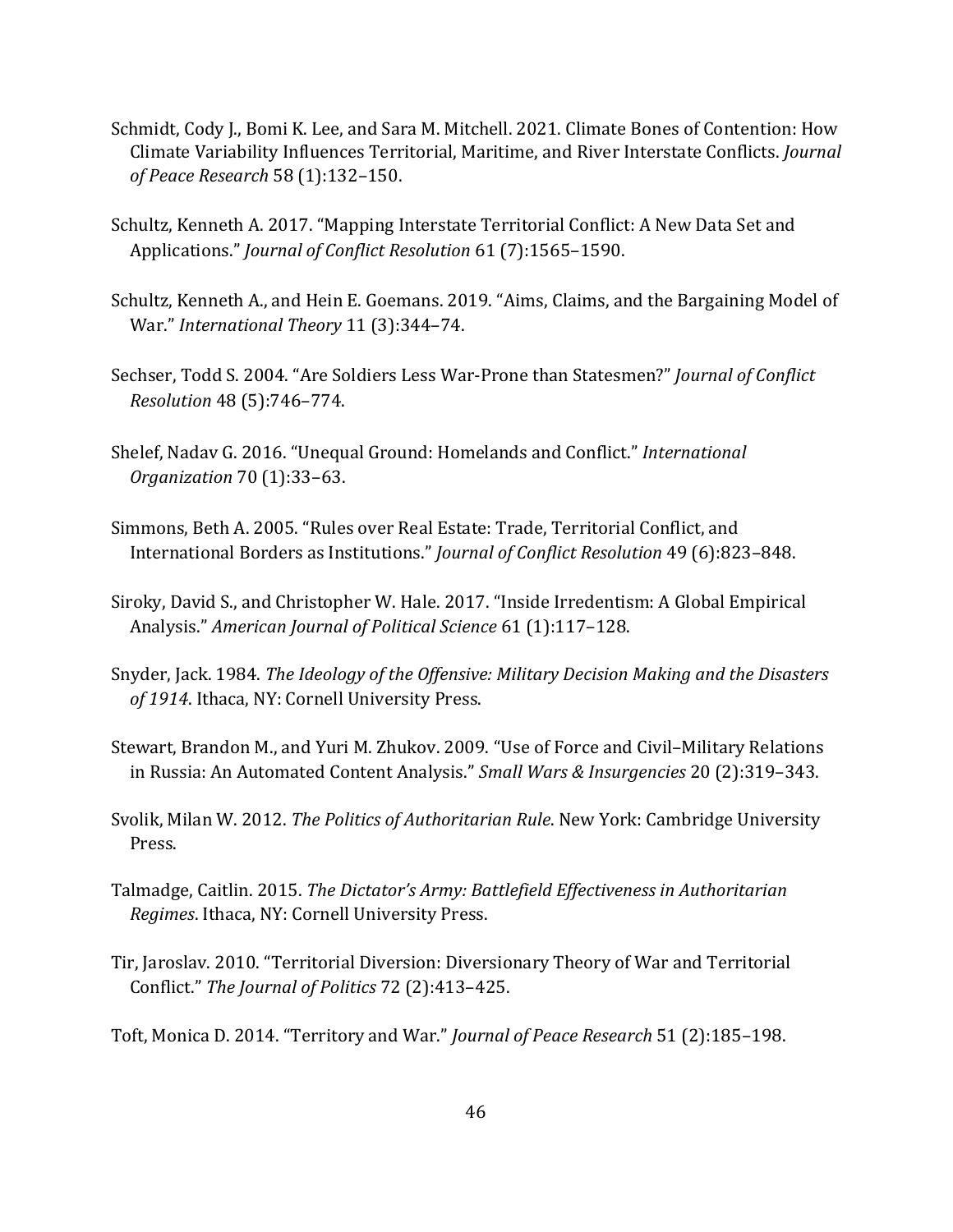- Schmidt, Cody J., Bomi K. Lee, and Sara M. Mitchell. 2021. Climate Bones of Contention: How Climate Variability Influences Territorial, Maritime, and River Interstate Conflicts. *Journal of Peace Research* 58 (1):132–150.
- Schultz, Kenneth A. 2017. "Mapping Interstate Territorial Conflict: A New Data Set and Applications." *Journal of Conflict Resolution* 61 (7):1565–1590.
- Schultz, Kenneth A., and Hein E. Goemans. 2019. "Aims, Claims, and the Bargaining Model of War." *International Theory* 11 (3):344–74.
- Sechser, Todd S. 2004. "Are Soldiers Less War-Prone than Statesmen?" *Journal of Conflict Resolution* 48 (5):746–774.
- Shelef, Nadav G. 2016. "Unequal Ground: Homelands and Conflict." *International Organization* 70 (1):33–63.
- Simmons, Beth A. 2005. "Rules over Real Estate: Trade, Territorial Conflict, and International Borders as Institutions." *Journal of Conflict Resolution* 49 (6):823–848.
- Siroky, David S., and Christopher W. Hale. 2017. "Inside Irredentism: A Global Empirical Analysis." *American Journal of Political Science* 61 (1):117–128.
- Snyder, Jack. 1984. *The Ideology of the Offensive: Military Decision Making and the Disasters of 1914*. Ithaca, NY: Cornell University Press.
- Stewart, Brandon M., and Yuri M. Zhukov. 2009. "Use of Force and Civil–Military Relations in Russia: An Automated Content Analysis." *Small Wars & Insurgencies* 20 (2):319–343.
- Svolik, Milan W. 2012. *The Politics of Authoritarian Rule*. New York: Cambridge University Press.
- Talmadge, Caitlin. 2015. *The Dictator's Army: Battlefield Effectiveness in Authoritarian Regimes*. Ithaca, NY: Cornell University Press.
- Tir, Jaroslav. 2010. "Territorial Diversion: Diversionary Theory of War and Territorial Conflict." *The Journal of Politics* 72 (2):413–425.

Toft, Monica D. 2014. "Territory and War." *Journal of Peace Research* 51 (2):185–198.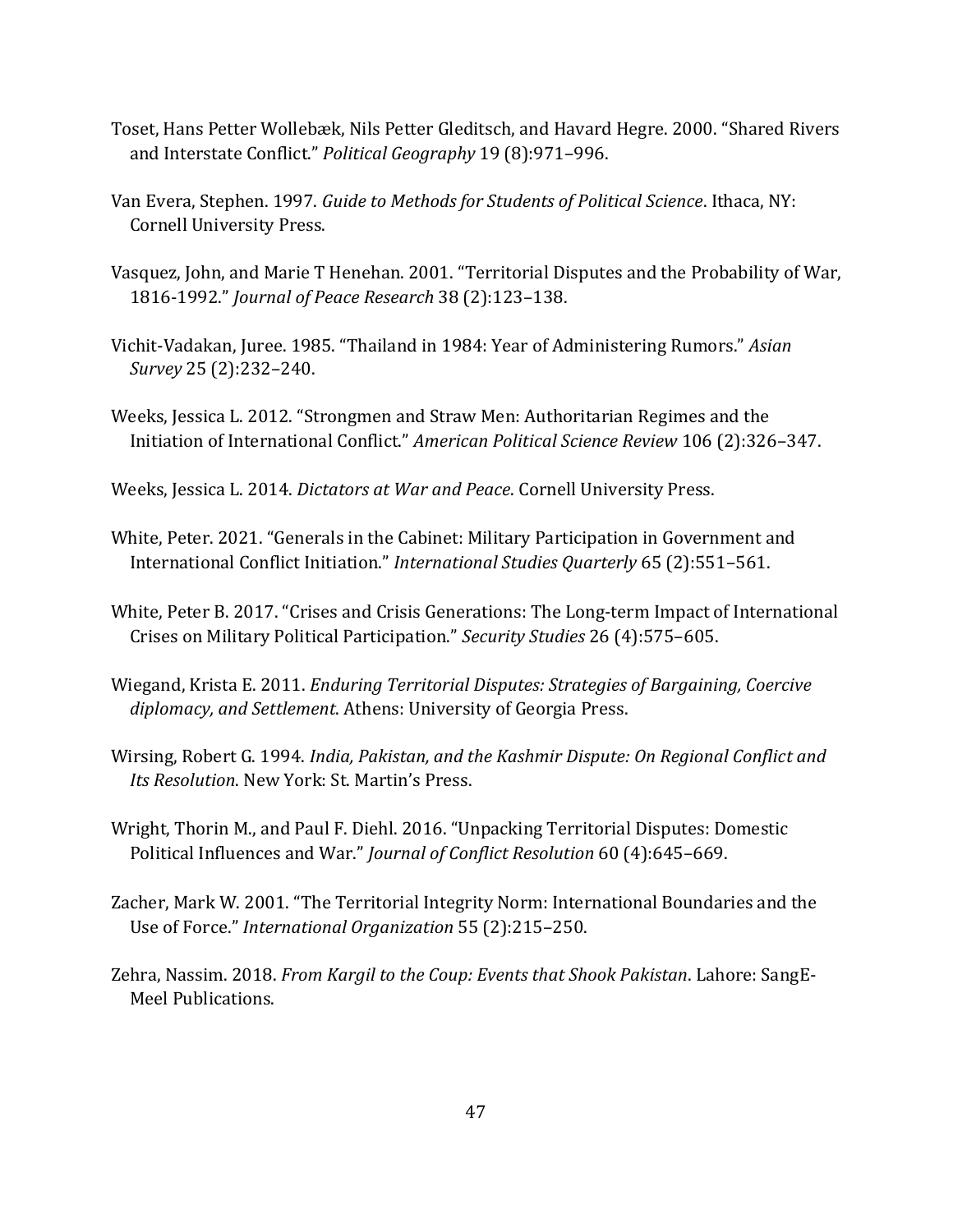- Toset, Hans Petter Wollebæk, Nils Petter Gleditsch, and Havard Hegre. 2000. "Shared Rivers and Interstate Conflict." *Political Geography* 19 (8):971–996.
- Van Evera, Stephen. 1997. *Guide to Methods for Students of Political Science*. Ithaca, NY: Cornell University Press.
- Vasquez, John, and Marie T Henehan. 2001. "Territorial Disputes and the Probability of War, 1816-1992." *Journal of Peace Research* 38 (2):123–138.
- Vichit-Vadakan, Juree. 1985. "Thailand in 1984: Year of Administering Rumors." *Asian Survey* 25 (2):232–240.
- Weeks, Jessica L. 2012. "Strongmen and Straw Men: Authoritarian Regimes and the Initiation of International Conflict." *American Political Science Review* 106 (2):326–347.
- Weeks, Jessica L. 2014. *Dictators at War and Peace*. Cornell University Press.
- White, Peter. 2021. "Generals in the Cabinet: Military Participation in Government and International Conflict Initiation." *International Studies Quarterly* 65 (2):551–561.
- White, Peter B. 2017. "Crises and Crisis Generations: The Long-term Impact of International Crises on Military Political Participation." *Security Studies* 26 (4):575–605.
- Wiegand, Krista E. 2011. *Enduring Territorial Disputes: Strategies of Bargaining, Coercive diplomacy, and Settlement*. Athens: University of Georgia Press.
- Wirsing, Robert G. 1994. *India, Pakistan, and the Kashmir Dispute: On Regional Conflict and Its Resolution*. New York: St. Martin's Press.
- Wright, Thorin M., and Paul F. Diehl. 2016. "Unpacking Territorial Disputes: Domestic Political Influences and War." *Journal of Conflict Resolution* 60 (4):645–669.
- Zacher, Mark W. 2001. "The Territorial Integrity Norm: International Boundaries and the Use of Force." *International Organization* 55 (2):215–250.
- Zehra, Nassim. 2018. *From Kargil to the Coup: Events that Shook Pakistan*. Lahore: SangE-Meel Publications.